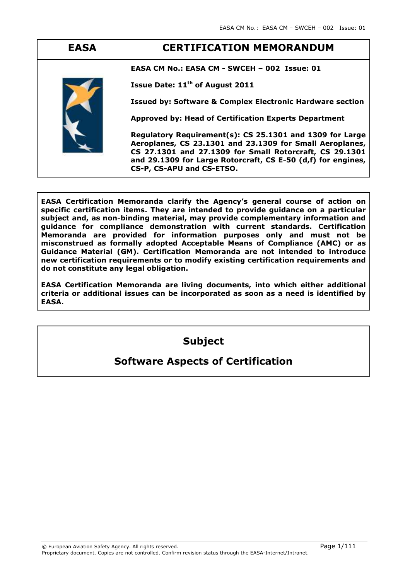| <b>EASA</b> | <b>CERTIFICATION MEMORANDUM</b>                                                                                                                                                                                                                                                                                                                                                                                        |
|-------------|------------------------------------------------------------------------------------------------------------------------------------------------------------------------------------------------------------------------------------------------------------------------------------------------------------------------------------------------------------------------------------------------------------------------|
|             | EASA CM No.: EASA CM - SWCEH - 002 Issue: 01<br>Issue Date: 11 <sup>th</sup> of August 2011<br><b>Issued by: Software &amp; Complex Electronic Hardware section</b><br><b>Approved by: Head of Certification Experts Department</b><br>Regulatory Requirement(s): CS 25.1301 and 1309 for Large<br>Aeroplanes, CS 23.1301 and 23.1309 for Small Aeroplanes,<br>CS 27.1301 and 27.1309 for Small Rotorcraft, CS 29.1301 |
|             | and 29.1309 for Large Rotorcraft, CS E-50 (d,f) for engines,<br>CS-P, CS-APU and CS-ETSO.                                                                                                                                                                                                                                                                                                                              |

EASA Certification Memoranda clarify the Agency's general course of action on specific certification items. They are intended to provide guidance on a particular subject and, as non-binding material, may provide complementary information and guidance for compliance demonstration with current standards. Certification Memoranda are provided for information purposes only and must not be misconstrued as formally adopted Acceptable Means of Compliance (AMC) or as Guidance Material (GM). Certification Memoranda are not intended to introduce new certification requirements or to modify existing certification requirements and do not constitute any legal obligation.

EASA Certification Memoranda are living documents, into which either additional criteria or additional issues can be incorporated as soon as a need is identified by EASA.

# Subject

# Software Aspects of Certification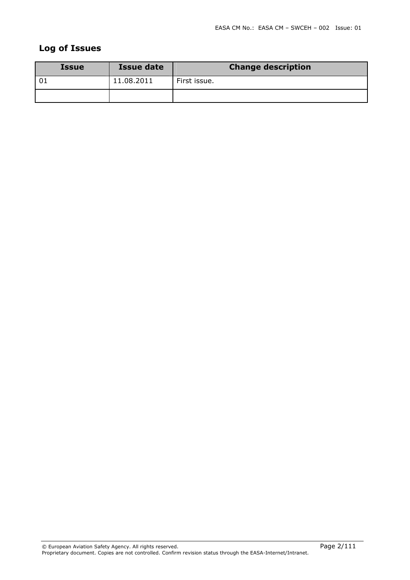## Log of Issues

| <b>Issue</b> | <b>Issue date</b> | <b>Change description</b> |
|--------------|-------------------|---------------------------|
|              | 11.08.2011        | First issue.              |
|              |                   |                           |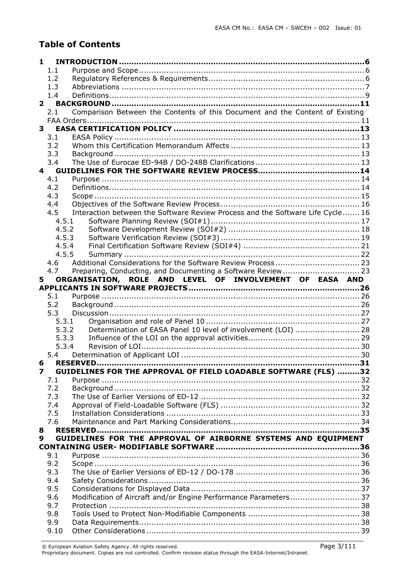# Table of Contents

| 1            |                         |                                                                                |  |
|--------------|-------------------------|--------------------------------------------------------------------------------|--|
|              | 1.1                     |                                                                                |  |
|              | 1.2                     |                                                                                |  |
|              | 1.3                     |                                                                                |  |
|              | 1.4                     |                                                                                |  |
|              | $2^{\circ}$             |                                                                                |  |
|              | 2.1                     | Comparison Between the Contents of this Document and the Content of Existing   |  |
|              |                         |                                                                                |  |
| $\mathbf{3}$ |                         |                                                                                |  |
|              | 3.1                     |                                                                                |  |
|              | 3.2                     |                                                                                |  |
|              | 3.3                     |                                                                                |  |
|              | 3.4                     |                                                                                |  |
|              | $\overline{\mathbf{a}}$ |                                                                                |  |
|              | 4.1                     |                                                                                |  |
|              | 4.2                     |                                                                                |  |
|              | 4.3                     |                                                                                |  |
|              | 4.4                     |                                                                                |  |
|              | 4.5                     | Interaction between the Software Review Process and the Software Life Cycle 16 |  |
|              | 4.5.1                   |                                                                                |  |
|              | 4.5.2                   |                                                                                |  |
|              | 4.5.3                   |                                                                                |  |
|              | 4.5.4                   |                                                                                |  |
|              | 4.5.5                   |                                                                                |  |
|              | 4.6                     |                                                                                |  |
|              | 4.7                     |                                                                                |  |
| 5            |                         | ORGANISATION, ROLE AND LEVEL OF INVOLVEMENT OF EASA AND                        |  |
|              |                         |                                                                                |  |
|              | 5.1                     |                                                                                |  |
|              |                         |                                                                                |  |
|              | 5.2                     |                                                                                |  |
|              | 5.3                     |                                                                                |  |
|              | 5.3.1                   |                                                                                |  |
|              | 5.3.2                   | Determination of EASA Panel 10 level of involvement (LOI)  28                  |  |
|              | 5.3.3                   |                                                                                |  |
|              | 5.3.4                   |                                                                                |  |
|              | 5.4                     |                                                                                |  |
|              | 6                       | <b>RESERVED</b>                                                                |  |
| 7            |                         | GUIDELINES FOR THE APPROVAL OF FIELD LOADABLE SOFTWARE (FLS) 32                |  |
|              | 7.1                     |                                                                                |  |
|              | 7.2                     |                                                                                |  |
|              | 7.3                     |                                                                                |  |
|              | 7.4                     |                                                                                |  |
|              | 7.5                     |                                                                                |  |
|              | 7.6                     |                                                                                |  |
| 8<br>9       |                         |                                                                                |  |
|              |                         | GUIDELINES FOR THE APPROVAL OF AIRBORNE SYSTEMS AND EQUIPMENT                  |  |
|              | 9.1                     |                                                                                |  |
|              | 9.2                     |                                                                                |  |
|              | 9.3                     |                                                                                |  |
|              | 9.4                     |                                                                                |  |
|              | 9.5                     |                                                                                |  |
|              | 9.6                     | Modification of Aircraft and/or Engine Performance Parameters 37               |  |
|              | 9.7                     |                                                                                |  |
|              | 9.8                     |                                                                                |  |
|              | 9.9                     |                                                                                |  |

 $\circ$  European Aviation Safety Agency. All rights reserved.  $\bullet$  Page 3/111  $\bullet$  Page 3/111

Proprietary document. Copies are not controlled. Confirm revision status through the EASA-Internet/Intranet.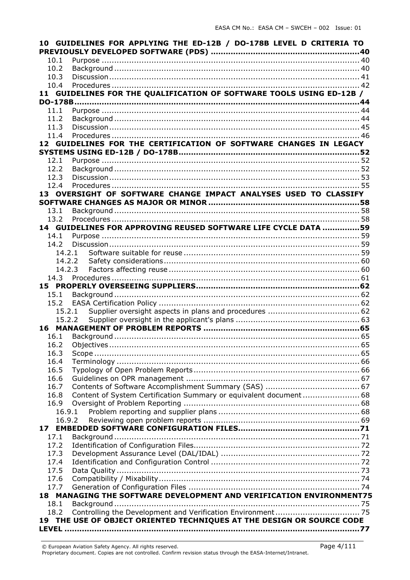|        | 10 GUIDELINES FOR APPLYING THE ED-12B / DO-178B LEVEL D CRITERIA TO   |  |
|--------|-----------------------------------------------------------------------|--|
|        |                                                                       |  |
| 10.1   |                                                                       |  |
| 10.2   |                                                                       |  |
| 10.3   |                                                                       |  |
| 10.4   |                                                                       |  |
|        | 11 GUIDELINES FOR THE QUALIFICATION OF SOFTWARE TOOLS USING ED-12B /  |  |
| 11.1   |                                                                       |  |
| 11.2   |                                                                       |  |
| 11.3   |                                                                       |  |
| 11.4   |                                                                       |  |
|        | 12 GUIDELINES FOR THE CERTIFICATION OF SOFTWARE CHANGES IN LEGACY     |  |
|        |                                                                       |  |
| 12.1   |                                                                       |  |
| 12.2   |                                                                       |  |
| 12.3   |                                                                       |  |
| 12.4   |                                                                       |  |
|        | 13 OVERSIGHT OF SOFTWARE CHANGE IMPACT ANALYSES USED TO CLASSIFY      |  |
|        |                                                                       |  |
| 13.1   |                                                                       |  |
| 13.2   |                                                                       |  |
|        | 14 GUIDELINES FOR APPROVING REUSED SOFTWARE LIFE CYCLE DATA 59        |  |
| 14.1   |                                                                       |  |
| 14.2   |                                                                       |  |
| 14.2.1 |                                                                       |  |
|        |                                                                       |  |
|        | 14.2.3                                                                |  |
|        |                                                                       |  |
|        |                                                                       |  |
| 15.1   |                                                                       |  |
|        |                                                                       |  |
|        |                                                                       |  |
|        |                                                                       |  |
|        |                                                                       |  |
| 16.1   |                                                                       |  |
| 16.2   |                                                                       |  |
| 16.3   |                                                                       |  |
| 16.4   |                                                                       |  |
| 16.5   |                                                                       |  |
| 16.6   |                                                                       |  |
| 16.7   |                                                                       |  |
| 16.8   |                                                                       |  |
| 16.9   |                                                                       |  |
| 16.9.1 |                                                                       |  |
| 16.9.2 |                                                                       |  |
|        |                                                                       |  |
| 17.1   |                                                                       |  |
| 17.2   |                                                                       |  |
| 17.3   |                                                                       |  |
| 17.4   |                                                                       |  |
| 17.5   |                                                                       |  |
| 17.6   |                                                                       |  |
| 17.7   | 18 MANAGING THE SOFTWARE DEVELOPMENT AND VERIFICATION ENVIRONMENT75   |  |
|        |                                                                       |  |
| 18.1   |                                                                       |  |
| 18.2   | 19 THE USE OF OBJECT ORIENTED TECHNIQUES AT THE DESIGN OR SOURCE CODE |  |
|        |                                                                       |  |
|        |                                                                       |  |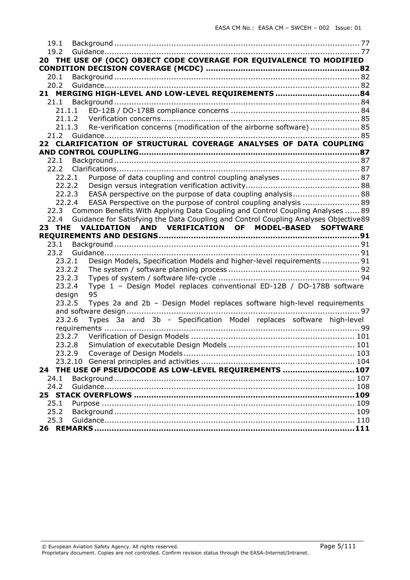| 19.1       |        |                                                                                          |     |
|------------|--------|------------------------------------------------------------------------------------------|-----|
| 19.2       |        |                                                                                          |     |
|            |        | 20 THE USE OF (OCC) OBJECT CODE COVERAGE FOR EQUIVALENCE TO MODIFIED                     |     |
|            |        |                                                                                          |     |
| 20.1       |        |                                                                                          |     |
| 20.2       |        |                                                                                          |     |
|            |        | 21 MERGING HIGH-LEVEL AND LOW-LEVEL REQUIREMENTS 84                                      |     |
| 21.1       |        |                                                                                          |     |
|            | 21.1.1 |                                                                                          |     |
|            | 21.1.2 |                                                                                          |     |
|            | 21.1.3 | Re-verification concerns (modification of the airborne software) 85                      |     |
|            |        |                                                                                          |     |
|            |        | 22 CLARIFICATION OF STRUCTURAL COVERAGE ANALYSES OF DATA COUPLING                        |     |
|            |        |                                                                                          |     |
| 22.1       |        |                                                                                          |     |
| 22.2       |        |                                                                                          |     |
|            | 22.2.1 | Purpose of data coupling and control coupling analyses 87                                |     |
|            | 22.2.2 |                                                                                          |     |
|            | 22.2.3 | EASA perspective on the purpose of data coupling analysis 88                             |     |
|            | 22.2.4 | EASA Perspective on the purpose of control coupling analysis  89                         |     |
|            |        | 22.3 Common Benefits With Applying Data Coupling and Control Coupling Analyses  89       |     |
|            |        | 22.4 Guidance for Satisfying the Data Coupling and Control Coupling Analyses Objective89 |     |
|            |        | 23 THE VALIDATION AND VERIFICATION OF MODEL-BASED SOFTWARE                               |     |
|            |        |                                                                                          |     |
|            |        |                                                                                          |     |
| 23.1       |        |                                                                                          |     |
|            |        |                                                                                          |     |
|            | 23.2.1 | Design Models, Specification Models and higher-level requirements  91                    |     |
|            | 23.2.2 |                                                                                          |     |
|            | 23.2.3 |                                                                                          |     |
|            | 23.2.4 | Type 1 - Design Model replaces conventional ED-12B / DO-178B software                    |     |
|            | design | 95                                                                                       |     |
|            | 23.2.5 | Types 2a and 2b - Design Model replaces software high-level requirements                 |     |
|            |        |                                                                                          |     |
|            | 23.2.6 | Types 3a and 3b - Specification Model replaces software high-level                       |     |
|            |        |                                                                                          |     |
|            | 23.2.7 |                                                                                          |     |
|            | 23.2.8 |                                                                                          |     |
|            | 23.2.9 |                                                                                          | 103 |
|            |        |                                                                                          |     |
|            |        | 24 THE USE OF PSEUDOCODE AS LOW-LEVEL REQUIREMENTS 107                                   |     |
| 24.1       |        |                                                                                          |     |
| 24.2       |        |                                                                                          |     |
|            |        | 25 STACK OVERFLOWS ……………………………………………………………………………109                                      |     |
| 25.1       |        |                                                                                          |     |
| 25.2       |        |                                                                                          |     |
| 25.3<br>26 |        |                                                                                          |     |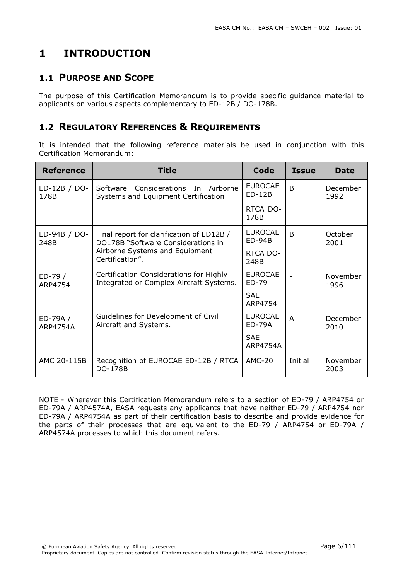# 1 INTRODUCTION

## 1.1 PURPOSE AND SCOPE

The purpose of this Certification Memorandum is to provide specific guidance material to applicants on various aspects complementary to ED-12B / DO-178B.

## 1.2 REGULATORY REFERENCES & REQUIREMENTS

It is intended that the following reference materials be used in conjunction with this Certification Memorandum:

| <b>Reference</b>            | <b>Title</b>                                                                       | Code                            | Issue          | Date             |
|-----------------------------|------------------------------------------------------------------------------------|---------------------------------|----------------|------------------|
| ED-12B / DO-<br>178B        | Software Considerations In Airborne<br>Systems and Equipment Certification         | <b>EUROCAE</b><br>$ED-12B$      | <sub>B</sub>   | December<br>1992 |
|                             |                                                                                    | RTCA DO-<br>178B                |                |                  |
| ED-94B / DO-<br>248B        | Final report for clarification of ED12B /<br>DO178B "Software Considerations in    | <b>EUROCAE</b><br>$ED-94B$      | <sub>R</sub>   | October<br>2001  |
|                             | Airborne Systems and Equipment<br>Certification".                                  | RTCA DO-<br>248B                |                |                  |
| ED-79 /<br>ARP4754          | Certification Considerations for Highly<br>Integrated or Complex Aircraft Systems. | <b>EUROCAE</b><br>ED-79         |                | November<br>1996 |
|                             |                                                                                    | <b>SAE</b><br>ARP4754           |                |                  |
| ED-79A /<br><b>ARP4754A</b> | Guidelines for Development of Civil<br>Aircraft and Systems.                       | <b>EUROCAE</b><br><b>ED-79A</b> | $\overline{A}$ | December<br>2010 |
|                             |                                                                                    | <b>SAF</b><br>ARP4754A          |                |                  |
| AMC 20-115B                 | Recognition of EUROCAE ED-12B / RTCA<br><b>DO-178B</b>                             | <b>AMC-20</b>                   | Initial        | November<br>2003 |

NOTE - Wherever this Certification Memorandum refers to a section of ED-79 / ARP4754 or ED-79A / ARP4574A, EASA requests any applicants that have neither ED-79 / ARP4754 nor ED-79A / ARP4754A as part of their certification basis to describe and provide evidence for the parts of their processes that are equivalent to the ED-79 / ARP4754 or ED-79A / ARP4574A processes to which this document refers.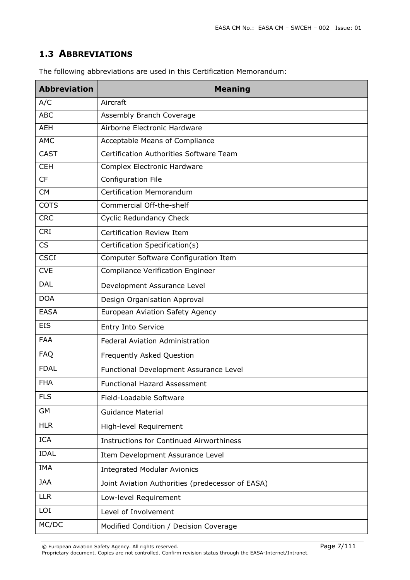### 1.3 ABBREVIATIONS

| <b>Abbreviation</b> | <b>Meaning</b>                                   |
|---------------------|--------------------------------------------------|
| A/C                 | Aircraft                                         |
| <b>ABC</b>          | Assembly Branch Coverage                         |
| <b>AEH</b>          | Airborne Electronic Hardware                     |
| <b>AMC</b>          | Acceptable Means of Compliance                   |
| <b>CAST</b>         | Certification Authorities Software Team          |
| <b>CEH</b>          | Complex Electronic Hardware                      |
| <b>CF</b>           | Configuration File                               |
| <b>CM</b>           | <b>Certification Memorandum</b>                  |
| <b>COTS</b>         | Commercial Off-the-shelf                         |
| <b>CRC</b>          | <b>Cyclic Redundancy Check</b>                   |
| <b>CRI</b>          | Certification Review Item                        |
| <b>CS</b>           | Certification Specification(s)                   |
| <b>CSCI</b>         | Computer Software Configuration Item             |
| <b>CVE</b>          | <b>Compliance Verification Engineer</b>          |
| <b>DAL</b>          | Development Assurance Level                      |
| <b>DOA</b>          | Design Organisation Approval                     |
| <b>EASA</b>         | European Aviation Safety Agency                  |
| <b>EIS</b>          | Entry Into Service                               |
| <b>FAA</b>          | Federal Aviation Administration                  |
| <b>FAQ</b>          | Frequently Asked Question                        |
| <b>FDAL</b>         | Functional Development Assurance Level           |
| <b>FHA</b>          | <b>Functional Hazard Assessment</b>              |
| <b>FLS</b>          | Field-Loadable Software                          |
| <b>GM</b>           | <b>Guidance Material</b>                         |
| <b>HLR</b>          | High-level Requirement                           |
| <b>ICA</b>          | <b>Instructions for Continued Airworthiness</b>  |
| <b>IDAL</b>         | Item Development Assurance Level                 |
| IMA                 | <b>Integrated Modular Avionics</b>               |
| <b>JAA</b>          | Joint Aviation Authorities (predecessor of EASA) |
| <b>LLR</b>          | Low-level Requirement                            |
| LOI                 | Level of Involvement                             |
| MC/DC               | Modified Condition / Decision Coverage           |

The following abbreviations are used in this Certification Memorandum:

© European Aviation Safety Agency. All rights reserved. Page 7/111

Proprietary document. Copies are not controlled. Confirm revision status through the EASA-Internet/Intranet.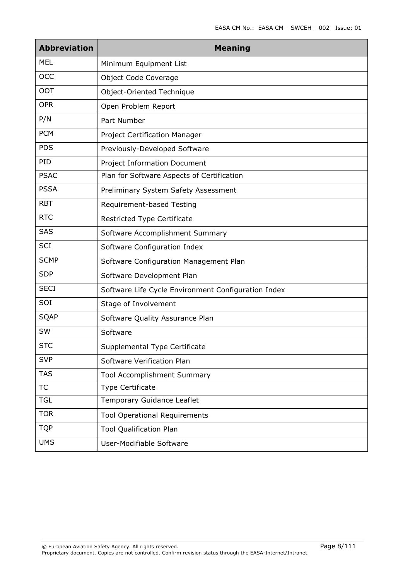| <b>Abbreviation</b> | <b>Meaning</b>                                      |
|---------------------|-----------------------------------------------------|
| <b>MEL</b>          | Minimum Equipment List                              |
| OCC                 | Object Code Coverage                                |
| <b>OOT</b>          | Object-Oriented Technique                           |
| <b>OPR</b>          | Open Problem Report                                 |
| P/N                 | Part Number                                         |
| <b>PCM</b>          | Project Certification Manager                       |
| <b>PDS</b>          | Previously-Developed Software                       |
| PID                 | <b>Project Information Document</b>                 |
| <b>PSAC</b>         | Plan for Software Aspects of Certification          |
| <b>PSSA</b>         | Preliminary System Safety Assessment                |
| <b>RBT</b>          | Requirement-based Testing                           |
| <b>RTC</b>          | <b>Restricted Type Certificate</b>                  |
| SAS                 | Software Accomplishment Summary                     |
| <b>SCI</b>          | Software Configuration Index                        |
| <b>SCMP</b>         | Software Configuration Management Plan              |
| <b>SDP</b>          | Software Development Plan                           |
| <b>SECI</b>         | Software Life Cycle Environment Configuration Index |
| SOI                 | Stage of Involvement                                |
| <b>SQAP</b>         | Software Quality Assurance Plan                     |
| SW                  | Software                                            |
| <b>STC</b>          | Supplemental Type Certificate                       |
| <b>SVP</b>          | Software Verification Plan                          |
| <b>TAS</b>          | Tool Accomplishment Summary                         |
| <b>TC</b>           | Type Certificate                                    |
| <b>TGL</b>          | Temporary Guidance Leaflet                          |
| <b>TOR</b>          | <b>Tool Operational Requirements</b>                |
| <b>TQP</b>          | <b>Tool Qualification Plan</b>                      |
| <b>UMS</b>          | User-Modifiable Software                            |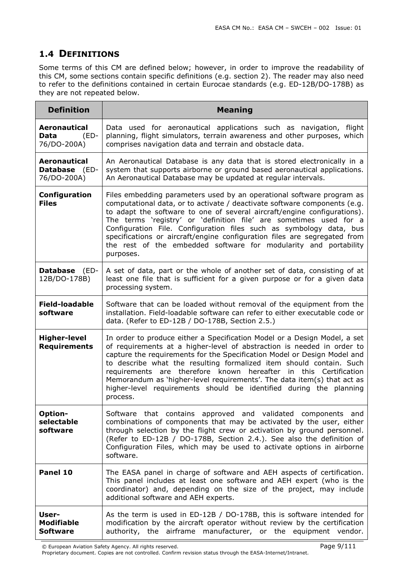## 1.4 DEFINITIONS

Some terms of this CM are defined below; however, in order to improve the readability of this CM, some sections contain specific definitions (e.g. section 2). The reader may also need to refer to the definitions contained in certain Eurocae standards (e.g. ED-12B/DO-178B) as they are not repeated below.

| <b>Definition</b>                                          | <b>Meaning</b>                                                                                                                                                                                                                                                                                                                                                                                                                                                                                                                            |
|------------------------------------------------------------|-------------------------------------------------------------------------------------------------------------------------------------------------------------------------------------------------------------------------------------------------------------------------------------------------------------------------------------------------------------------------------------------------------------------------------------------------------------------------------------------------------------------------------------------|
| <b>Aeronautical</b><br>Data<br>$(ED-$<br>76/DO-200A)       | Data used for aeronautical applications such as navigation, flight<br>planning, flight simulators, terrain awareness and other purposes, which<br>comprises navigation data and terrain and obstacle data.                                                                                                                                                                                                                                                                                                                                |
| <b>Aeronautical</b><br><b>Database</b> (ED-<br>76/DO-200A) | An Aeronautical Database is any data that is stored electronically in a<br>system that supports airborne or ground based aeronautical applications.<br>An Aeronautical Database may be updated at regular intervals.                                                                                                                                                                                                                                                                                                                      |
| Configuration<br><b>Files</b>                              | Files embedding parameters used by an operational software program as<br>computational data, or to activate / deactivate software components (e.g.<br>to adapt the software to one of several aircraft/engine configurations).<br>The terms 'registry' or 'definition file' are sometimes used for a<br>Configuration File. Configuration files such as symbology data, bus<br>specifications or aircraft/engine configuration files are segregated from<br>the rest of the embedded software for modularity and portability<br>purposes. |
| <b>Database</b> (ED-<br>12B/DO-178B)                       | A set of data, part or the whole of another set of data, consisting of at<br>least one file that is sufficient for a given purpose or for a given data<br>processing system.                                                                                                                                                                                                                                                                                                                                                              |
| <b>Field-loadable</b><br>software                          | Software that can be loaded without removal of the equipment from the<br>installation. Field-loadable software can refer to either executable code or<br>data. (Refer to ED-12B / DO-178B, Section 2.5.)                                                                                                                                                                                                                                                                                                                                  |
| <b>Higher-level</b><br><b>Requirements</b>                 | In order to produce either a Specification Model or a Design Model, a set<br>of requirements at a higher-level of abstraction is needed in order to<br>capture the requirements for the Specification Model or Design Model and<br>to describe what the resulting formalized item should contain. Such<br>requirements are therefore known hereafter in this Certification<br>Memorandum as 'higher-level requirements'. The data item(s) that act as<br>higher-level requirements should be identified during the planning<br>process.   |
| Option-<br>selectable<br>software                          | Software that contains approved and validated components and<br>combinations of components that may be activated by the user, either<br>through selection by the flight crew or activation by ground personnel.<br>(Refer to ED-12B / DO-178B, Section 2.4.). See also the definition of<br>Configuration Files, which may be used to activate options in airborne<br>software.                                                                                                                                                           |
| Panel 10                                                   | The EASA panel in charge of software and AEH aspects of certification.<br>This panel includes at least one software and AEH expert (who is the<br>coordinator) and, depending on the size of the project, may include<br>additional software and AEH experts.                                                                                                                                                                                                                                                                             |
| User-<br><b>Modifiable</b><br><b>Software</b>              | As the term is used in ED-12B / DO-178B, this is software intended for<br>modification by the aircraft operator without review by the certification<br>authority, the airframe manufacturer, or the equipment vendor.                                                                                                                                                                                                                                                                                                                     |

© European Aviation Safety Agency. All rights reserved. Page 9/111

Proprietary document. Copies are not controlled. Confirm revision status through the EASA-Internet/Intranet.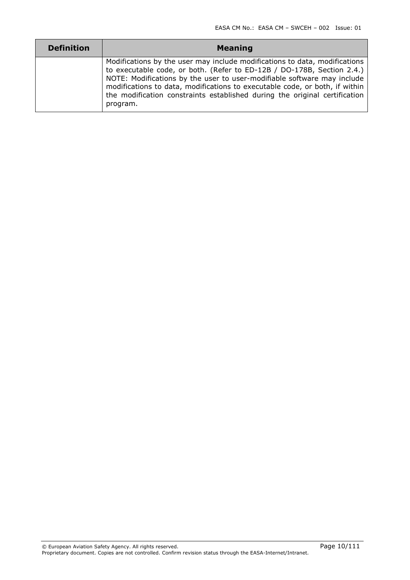| <b>Definition</b> | <b>Meaning</b>                                                                                                                                                                                                                                                                                                                                                                                           |
|-------------------|----------------------------------------------------------------------------------------------------------------------------------------------------------------------------------------------------------------------------------------------------------------------------------------------------------------------------------------------------------------------------------------------------------|
|                   | Modifications by the user may include modifications to data, modifications<br>to executable code, or both. (Refer to ED-12B / DO-178B, Section 2.4.)<br>NOTE: Modifications by the user to user-modifiable software may include<br>modifications to data, modifications to executable code, or both, if within<br>the modification constraints established during the original certification<br>program. |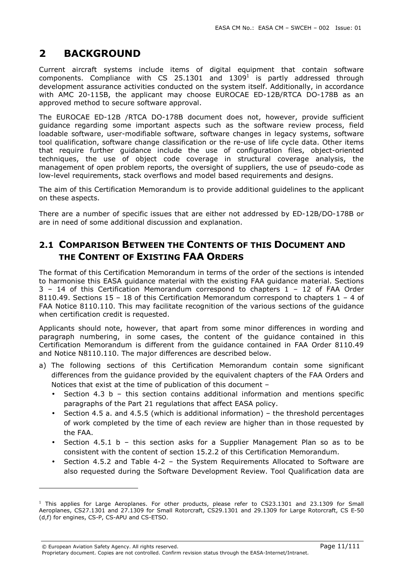# 2 BACKGROUND

 $\overline{a}$ 

Current aircraft systems include items of digital equipment that contain software components. Compliance with CS 25.1301 and 1309<sup>1</sup> is partly addressed through development assurance activities conducted on the system itself. Additionally, in accordance with AMC 20-115B, the applicant may choose EUROCAE ED-12B/RTCA DO-178B as an approved method to secure software approval.

The EUROCAE ED-12B /RTCA DO-178B document does not, however, provide sufficient guidance regarding some important aspects such as the software review process, field loadable software, user-modifiable software, software changes in legacy systems, software tool qualification, software change classification or the re-use of life cycle data. Other items that require further guidance include the use of configuration files, object-oriented techniques, the use of object code coverage in structural coverage analysis, the management of open problem reports, the oversight of suppliers, the use of pseudo-code as low-level requirements, stack overflows and model based requirements and designs.

The aim of this Certification Memorandum is to provide additional guidelines to the applicant on these aspects.

There are a number of specific issues that are either not addressed by ED-12B/DO-178B or are in need of some additional discussion and explanation.

## 2.1 COMPARISON BETWEEN THE CONTENTS OF THIS DOCUMENT AND THE CONTENT OF EXISTING FAA ORDERS

The format of this Certification Memorandum in terms of the order of the sections is intended to harmonise this EASA guidance material with the existing FAA guidance material. Sections 3 – 14 of this Certification Memorandum correspond to chapters 1 – 12 of FAA Order 8110.49. Sections 15 – 18 of this Certification Memorandum correspond to chapters  $1 - 4$  of FAA Notice 8110.110. This may facilitate recognition of the various sections of the guidance when certification credit is requested.

Applicants should note, however, that apart from some minor differences in wording and paragraph numbering, in some cases, the content of the guidance contained in this Certification Memorandum is different from the guidance contained in FAA Order 8110.49 and Notice N8110.110. The major differences are described below.

- a) The following sections of this Certification Memorandum contain some significant differences from the guidance provided by the equivalent chapters of the FAA Orders and Notices that exist at the time of publication of this document –
	- Section 4.3 b this section contains additional information and mentions specific paragraphs of the Part 21 regulations that affect EASA policy.
	- Section 4.5 a. and 4.5.5 (which is additional information) the threshold percentages of work completed by the time of each review are higher than in those requested by the FAA.
	- Section 4.5.1 b this section asks for a Supplier Management Plan so as to be consistent with the content of section 15.2.2 of this Certification Memorandum.
	- Section 4.5.2 and Table 4-2 the System Requirements Allocated to Software are also requested during the Software Development Review. Tool Qualification data are

<sup>&</sup>lt;sup>1</sup> This applies for Large Aeroplanes. For other products, please refer to CS23.1301 and 23.1309 for Small Aeroplanes, CS27.1301 and 27.1309 for Small Rotorcraft, CS29.1301 and 29.1309 for Large Rotorcraft, CS E-50 (d,f) for engines, CS-P, CS-APU and CS-ETSO.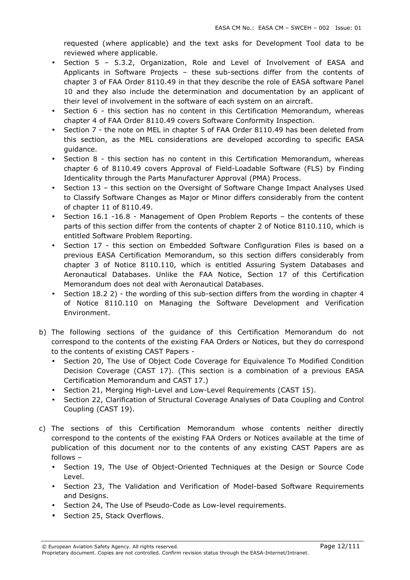requested (where applicable) and the text asks for Development Tool data to be reviewed where applicable.

- Section 5 5.3.2, Organization, Role and Level of Involvement of EASA and Applicants in Software Projects – these sub-sections differ from the contents of chapter 3 of FAA Order 8110.49 in that they describe the role of EASA software Panel 10 and they also include the determination and documentation by an applicant of their level of involvement in the software of each system on an aircraft.
- Section 6 this section has no content in this Certification Memorandum, whereas chapter 4 of FAA Order 8110.49 covers Software Conformity Inspection.
- Section 7 the note on MEL in chapter 5 of FAA Order 8110.49 has been deleted from this section, as the MEL considerations are developed according to specific EASA guidance.
- Section 8 this section has no content in this Certification Memorandum, whereas chapter 6 of 8110.49 covers Approval of Field-Loadable Software (FLS) by Finding Identicality through the Parts Manufacturer Approval (PMA) Process.
- Section 13 this section on the Oversight of Software Change Impact Analyses Used to Classify Software Changes as Major or Minor differs considerably from the content of chapter 11 of 8110.49.
- Section 16.1 -16.8 Management of Open Problem Reports the contents of these parts of this section differ from the contents of chapter 2 of Notice 8110.110, which is entitled Software Problem Reporting.
- Section 17 this section on Embedded Software Configuration Files is based on a previous EASA Certification Memorandum, so this section differs considerably from chapter 3 of Notice 8110.110, which is entitled Assuring System Databases and Aeronautical Databases. Unlike the FAA Notice, Section 17 of this Certification Memorandum does not deal with Aeronautical Databases.
- Section 18.2 2) the wording of this sub-section differs from the wording in chapter 4 of Notice 8110.110 on Managing the Software Development and Verification Environment.
- b) The following sections of the guidance of this Certification Memorandum do not correspond to the contents of the existing FAA Orders or Notices, but they do correspond to the contents of existing CAST Papers -
	- Section 20, The Use of Object Code Coverage for Equivalence To Modified Condition Decision Coverage (CAST 17). (This section is a combination of a previous EASA Certification Memorandum and CAST 17.)
	- Section 21, Merging High-Level and Low-Level Requirements (CAST 15).
	- Section 22, Clarification of Structural Coverage Analyses of Data Coupling and Control Coupling (CAST 19).
- c) The sections of this Certification Memorandum whose contents neither directly correspond to the contents of the existing FAA Orders or Notices available at the time of publication of this document nor to the contents of any existing CAST Papers are as follows –
	- Section 19, The Use of Object-Oriented Techniques at the Design or Source Code Level.
	- Section 23, The Validation and Verification of Model-based Software Requirements and Designs.
	- Section 24, The Use of Pseudo-Code as Low-level requirements.
	- Section 25, Stack Overflows.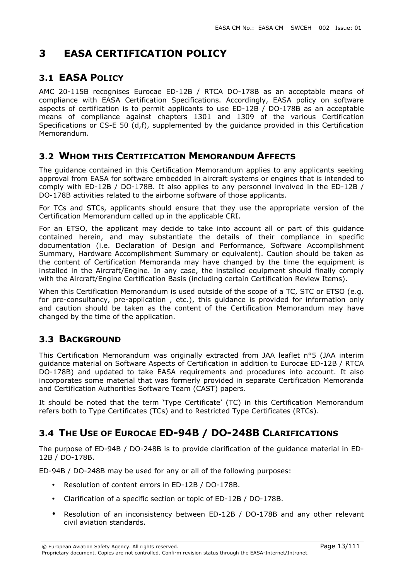# 3 EASA CERTIFICATION POLICY

## 3.1 EASA POLICY

AMC 20-115B recognises Eurocae ED-12B / RTCA DO-178B as an acceptable means of compliance with EASA Certification Specifications. Accordingly, EASA policy on software aspects of certification is to permit applicants to use ED-12B / DO-178B as an acceptable means of compliance against chapters 1301 and 1309 of the various Certification Specifications or CS-E 50 (d,f), supplemented by the guidance provided in this Certification Memorandum.

### 3.2 WHOM THIS CERTIFICATION MEMORANDUM AFFECTS

The guidance contained in this Certification Memorandum applies to any applicants seeking approval from EASA for software embedded in aircraft systems or engines that is intended to comply with ED-12B / DO-178B. It also applies to any personnel involved in the ED-12B / DO-178B activities related to the airborne software of those applicants.

For TCs and STCs, applicants should ensure that they use the appropriate version of the Certification Memorandum called up in the applicable CRI.

For an ETSO, the applicant may decide to take into account all or part of this guidance contained herein, and may substantiate the details of their compliance in specific documentation (i.e. Declaration of Design and Performance, Software Accomplishment Summary, Hardware Accomplishment Summary or equivalent). Caution should be taken as the content of Certification Memoranda may have changed by the time the equipment is installed in the Aircraft/Engine. In any case, the installed equipment should finally comply with the Aircraft/Engine Certification Basis (including certain Certification Review Items).

When this Certification Memorandum is used outside of the scope of a TC, STC or ETSO (e.g. for pre-consultancy, pre-application , etc.), this guidance is provided for information only and caution should be taken as the content of the Certification Memorandum may have changed by the time of the application.

## 3.3 BACKGROUND

This Certification Memorandum was originally extracted from JAA leaflet n°5 (JAA interim guidance material on Software Aspects of Certification in addition to Eurocae ED-12B / RTCA DO-178B) and updated to take EASA requirements and procedures into account. It also incorporates some material that was formerly provided in separate Certification Memoranda and Certification Authorities Software Team (CAST) papers.

It should be noted that the term 'Type Certificate' (TC) in this Certification Memorandum refers both to Type Certificates (TCs) and to Restricted Type Certificates (RTCs).

## 3.4 THE USE OF EUROCAE ED-94B / DO-248B CLARIFICATIONS

The purpose of ED-94B / DO-248B is to provide clarification of the guidance material in ED-12B / DO-178B.

ED-94B / DO-248B may be used for any or all of the following purposes:

- Resolution of content errors in ED-12B / DO-178B.
- Clarification of a specific section or topic of ED-12B / DO-178B.
- Resolution of an inconsistency between ED-12B / DO-178B and any other relevant civil aviation standards.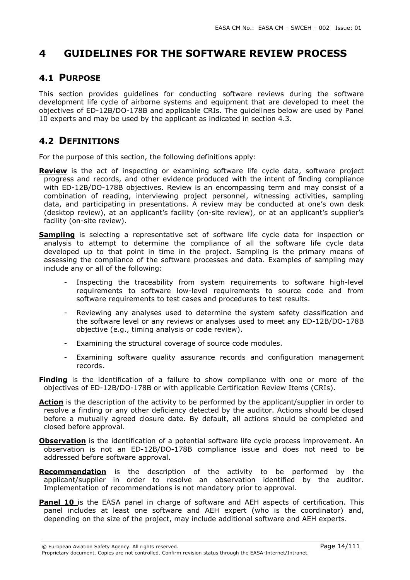# 4 GUIDELINES FOR THE SOFTWARE REVIEW PROCESS

### 4.1 PURPOSE

This section provides guidelines for conducting software reviews during the software development life cycle of airborne systems and equipment that are developed to meet the objectives of ED-12B/DO-178B and applicable CRIs. The guidelines below are used by Panel 10 experts and may be used by the applicant as indicated in section 4.3.

### 4.2 DEFINITIONS

For the purpose of this section, the following definitions apply:

- **Review** is the act of inspecting or examining software life cycle data, software project progress and records, and other evidence produced with the intent of finding compliance with ED-12B/DO-178B objectives. Review is an encompassing term and may consist of a combination of reading, interviewing project personnel, witnessing activities, sampling data, and participating in presentations. A review may be conducted at one's own desk (desktop review), at an applicant's facility (on-site review), or at an applicant's supplier's facility (on-site review).
- **Sampling** is selecting a representative set of software life cycle data for inspection or analysis to attempt to determine the compliance of all the software life cycle data developed up to that point in time in the project. Sampling is the primary means of assessing the compliance of the software processes and data. Examples of sampling may include any or all of the following:
	- Inspecting the traceability from system requirements to software high-level requirements to software low-level requirements to source code and from software requirements to test cases and procedures to test results.
	- Reviewing any analyses used to determine the system safety classification and the software level or any reviews or analyses used to meet any ED-12B/DO-178B objective (e.g., timing analysis or code review).
	- Examining the structural coverage of source code modules.
	- Examining software quality assurance records and configuration management records.
- **Finding** is the identification of a failure to show compliance with one or more of the objectives of ED-12B/DO-178B or with applicable Certification Review Items (CRIs).
- Action is the description of the activity to be performed by the applicant/supplier in order to resolve a finding or any other deficiency detected by the auditor. Actions should be closed before a mutually agreed closure date. By default, all actions should be completed and closed before approval.
- **Observation** is the identification of a potential software life cycle process improvement. An observation is not an ED-12B/DO-178B compliance issue and does not need to be addressed before software approval.
- Recommendation is the description of the activity to be performed by the applicant/supplier in order to resolve an observation identified by the auditor. Implementation of recommendations is not mandatory prior to approval.
- **Panel 10** is the EASA panel in charge of software and AEH aspects of certification. This panel includes at least one software and AEH expert (who is the coordinator) and, depending on the size of the project, may include additional software and AEH experts.

<sup>©</sup> European Aviation Safety Agency. All rights reserved. Page 14/111 Proprietary document. Copies are not controlled. Confirm revision status through the EASA-Internet/Intranet.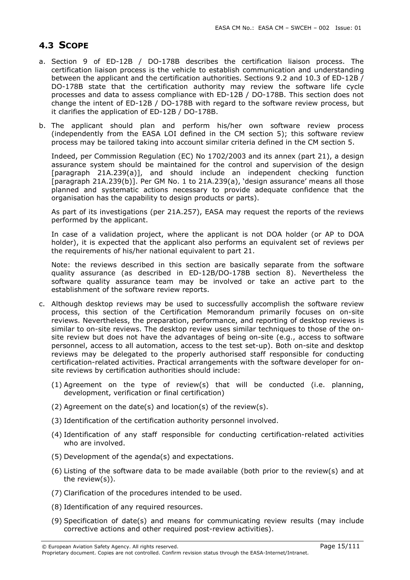## 4.3 SCOPE

- a. Section 9 of ED-12B / DO-178B describes the certification liaison process. The certification liaison process is the vehicle to establish communication and understanding between the applicant and the certification authorities. Sections 9.2 and 10.3 of ED-12B / DO-178B state that the certification authority may review the software life cycle processes and data to assess compliance with ED-12B / DO-178B. This section does not change the intent of ED-12B / DO-178B with regard to the software review process, but it clarifies the application of ED-12B / DO-178B.
- b. The applicant should plan and perform his/her own software review process (independently from the EASA LOI defined in the CM section 5); this software review process may be tailored taking into account similar criteria defined in the CM section 5.

Indeed, per Commission Regulation (EC) No 1702/2003 and its annex (part 21), a design assurance system should be maintained for the control and supervision of the design [paragraph 21A.239(a)], and should include an independent checking function [paragraph 21A.239(b)]. Per GM No. 1 to 21A.239(a), 'design assurance' means all those planned and systematic actions necessary to provide adequate confidence that the organisation has the capability to design products or parts).

As part of its investigations (per 21A.257), EASA may request the reports of the reviews performed by the applicant.

In case of a validation project, where the applicant is not DOA holder (or AP to DOA holder), it is expected that the applicant also performs an equivalent set of reviews per the requirements of his/her national equivalent to part 21.

Note: the reviews described in this section are basically separate from the software quality assurance (as described in ED-12B/DO-178B section 8). Nevertheless the software quality assurance team may be involved or take an active part to the establishment of the software review reports.

- c. Although desktop reviews may be used to successfully accomplish the software review process, this section of the Certification Memorandum primarily focuses on on-site reviews. Nevertheless, the preparation, performance, and reporting of desktop reviews is similar to on-site reviews. The desktop review uses similar techniques to those of the onsite review but does not have the advantages of being on-site (e.g., access to software personnel, access to all automation, access to the test set-up). Both on-site and desktop reviews may be delegated to the properly authorised staff responsible for conducting certification-related activities. Practical arrangements with the software developer for onsite reviews by certification authorities should include:
	- (1) Agreement on the type of review(s) that will be conducted (i.e. planning, development, verification or final certification)
	- (2) Agreement on the date(s) and location(s) of the review(s).
	- (3) Identification of the certification authority personnel involved.
	- (4) Identification of any staff responsible for conducting certification-related activities who are involved.
	- (5) Development of the agenda(s) and expectations.
	- (6) Listing of the software data to be made available (both prior to the review(s) and at the review(s)).
	- (7) Clarification of the procedures intended to be used.
	- (8) Identification of any required resources.
	- (9) Specification of date(s) and means for communicating review results (may include corrective actions and other required post-review activities).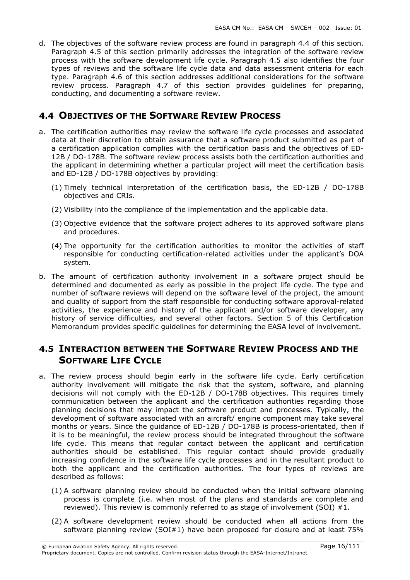d. The objectives of the software review process are found in paragraph 4.4 of this section. Paragraph 4.5 of this section primarily addresses the integration of the software review process with the software development life cycle. Paragraph 4.5 also identifies the four types of reviews and the software life cycle data and data assessment criteria for each type. Paragraph 4.6 of this section addresses additional considerations for the software review process. Paragraph 4.7 of this section provides guidelines for preparing, conducting, and documenting a software review.

### 4.4 OBJECTIVES OF THE SOFTWARE REVIEW PROCESS

- a. The certification authorities may review the software life cycle processes and associated data at their discretion to obtain assurance that a software product submitted as part of a certification application complies with the certification basis and the objectives of ED-12B / DO-178B. The software review process assists both the certification authorities and the applicant in determining whether a particular project will meet the certification basis and ED-12B / DO-178B objectives by providing:
	- (1) Timely technical interpretation of the certification basis, the ED-12B / DO-178B objectives and CRIs.
	- (2) Visibility into the compliance of the implementation and the applicable data.
	- (3) Objective evidence that the software project adheres to its approved software plans and procedures.
	- (4) The opportunity for the certification authorities to monitor the activities of staff responsible for conducting certification-related activities under the applicant's DOA system.
- b. The amount of certification authority involvement in a software project should be determined and documented as early as possible in the project life cycle. The type and number of software reviews will depend on the software level of the project, the amount and quality of support from the staff responsible for conducting software approval-related activities, the experience and history of the applicant and/or software developer, any history of service difficulties, and several other factors. Section 5 of this Certification Memorandum provides specific guidelines for determining the EASA level of involvement.

## 4.5 INTERACTION BETWEEN THE SOFTWARE REVIEW PROCESS AND THE SOFTWARE LIFE CYCLE

- a. The review process should begin early in the software life cycle. Early certification authority involvement will mitigate the risk that the system, software, and planning decisions will not comply with the ED-12B / DO-178B objectives. This requires timely communication between the applicant and the certification authorities regarding those planning decisions that may impact the software product and processes. Typically, the development of software associated with an aircraft/ engine component may take several months or years. Since the guidance of ED-12B / DO-178B is process-orientated, then if it is to be meaningful, the review process should be integrated throughout the software life cycle. This means that regular contact between the applicant and certification authorities should be established. This regular contact should provide gradually increasing confidence in the software life cycle processes and in the resultant product to both the applicant and the certification authorities. The four types of reviews are described as follows:
	- (1) A software planning review should be conducted when the initial software planning process is complete (i.e. when most of the plans and standards are complete and reviewed). This review is commonly referred to as stage of involvement (SOI) #1.
	- (2) A software development review should be conducted when all actions from the software planning review (SOI#1) have been proposed for closure and at least 75%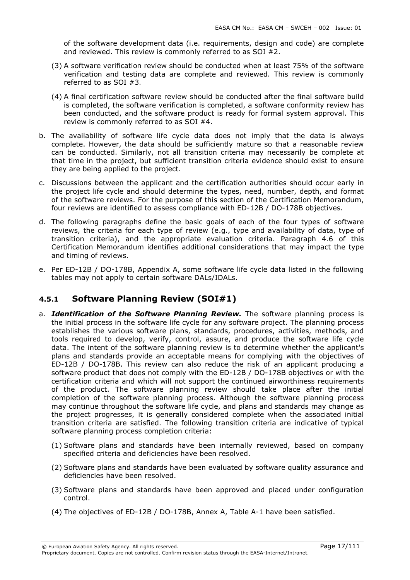of the software development data (i.e. requirements, design and code) are complete and reviewed. This review is commonly referred to as SOI #2.

- (3) A software verification review should be conducted when at least 75% of the software verification and testing data are complete and reviewed. This review is commonly referred to as SOI #3.
- (4) A final certification software review should be conducted after the final software build is completed, the software verification is completed, a software conformity review has been conducted, and the software product is ready for formal system approval. This review is commonly referred to as SOI #4.
- b. The availability of software life cycle data does not imply that the data is always complete. However, the data should be sufficiently mature so that a reasonable review can be conducted. Similarly, not all transition criteria may necessarily be complete at that time in the project, but sufficient transition criteria evidence should exist to ensure they are being applied to the project.
- c. Discussions between the applicant and the certification authorities should occur early in the project life cycle and should determine the types, need, number, depth, and format of the software reviews. For the purpose of this section of the Certification Memorandum, four reviews are identified to assess compliance with ED-12B / DO-178B objectives.
- d. The following paragraphs define the basic goals of each of the four types of software reviews, the criteria for each type of review (e.g., type and availability of data, type of transition criteria), and the appropriate evaluation criteria. Paragraph 4.6 of this Certification Memorandum identifies additional considerations that may impact the type and timing of reviews.
- e. Per ED-12B / DO-178B, Appendix A, some software life cycle data listed in the following tables may not apply to certain software DALs/IDALs.

#### 4.5.1 Software Planning Review (SOI#1)

- a. **Identification of the Software Planning Review.** The software planning process is the initial process in the software life cycle for any software project. The planning process establishes the various software plans, standards, procedures, activities, methods, and tools required to develop, verify, control, assure, and produce the software life cycle data. The intent of the software planning review is to determine whether the applicant's plans and standards provide an acceptable means for complying with the objectives of ED-12B / DO-178B. This review can also reduce the risk of an applicant producing a software product that does not comply with the ED-12B / DO-178B objectives or with the certification criteria and which will not support the continued airworthiness requirements of the product. The software planning review should take place after the initial completion of the software planning process. Although the software planning process may continue throughout the software life cycle, and plans and standards may change as the project progresses, it is generally considered complete when the associated initial transition criteria are satisfied. The following transition criteria are indicative of typical software planning process completion criteria:
	- (1) Software plans and standards have been internally reviewed, based on company specified criteria and deficiencies have been resolved.
	- (2) Software plans and standards have been evaluated by software quality assurance and deficiencies have been resolved.
	- (3) Software plans and standards have been approved and placed under configuration control.
	- (4) The objectives of ED-12B / DO-178B, Annex A, Table A-1 have been satisfied.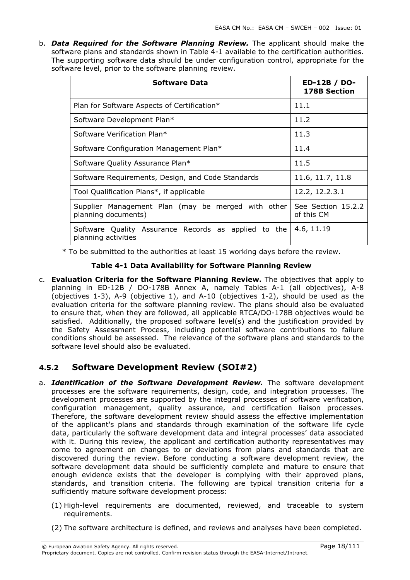b. **Data Required for the Software Planning Review.** The applicant should make the software plans and standards shown in Table 4-1 available to the certification authorities. The supporting software data should be under configuration control, appropriate for the software level, prior to the software planning review.

| Software Data                                                               | ED-12B / DO-<br><b>178B Section</b> |
|-----------------------------------------------------------------------------|-------------------------------------|
| Plan for Software Aspects of Certification*                                 | 11.1                                |
| Software Development Plan*                                                  | 11.2                                |
| Software Verification Plan*                                                 | 11.3                                |
| Software Configuration Management Plan*                                     | 11.4                                |
| Software Quality Assurance Plan*                                            | 11.5                                |
| Software Requirements, Design, and Code Standards                           | 11.6, 11.7, 11.8                    |
| Tool Qualification Plans*, if applicable                                    | 12.2, 12.2.3.1                      |
| Supplier Management Plan (may be merged with other<br>planning documents)   | See Section 15.2.2<br>of this CM    |
| Software Quality Assurance Records as applied to the<br>planning activities | 4.6, 11.19                          |

\* To be submitted to the authorities at least 15 working days before the review.

#### Table 4-1 Data Availability for Software Planning Review

c. Evaluation Criteria for the Software Planning Review. The objectives that apply to planning in ED-12B / DO-178B Annex A, namely Tables A-1 (all objectives), A-8 (objectives 1-3), A-9 (objective 1), and A-10 (objectives 1-2), should be used as the evaluation criteria for the software planning review. The plans should also be evaluated to ensure that, when they are followed, all applicable RTCA/DO-178B objectives would be satisfied. Additionally, the proposed software level(s) and the justification provided by the Safety Assessment Process, including potential software contributions to failure conditions should be assessed. The relevance of the software plans and standards to the software level should also be evaluated.

## 4.5.2 Software Development Review (SOI#2)

- a. Identification of the Software Development Review. The software development processes are the software requirements, design, code, and integration processes. The development processes are supported by the integral processes of software verification, configuration management, quality assurance, and certification liaison processes. Therefore, the software development review should assess the effective implementation of the applicant's plans and standards through examination of the software life cycle data, particularly the software development data and integral processes' data associated with it. During this review, the applicant and certification authority representatives may come to agreement on changes to or deviations from plans and standards that are discovered during the review. Before conducting a software development review, the software development data should be sufficiently complete and mature to ensure that enough evidence exists that the developer is complying with their approved plans, standards, and transition criteria. The following are typical transition criteria for a sufficiently mature software development process:
	- (1) High-level requirements are documented, reviewed, and traceable to system requirements.
	- (2) The software architecture is defined, and reviews and analyses have been completed.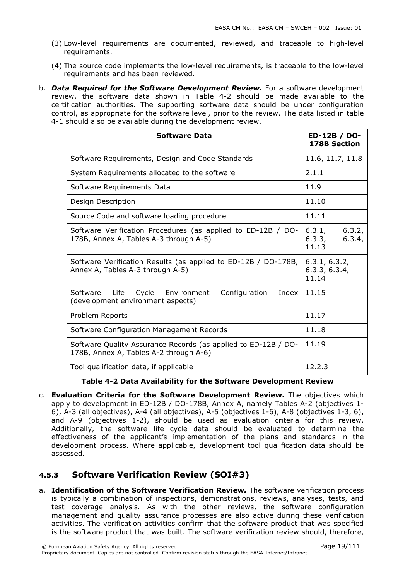- (3) Low-level requirements are documented, reviewed, and traceable to high-level requirements.
- (4) The source code implements the low-level requirements, is traceable to the low-level requirements and has been reviewed.
- b. **Data Required for the Software Development Review.** For a software development review, the software data shown in Table 4-2 should be made available to the certification authorities. The supporting software data should be under configuration control, as appropriate for the software level, prior to the review. The data listed in table 4-1 should also be available during the development review.

| <b>Software Data</b>                                                                                     | ED-12B / DO-<br><b>178B Section</b>           |
|----------------------------------------------------------------------------------------------------------|-----------------------------------------------|
| Software Requirements, Design and Code Standards                                                         | 11.6, 11.7, 11.8                              |
| System Requirements allocated to the software                                                            | 2.1.1                                         |
| Software Requirements Data                                                                               | 11.9                                          |
| Design Description                                                                                       | 11.10                                         |
| Source Code and software loading procedure                                                               | 11.11                                         |
| Software Verification Procedures (as applied to ED-12B / DO-<br>178B, Annex A, Tables A-3 through A-5)   | 6.3.2,<br>6.3.1,<br>6.3.3,<br>6.3.4,<br>11.13 |
| Software Verification Results (as applied to ED-12B / DO-178B,<br>Annex A, Tables A-3 through A-5)       | 6.3.1, 6.3.2,<br>6.3.3, 6.3.4,<br>11.14       |
| Life<br>Cycle<br>Configuration<br>Software<br>Environment<br>Index<br>(development environment aspects)  | 11.15                                         |
| Problem Reports                                                                                          | 11.17                                         |
| Software Configuration Management Records                                                                | 11.18                                         |
| Software Quality Assurance Records (as applied to ED-12B / DO-<br>178B, Annex A, Tables A-2 through A-6) | 11.19                                         |
| Tool qualification data, if applicable                                                                   | 12.2.3                                        |

Table 4-2 Data Availability for the Software Development Review

c. Evaluation Criteria for the Software Development Review. The objectives which apply to development in ED-12B / DO-178B, Annex A, namely Tables A-2 (objectives 1- 6), A-3 (all objectives), A-4 (all objectives), A-5 (objectives 1-6), A-8 (objectives 1-3, 6), and A-9 (objectives 1-2), should be used as evaluation criteria for this review. Additionally, the software life cycle data should be evaluated to determine the effectiveness of the applicant's implementation of the plans and standards in the development process. Where applicable, development tool qualification data should be assessed.

## 4.5.3 Software Verification Review (SOI#3)

a. Identification of the Software Verification Review. The software verification process is typically a combination of inspections, demonstrations, reviews, analyses, tests, and test coverage analysis. As with the other reviews, the software configuration management and quality assurance processes are also active during these verification activities. The verification activities confirm that the software product that was specified is the software product that was built. The software verification review should, therefore,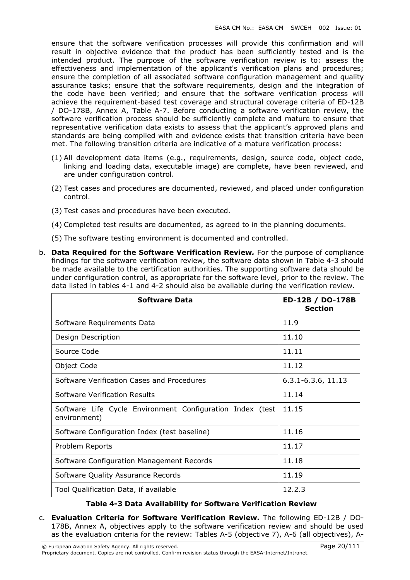ensure that the software verification processes will provide this confirmation and will result in objective evidence that the product has been sufficiently tested and is the intended product. The purpose of the software verification review is to: assess the effectiveness and implementation of the applicant's verification plans and procedures; ensure the completion of all associated software configuration management and quality assurance tasks; ensure that the software requirements, design and the integration of the code have been verified; and ensure that the software verification process will achieve the requirement-based test coverage and structural coverage criteria of ED-12B / DO-178B, Annex A, Table A-7. Before conducting a software verification review, the software verification process should be sufficiently complete and mature to ensure that representative verification data exists to assess that the applicant's approved plans and standards are being complied with and evidence exists that transition criteria have been met. The following transition criteria are indicative of a mature verification process:

- (1) All development data items (e.g., requirements, design, source code, object code, linking and loading data, executable image) are complete, have been reviewed, and are under configuration control.
- (2) Test cases and procedures are documented, reviewed, and placed under configuration control.
- (3) Test cases and procedures have been executed.
- (4) Completed test results are documented, as agreed to in the planning documents.
- (5) The software testing environment is documented and controlled.
- b. Data Required for the Software Verification Review. For the purpose of compliance findings for the software verification review, the software data shown in Table 4-3 should be made available to the certification authorities. The supporting software data should be under configuration control, as appropriate for the software level, prior to the review. The data listed in tables 4-1 and 4-2 should also be available during the verification review.

| <b>Software Data</b>                                                      | ED-12B / DO-178B<br><b>Section</b> |
|---------------------------------------------------------------------------|------------------------------------|
| Software Requirements Data                                                | 11.9                               |
| Design Description                                                        | 11.10                              |
| Source Code                                                               | 11.11                              |
| Object Code                                                               | 11.12                              |
| Software Verification Cases and Procedures                                | $6.3.1 - 6.3.6, 11.13$             |
| Software Verification Results                                             | 11.14                              |
| Software Life Cycle Environment Configuration Index (test<br>environment) | 11.15                              |
| Software Configuration Index (test baseline)                              | 11.16                              |
| Problem Reports                                                           | 11.17                              |
| Software Configuration Management Records                                 | 11.18                              |
| Software Quality Assurance Records                                        | 11.19                              |
| Tool Qualification Data, if available                                     | 12.2.3                             |

#### Table 4-3 Data Availability for Software Verification Review

c. Evaluation Criteria for Software Verification Review. The following ED-12B / DO-178B, Annex A, objectives apply to the software verification review and should be used as the evaluation criteria for the review: Tables A-5 (objective 7), A-6 (all objectives), A-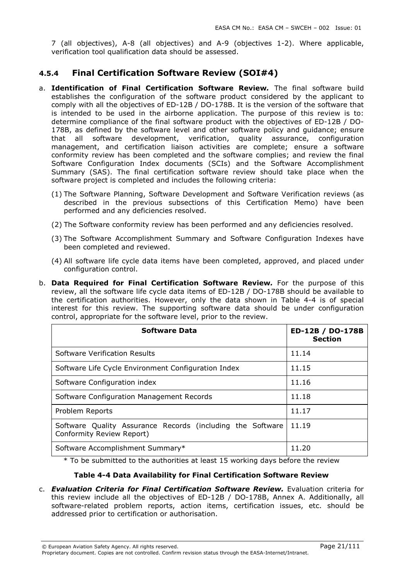7 (all objectives), A-8 (all objectives) and A-9 (objectives 1-2). Where applicable, verification tool qualification data should be assessed.

### 4.5.4 Final Certification Software Review (SOI#4)

- a. Identification of Final Certification Software Review. The final software build establishes the configuration of the software product considered by the applicant to comply with all the objectives of ED-12B / DO-178B. It is the version of the software that is intended to be used in the airborne application. The purpose of this review is to: determine compliance of the final software product with the objectives of ED-12B / DO-178B, as defined by the software level and other software policy and guidance; ensure that all software development, verification, quality assurance, configuration management, and certification liaison activities are complete; ensure a software conformity review has been completed and the software complies; and review the final Software Configuration Index documents (SCIs) and the Software Accomplishment Summary (SAS). The final certification software review should take place when the software project is completed and includes the following criteria:
	- (1) The Software Planning, Software Development and Software Verification reviews (as described in the previous subsections of this Certification Memo) have been performed and any deficiencies resolved.
	- (2) The Software conformity review has been performed and any deficiencies resolved.
	- (3) The Software Accomplishment Summary and Software Configuration Indexes have been completed and reviewed.
	- (4) All software life cycle data items have been completed, approved, and placed under configuration control.
- b. Data Required for Final Certification Software Review. For the purpose of this review, all the software life cycle data items of ED-12B / DO-178B should be available to the certification authorities. However, only the data shown in Table 4-4 is of special interest for this review. The supporting software data should be under configuration control, appropriate for the software level, prior to the review.

| <b>Software Data</b>                                                                    | ED-12B / DO-178B<br><b>Section</b> |
|-----------------------------------------------------------------------------------------|------------------------------------|
| Software Verification Results                                                           | 11.14                              |
| Software Life Cycle Environment Configuration Index                                     | 11.15                              |
| Software Configuration index                                                            | 11.16                              |
| Software Configuration Management Records                                               | 11.18                              |
| Problem Reports                                                                         | 11.17                              |
| Software Quality Assurance Records (including the Software<br>Conformity Review Report) | 11.19                              |
| Software Accomplishment Summary*                                                        | 11.20                              |

\* To be submitted to the authorities at least 15 working days before the review

#### Table 4-4 Data Availability for Final Certification Software Review

c. Evaluation Criteria for Final Certification Software Review. Evaluation criteria for this review include all the objectives of ED-12B / DO-178B, Annex A. Additionally, all software-related problem reports, action items, certification issues, etc. should be addressed prior to certification or authorisation.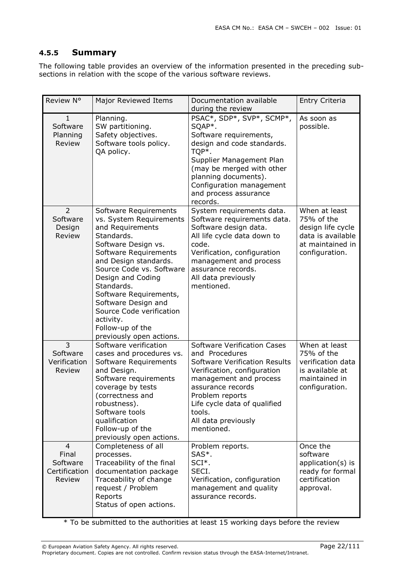### 4.5.5 Summary

The following table provides an overview of the information presented in the preceding subsections in relation with the scope of the various software reviews.

| Review N°                                                      | Major Reviewed Items                                                                                                                                                                                                                                                                                                                                                 | Documentation available<br>during the review                                                                                                                                                                                                                                 | Entry Criteria                                                                                              |
|----------------------------------------------------------------|----------------------------------------------------------------------------------------------------------------------------------------------------------------------------------------------------------------------------------------------------------------------------------------------------------------------------------------------------------------------|------------------------------------------------------------------------------------------------------------------------------------------------------------------------------------------------------------------------------------------------------------------------------|-------------------------------------------------------------------------------------------------------------|
| $\mathbf{1}$<br>Software<br>Planning<br>Review                 | Planning.<br>SW partitioning.<br>Safety objectives.<br>Software tools policy.<br>QA policy.                                                                                                                                                                                                                                                                          | PSAC*, SDP*, SVP*, SCMP*,<br>SQAP*.<br>Software requirements,<br>design and code standards.<br>TQP*.<br>Supplier Management Plan<br>(may be merged with other<br>planning documents).<br>Configuration management<br>and process assurance<br>records.                       | As soon as<br>possible.                                                                                     |
| 2<br>Software<br>Design<br>Review                              | Software Requirements<br>vs. System Requirements<br>and Requirements<br>Standards.<br>Software Design vs.<br>Software Requirements<br>and Design standards.<br>Source Code vs. Software<br>Design and Coding<br>Standards.<br>Software Requirements,<br>Software Design and<br>Source Code verification<br>activity.<br>Follow-up of the<br>previously open actions. | System requirements data.<br>Software requirements data.<br>Software design data.<br>All life cycle data down to<br>code.<br>Verification, configuration<br>management and process<br>assurance records.<br>All data previously<br>mentioned.                                | When at least<br>75% of the<br>design life cycle<br>data is available<br>at maintained in<br>configuration. |
| 3<br>Software<br>Verification<br>Review                        | Software verification<br>cases and procedures vs.<br>Software Requirements<br>and Design.<br>Software requirements<br>coverage by tests<br>(correctness and<br>robustness).<br>Software tools<br>qualification<br>Follow-up of the<br>previously open actions.                                                                                                       | <b>Software Verification Cases</b><br>and Procedures<br><b>Software Verification Results</b><br>Verification, configuration<br>management and process<br>assurance records<br>Problem reports<br>Life cycle data of qualified<br>tools.<br>All data previously<br>mentioned. | When at least<br>75% of the<br>verification data<br>is available at<br>maintained in<br>configuration.      |
| $\overline{4}$<br>Final<br>Software<br>Certification<br>Review | Completeness of all<br>processes.<br>Traceability of the final<br>documentation package<br>Traceability of change<br>request / Problem<br>Reports<br>Status of open actions.                                                                                                                                                                                         | Problem reports.<br>SAS*.<br>SCI <sup>*</sup> .<br>SECI.<br>Verification, configuration<br>management and quality<br>assurance records.                                                                                                                                      | Once the<br>software<br>application(s) is<br>ready for formal<br>certification<br>approval.                 |

\* To be submitted to the authorities at least 15 working days before the review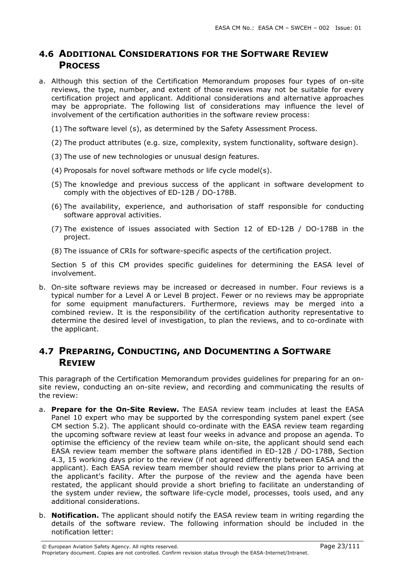### 4.6 ADDITIONAL CONSIDERATIONS FOR THE SOFTWARE REVIEW **PROCESS**

a. Although this section of the Certification Memorandum proposes four types of on-site reviews, the type, number, and extent of those reviews may not be suitable for every certification project and applicant. Additional considerations and alternative approaches may be appropriate. The following list of considerations may influence the level of involvement of the certification authorities in the software review process:

(1) The software level (s), as determined by the Safety Assessment Process.

- (2) The product attributes (e.g. size, complexity, system functionality, software design).
- (3) The use of new technologies or unusual design features.
- (4) Proposals for novel software methods or life cycle model(s).
- (5) The knowledge and previous success of the applicant in software development to comply with the objectives of ED-12B / DO-178B.
- (6) The availability, experience, and authorisation of staff responsible for conducting software approval activities.
- (7) The existence of issues associated with Section 12 of ED-12B / DO-178B in the project.
- (8) The issuance of CRIs for software-specific aspects of the certification project.

Section 5 of this CM provides specific guidelines for determining the EASA level of involvement.

b. On-site software reviews may be increased or decreased in number. Four reviews is a typical number for a Level A or Level B project. Fewer or no reviews may be appropriate for some equipment manufacturers. Furthermore, reviews may be merged into a combined review. It is the responsibility of the certification authority representative to determine the desired level of investigation, to plan the reviews, and to co-ordinate with the applicant.

## 4.7 PREPARING, CONDUCTING, AND DOCUMENTING A SOFTWARE REVIEW

This paragraph of the Certification Memorandum provides guidelines for preparing for an onsite review, conducting an on-site review, and recording and communicating the results of the review:

- a. Prepare for the On-Site Review. The EASA review team includes at least the EASA Panel 10 expert who may be supported by the corresponding system panel expert (see CM section 5.2). The applicant should co-ordinate with the EASA review team regarding the upcoming software review at least four weeks in advance and propose an agenda. To optimise the efficiency of the review team while on-site, the applicant should send each EASA review team member the software plans identified in ED-12B / DO-178B, Section 4.3, 15 working days prior to the review (if not agreed differently between EASA and the applicant). Each EASA review team member should review the plans prior to arriving at the applicant's facility. After the purpose of the review and the agenda have been restated, the applicant should provide a short briefing to facilitate an understanding of the system under review, the software life-cycle model, processes, tools used, and any additional considerations.
- b. Notification. The applicant should notify the EASA review team in writing regarding the details of the software review. The following information should be included in the notification letter: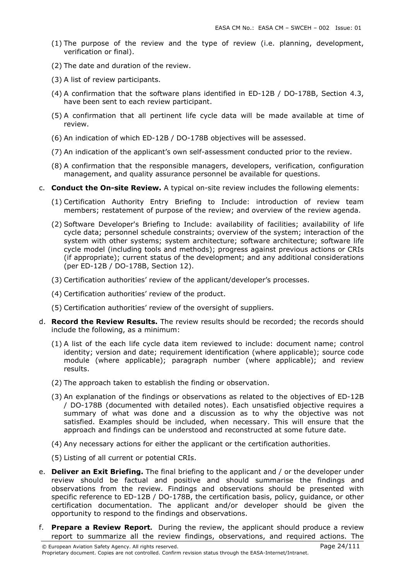- (1) The purpose of the review and the type of review (i.e. planning, development, verification or final).
- (2) The date and duration of the review.
- (3) A list of review participants.
- (4) A confirmation that the software plans identified in ED-12B / DO-178B, Section 4.3, have been sent to each review participant.
- (5) A confirmation that all pertinent life cycle data will be made available at time of review.
- (6) An indication of which ED-12B / DO-178B objectives will be assessed.
- (7) An indication of the applicant's own self-assessment conducted prior to the review.
- (8) A confirmation that the responsible managers, developers, verification, configuration management, and quality assurance personnel be available for questions.
- c. Conduct the On-site Review. A typical on-site review includes the following elements:
	- (1) Certification Authority Entry Briefing to Include: introduction of review team members; restatement of purpose of the review; and overview of the review agenda.
	- (2) Software Developer's Briefing to Include: availability of facilities; availability of life cycle data; personnel schedule constraints; overview of the system; interaction of the system with other systems; system architecture; software architecture; software life cycle model (including tools and methods); progress against previous actions or CRIs (if appropriate); current status of the development; and any additional considerations (per ED-12B / DO-178B, Section 12).
	- (3) Certification authorities' review of the applicant/developer's processes.
	- (4) Certification authorities' review of the product.
	- (5) Certification authorities' review of the oversight of suppliers.
- d. Record the Review Results. The review results should be recorded; the records should include the following, as a minimum:
	- (1) A list of the each life cycle data item reviewed to include: document name; control identity; version and date; requirement identification (where applicable); source code module (where applicable); paragraph number (where applicable); and review results.
	- (2) The approach taken to establish the finding or observation.
	- (3) An explanation of the findings or observations as related to the objectives of ED-12B / DO-178B (documented with detailed notes). Each unsatisfied objective requires a summary of what was done and a discussion as to why the objective was not satisfied. Examples should be included, when necessary. This will ensure that the approach and findings can be understood and reconstructed at some future date.
	- (4) Any necessary actions for either the applicant or the certification authorities.
	- (5) Listing of all current or potential CRIs.
- e. **Deliver an Exit Briefing.** The final briefing to the applicant and / or the developer under review should be factual and positive and should summarise the findings and observations from the review. Findings and observations should be presented with specific reference to ED-12B / DO-178B, the certification basis, policy, guidance, or other certification documentation. The applicant and/or developer should be given the opportunity to respond to the findings and observations.
- f. Prepare a Review Report**.** During the review, the applicant should produce a review report to summarize all the review findings, observations, and required actions. The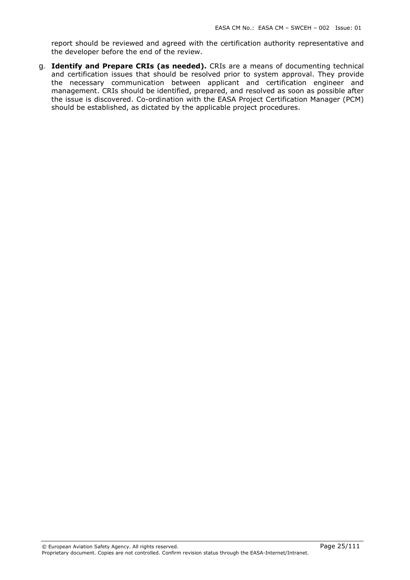report should be reviewed and agreed with the certification authority representative and the developer before the end of the review.

g. Identify and Prepare CRIs (as needed). CRIs are a means of documenting technical and certification issues that should be resolved prior to system approval. They provide the necessary communication between applicant and certification engineer and management. CRIs should be identified, prepared, and resolved as soon as possible after the issue is discovered. Co-ordination with the EASA Project Certification Manager (PCM) should be established, as dictated by the applicable project procedures.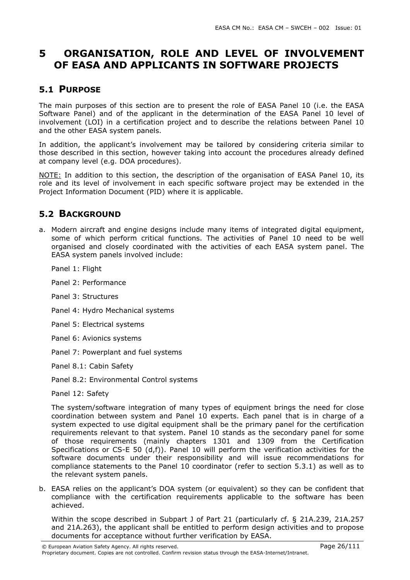# 5 ORGANISATION, ROLE AND LEVEL OF INVOLVEMENT OF EASA AND APPLICANTS IN SOFTWARE PROJECTS

### 5.1 PURPOSE

The main purposes of this section are to present the role of EASA Panel 10 (i.e. the EASA Software Panel) and of the applicant in the determination of the EASA Panel 10 level of involvement (LOI) in a certification project and to describe the relations between Panel 10 and the other EASA system panels.

In addition, the applicant's involvement may be tailored by considering criteria similar to those described in this section, however taking into account the procedures already defined at company level (e.g. DOA procedures).

NOTE: In addition to this section, the description of the organisation of EASA Panel 10, its role and its level of involvement in each specific software project may be extended in the Project Information Document (PID) where it is applicable.

### 5.2 BACKGROUND

- a. Modern aircraft and engine designs include many items of integrated digital equipment, some of which perform critical functions. The activities of Panel 10 need to be well organised and closely coordinated with the activities of each EASA system panel. The EASA system panels involved include:
	- Panel 1: Flight
	- Panel 2: Performance
	- Panel 3: Structures
	- Panel 4: Hydro Mechanical systems
	- Panel 5: Electrical systems
	- Panel 6: Avionics systems
	- Panel 7: Powerplant and fuel systems
	- Panel 8.1: Cabin Safety
	- Panel 8.2: Environmental Control systems
	- Panel 12: Safety

The system/software integration of many types of equipment brings the need for close coordination between system and Panel 10 experts. Each panel that is in charge of a system expected to use digital equipment shall be the primary panel for the certification requirements relevant to that system. Panel 10 stands as the secondary panel for some of those requirements (mainly chapters 1301 and 1309 from the Certification Specifications or CS-E 50 (d,f)). Panel 10 will perform the verification activities for the software documents under their responsibility and will issue recommendations for compliance statements to the Panel 10 coordinator (refer to section 5.3.1) as well as to the relevant system panels.

b. EASA relies on the applicant's DOA system (or equivalent) so they can be confident that compliance with the certification requirements applicable to the software has been achieved.

Within the scope described in Subpart J of Part 21 (particularly cf. § 21A.239, 21A.257 and 21A.263), the applicant shall be entitled to perform design activities and to propose documents for acceptance without further verification by EASA.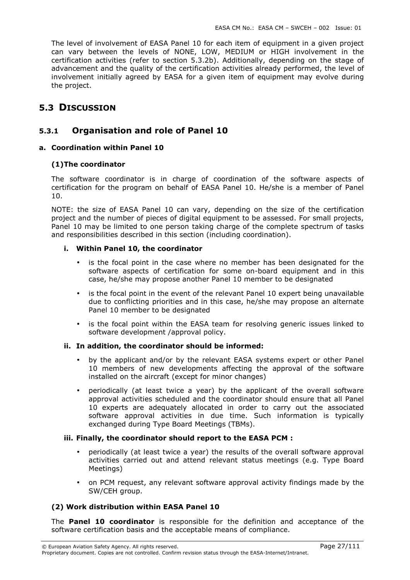The level of involvement of EASA Panel 10 for each item of equipment in a given project can vary between the levels of NONE, LOW, MEDIUM or HIGH involvement in the certification activities (refer to section 5.3.2b). Additionally, depending on the stage of advancement and the quality of the certification activities already performed, the level of involvement initially agreed by EASA for a given item of equipment may evolve during the project.

## 5.3 DISCUSSION

### 5.3.1 Organisation and role of Panel 10

#### a. Coordination within Panel 10

#### (1)The coordinator

The software coordinator is in charge of coordination of the software aspects of certification for the program on behalf of EASA Panel 10. He/she is a member of Panel 10.

NOTE: the size of EASA Panel 10 can vary, depending on the size of the certification project and the number of pieces of digital equipment to be assessed. For small projects, Panel 10 may be limited to one person taking charge of the complete spectrum of tasks and responsibilities described in this section (including coordination).

#### i. Within Panel 10, the coordinator

- is the focal point in the case where no member has been designated for the software aspects of certification for some on-board equipment and in this case, he/she may propose another Panel 10 member to be designated
- is the focal point in the event of the relevant Panel 10 expert being unavailable due to conflicting priorities and in this case, he/she may propose an alternate Panel 10 member to be designated
- is the focal point within the EASA team for resolving generic issues linked to software development /approval policy.

#### ii. In addition, the coordinator should be informed:

- by the applicant and/or by the relevant EASA systems expert or other Panel 10 members of new developments affecting the approval of the software installed on the aircraft (except for minor changes)
- periodically (at least twice a year) by the applicant of the overall software approval activities scheduled and the coordinator should ensure that all Panel 10 experts are adequately allocated in order to carry out the associated software approval activities in due time. Such information is typically exchanged during Type Board Meetings (TBMs).

#### iii. Finally, the coordinator should report to the EASA PCM :

- periodically (at least twice a year) the results of the overall software approval activities carried out and attend relevant status meetings (e.g. Type Board Meetings)
- on PCM request, any relevant software approval activity findings made by the SW/CEH group.

#### (2) Work distribution within EASA Panel 10

The **Panel 10 coordinator** is responsible for the definition and acceptance of the software certification basis and the acceptable means of compliance.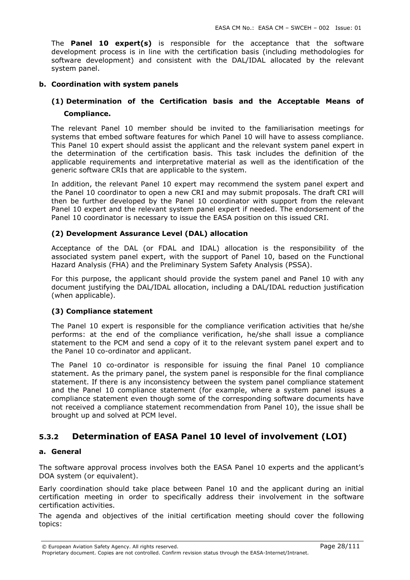The **Panel 10 expert(s)** is responsible for the acceptance that the software development process is in line with the certification basis (including methodologies for software development) and consistent with the DAL/IDAL allocated by the relevant system panel.

#### b. Coordination with system panels

### (1) Determination of the Certification basis and the Acceptable Means of Compliance.

The relevant Panel 10 member should be invited to the familiarisation meetings for systems that embed software features for which Panel 10 will have to assess compliance. This Panel 10 expert should assist the applicant and the relevant system panel expert in the determination of the certification basis. This task includes the definition of the applicable requirements and interpretative material as well as the identification of the generic software CRIs that are applicable to the system.

In addition, the relevant Panel 10 expert may recommend the system panel expert and the Panel 10 coordinator to open a new CRI and may submit proposals. The draft CRI will then be further developed by the Panel 10 coordinator with support from the relevant Panel 10 expert and the relevant system panel expert if needed. The endorsement of the Panel 10 coordinator is necessary to issue the EASA position on this issued CRI.

#### (2) Development Assurance Level (DAL) allocation

Acceptance of the DAL (or FDAL and IDAL) allocation is the responsibility of the associated system panel expert, with the support of Panel 10, based on the Functional Hazard Analysis (FHA) and the Preliminary System Safety Analysis (PSSA).

For this purpose, the applicant should provide the system panel and Panel 10 with any document justifying the DAL/IDAL allocation, including a DAL/IDAL reduction justification (when applicable).

#### (3) Compliance statement

The Panel 10 expert is responsible for the compliance verification activities that he/she performs: at the end of the compliance verification, he/she shall issue a compliance statement to the PCM and send a copy of it to the relevant system panel expert and to the Panel 10 co-ordinator and applicant.

The Panel 10 co-ordinator is responsible for issuing the final Panel 10 compliance statement. As the primary panel, the system panel is responsible for the final compliance statement. If there is any inconsistency between the system panel compliance statement and the Panel 10 compliance statement (for example, where a system panel issues a compliance statement even though some of the corresponding software documents have not received a compliance statement recommendation from Panel 10), the issue shall be brought up and solved at PCM level.

#### 5.3.2 Determination of EASA Panel 10 level of involvement (LOI)

#### a. General

The software approval process involves both the EASA Panel 10 experts and the applicant's DOA system (or equivalent).

Early coordination should take place between Panel 10 and the applicant during an initial certification meeting in order to specifically address their involvement in the software certification activities.

The agenda and objectives of the initial certification meeting should cover the following topics: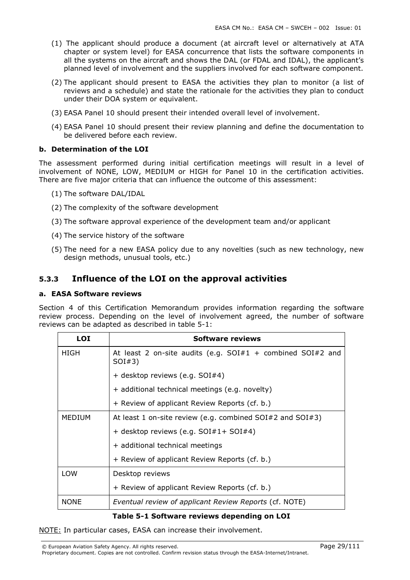- (1) The applicant should produce a document (at aircraft level or alternatively at ATA chapter or system level) for EASA concurrence that lists the software components in all the systems on the aircraft and shows the DAL (or FDAL and IDAL), the applicant's planned level of involvement and the suppliers involved for each software component.
- (2) The applicant should present to EASA the activities they plan to monitor (a list of reviews and a schedule) and state the rationale for the activities they plan to conduct under their DOA system or equivalent.
- (3) EASA Panel 10 should present their intended overall level of involvement.
- (4) EASA Panel 10 should present their review planning and define the documentation to be delivered before each review.

#### b. Determination of the LOI

The assessment performed during initial certification meetings will result in a level of involvement of NONE, LOW, MEDIUM or HIGH for Panel 10 in the certification activities. There are five major criteria that can influence the outcome of this assessment:

- (1) The software DAL/IDAL
- (2) The complexity of the software development
- (3) The software approval experience of the development team and/or applicant
- (4) The service history of the software
- (5) The need for a new EASA policy due to any novelties (such as new technology, new design methods, unusual tools, etc.)

### 5.3.3 Influence of the LOI on the approval activities

#### a. EASA Software reviews

Section 4 of this Certification Memorandum provides information regarding the software review process. Depending on the level of involvement agreed, the number of software reviews can be adapted as described in table 5-1:

| <b>LOI</b>    | Software reviews                                                                                                                           |  |  |  |
|---------------|--------------------------------------------------------------------------------------------------------------------------------------------|--|--|--|
| HIGH          | At least 2 on-site audits (e.g. $SOI#1$ + combined $SOI#2$ and<br>SOI#3)                                                                   |  |  |  |
|               | + desktop reviews (e.g. SOI#4)                                                                                                             |  |  |  |
|               | + additional technical meetings (e.g. novelty)                                                                                             |  |  |  |
|               | + Review of applicant Review Reports (cf. b.)                                                                                              |  |  |  |
| <b>MEDIUM</b> | At least 1 on-site review (e.g. combined $SOI#2$ and $SOI#3$ )<br>+ desktop reviews (e.g. SOI#1+ SOI#4)<br>+ additional technical meetings |  |  |  |
|               |                                                                                                                                            |  |  |  |
|               |                                                                                                                                            |  |  |  |
|               | + Review of applicant Review Reports (cf. b.)                                                                                              |  |  |  |
| <b>LOW</b>    | Desktop reviews                                                                                                                            |  |  |  |
|               | + Review of applicant Review Reports (cf. b.)                                                                                              |  |  |  |
| <b>NONE</b>   | Eventual review of applicant Review Reports (cf. NOTE)                                                                                     |  |  |  |

#### Table 5-1 Software reviews depending on LOI

NOTE: In particular cases, EASA can increase their involvement.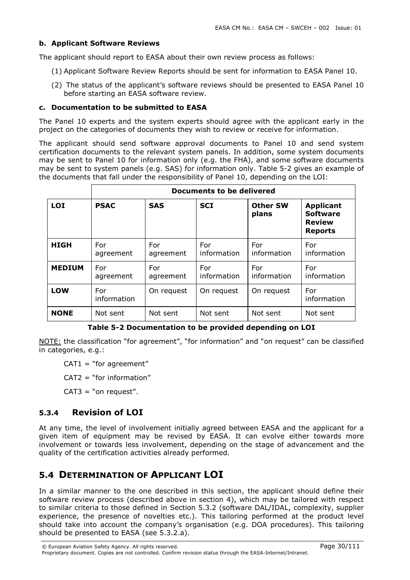#### b. Applicant Software Reviews

The applicant should report to EASA about their own review process as follows:

- (1) Applicant Software Review Reports should be sent for information to EASA Panel 10.
- (2) The status of the applicant's software reviews should be presented to EASA Panel 10 before starting an EASA software review.

#### c. Documentation to be submitted to EASA

The Panel 10 experts and the system experts should agree with the applicant early in the project on the categories of documents they wish to review or receive for information.

The applicant should send software approval documents to Panel 10 and send system certification documents to the relevant system panels. In addition, some system documents may be sent to Panel 10 for information only (e.g. the FHA), and some software documents may be sent to system panels (e.g. SAS) for information only. Table 5-2 gives an example of the documents that fall under the responsibility of Panel 10, depending on the LOI:

|               | Documents to be delivered |                  |                    |                          |                                                                        |
|---------------|---------------------------|------------------|--------------------|--------------------------|------------------------------------------------------------------------|
| <b>LOI</b>    | <b>PSAC</b>               | <b>SAS</b>       | <b>SCI</b>         | <b>Other SW</b><br>plans | <b>Applicant</b><br><b>Software</b><br><b>Review</b><br><b>Reports</b> |
| <b>HIGH</b>   | For<br>agreement          | For<br>agreement | For<br>information | For<br>information       | For<br>information                                                     |
| <b>MEDIUM</b> | For<br>agreement          | For<br>agreement | For<br>information | For<br>information       | For<br>information                                                     |
| LOW           | For<br>information        | On reguest       | On request         | On request               | For<br>information                                                     |
| <b>NONE</b>   | Not sent                  | Not sent         | Not sent           | Not sent                 | Not sent                                                               |

#### Table 5-2 Documentation to be provided depending on LOI

NOTE: the classification "for agreement", "for information" and "on request" can be classified in categories, e.g.:

 $CAT1 = "for agreement"$ 

 $CAT2 = "for information"$ 

 $CAT3 = "on request".$ 

### 5.3.4 Revision of LOI

At any time, the level of involvement initially agreed between EASA and the applicant for a given item of equipment may be revised by EASA. It can evolve either towards more involvement or towards less involvement, depending on the stage of advancement and the quality of the certification activities already performed.

## 5.4 DETERMINATION OF APPLICANT LOI

In a similar manner to the one described in this section, the applicant should define their software review process (described above in section 4), which may be tailored with respect to similar criteria to those defined in Section 5.3.2 (software DAL/IDAL, complexity, supplier experience, the presence of novelties etc.). This tailoring performed at the product level should take into account the company's organisation (e.g. DOA procedures). This tailoring should be presented to EASA (see 5.3.2.a).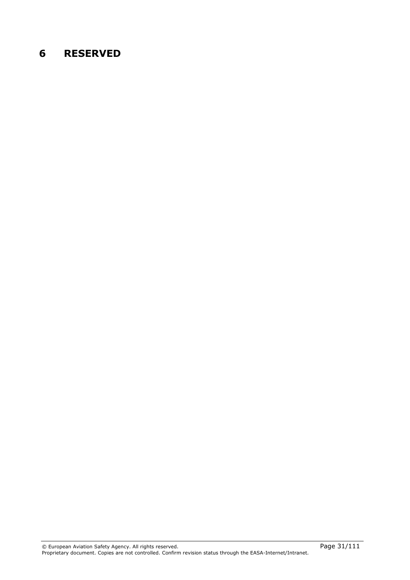# 6 RESERVED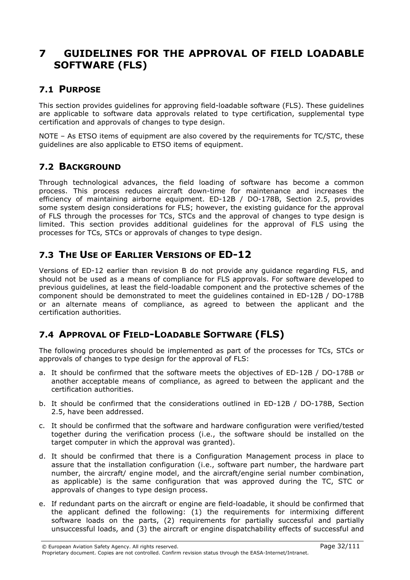# 7 GUIDELINES FOR THE APPROVAL OF FIELD LOADABLE SOFTWARE (FLS)

### 7.1 PURPOSE

This section provides guidelines for approving field-loadable software (FLS). These guidelines are applicable to software data approvals related to type certification, supplemental type certification and approvals of changes to type design.

NOTE – As ETSO items of equipment are also covered by the requirements for TC/STC, these guidelines are also applicable to ETSO items of equipment.

## 7.2 BACKGROUND

Through technological advances, the field loading of software has become a common process. This process reduces aircraft down-time for maintenance and increases the efficiency of maintaining airborne equipment. ED-12B / DO-178B, Section 2.5, provides some system design considerations for FLS; however, the existing guidance for the approval of FLS through the processes for TCs, STCs and the approval of changes to type design is limited. This section provides additional guidelines for the approval of FLS using the processes for TCs, STCs or approvals of changes to type design.

## 7.3 THE USE OF EARLIER VERSIONS OF ED-12

Versions of ED-12 earlier than revision B do not provide any guidance regarding FLS, and should not be used as a means of compliance for FLS approvals. For software developed to previous guidelines, at least the field-loadable component and the protective schemes of the component should be demonstrated to meet the guidelines contained in ED-12B / DO-178B or an alternate means of compliance, as agreed to between the applicant and the certification authorities.

## 7.4 APPROVAL OF FIELD-LOADABLE SOFTWARE (FLS)

The following procedures should be implemented as part of the processes for TCs, STCs or approvals of changes to type design for the approval of FLS:

- a. It should be confirmed that the software meets the objectives of ED-12B / DO-178B or another acceptable means of compliance, as agreed to between the applicant and the certification authorities.
- b. It should be confirmed that the considerations outlined in ED-12B / DO-178B, Section 2.5, have been addressed.
- c. It should be confirmed that the software and hardware configuration were verified/tested together during the verification process (i.e., the software should be installed on the target computer in which the approval was granted).
- d. It should be confirmed that there is a Configuration Management process in place to assure that the installation configuration (i.e., software part number, the hardware part number, the aircraft/ engine model, and the aircraft/engine serial number combination, as applicable) is the same configuration that was approved during the TC, STC or approvals of changes to type design process.
- e. If redundant parts on the aircraft or engine are field-loadable, it should be confirmed that the applicant defined the following: (1) the requirements for intermixing different software loads on the parts, (2) requirements for partially successful and partially unsuccessful loads, and (3) the aircraft or engine dispatchability effects of successful and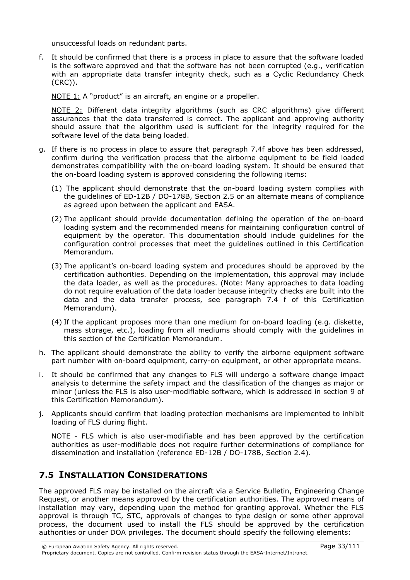unsuccessful loads on redundant parts.

f. It should be confirmed that there is a process in place to assure that the software loaded is the software approved and that the software has not been corrupted (e.g., verification with an appropriate data transfer integrity check, such as a Cyclic Redundancy Check (CRC)).

NOTE 1: A "product" is an aircraft, an engine or a propeller.

NOTE 2: Different data integrity algorithms (such as CRC algorithms) give different assurances that the data transferred is correct. The applicant and approving authority should assure that the algorithm used is sufficient for the integrity required for the software level of the data being loaded.

- g. If there is no process in place to assure that paragraph 7.4f above has been addressed, confirm during the verification process that the airborne equipment to be field loaded demonstrates compatibility with the on-board loading system. It should be ensured that the on-board loading system is approved considering the following items:
	- (1) The applicant should demonstrate that the on-board loading system complies with the guidelines of ED-12B / DO-178B, Section 2.5 or an alternate means of compliance as agreed upon between the applicant and EASA.
	- (2) The applicant should provide documentation defining the operation of the on-board loading system and the recommended means for maintaining configuration control of equipment by the operator. This documentation should include guidelines for the configuration control processes that meet the guidelines outlined in this Certification Memorandum.
	- (3) The applicant's on-board loading system and procedures should be approved by the certification authorities. Depending on the implementation, this approval may include the data loader, as well as the procedures. (Note: Many approaches to data loading do not require evaluation of the data loader because integrity checks are built into the data and the data transfer process, see paragraph 7.4 f of this Certification Memorandum).
	- (4) If the applicant proposes more than one medium for on-board loading (e.g. diskette, mass storage, etc.), loading from all mediums should comply with the guidelines in this section of the Certification Memorandum.
- h. The applicant should demonstrate the ability to verify the airborne equipment software part number with on-board equipment, carry-on equipment, or other appropriate means.
- i. It should be confirmed that any changes to FLS will undergo a software change impact analysis to determine the safety impact and the classification of the changes as major or minor (unless the FLS is also user-modifiable software, which is addressed in section 9 of this Certification Memorandum).
- j. Applicants should confirm that loading protection mechanisms are implemented to inhibit loading of FLS during flight.

NOTE - FLS which is also user-modifiable and has been approved by the certification authorities as user-modifiable does not require further determinations of compliance for dissemination and installation (reference ED-12B / DO-178B, Section 2.4).

## 7.5 INSTALLATION CONSIDERATIONS

The approved FLS may be installed on the aircraft via a Service Bulletin, Engineering Change Request, or another means approved by the certification authorities. The approved means of installation may vary, depending upon the method for granting approval. Whether the FLS approval is through TC, STC, approvals of changes to type design or some other approval process, the document used to install the FLS should be approved by the certification authorities or under DOA privileges. The document should specify the following elements: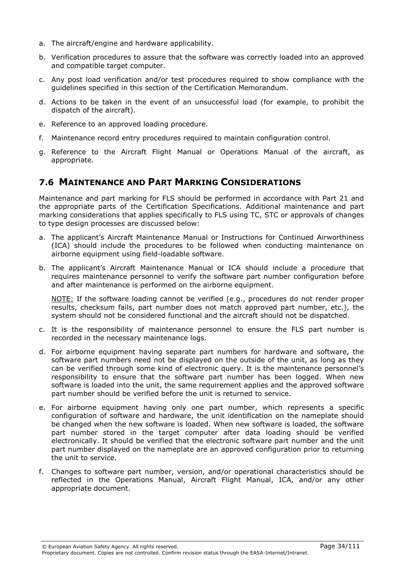- a. The aircraft/engine and hardware applicability.
- b. Verification procedures to assure that the software was correctly loaded into an approved and compatible target computer.
- c. Any post load verification and/or test procedures required to show compliance with the guidelines specified in this section of the Certification Memorandum.
- d. Actions to be taken in the event of an unsuccessful load (for example, to prohibit the dispatch of the aircraft).
- e. Reference to an approved loading procedure.
- f. Maintenance record entry procedures required to maintain configuration control.
- g. Reference to the Aircraft Flight Manual or Operations Manual of the aircraft, as appropriate.

## 7.6 MAINTENANCE AND PART MARKING CONSIDERATIONS

Maintenance and part marking for FLS should be performed in accordance with Part 21 and the appropriate parts of the Certification Specifications. Additional maintenance and part marking considerations that applies specifically to FLS using TC, STC or approvals of changes to type design processes are discussed below:

- a. The applicant's Aircraft Maintenance Manual or Instructions for Continued Airworthiness (ICA) should include the procedures to be followed when conducting maintenance on airborne equipment using field-loadable software.
- b. The applicant's Aircraft Maintenance Manual or ICA should include a procedure that requires maintenance personnel to verify the software part number configuration before and after maintenance is performed on the airborne equipment.

NOTE: If the software loading cannot be verified (e.g., procedures do not render proper results, checksum fails, part number does not match approved part number, etc.), the system should not be considered functional and the aircraft should not be dispatched.

- c. It is the responsibility of maintenance personnel to ensure the FLS part number is recorded in the necessary maintenance logs.
- d. For airborne equipment having separate part numbers for hardware and software, the software part numbers need not be displayed on the outside of the unit, as long as they can be verified through some kind of electronic query. It is the maintenance personnel's responsibility to ensure that the software part number has been logged. When new software is loaded into the unit, the same requirement applies and the approved software part number should be verified before the unit is returned to service.
- e. For airborne equipment having only one part number, which represents a specific configuration of software and hardware, the unit identification on the nameplate should be changed when the new software is loaded. When new software is loaded, the software part number stored in the target computer after data loading should be verified electronically. It should be verified that the electronic software part number and the unit part number displayed on the nameplate are an approved configuration prior to returning the unit to service.
- f. Changes to software part number, version, and/or operational characteristics should be reflected in the Operations Manual, Aircraft Flight Manual, ICA, and/or any other appropriate document.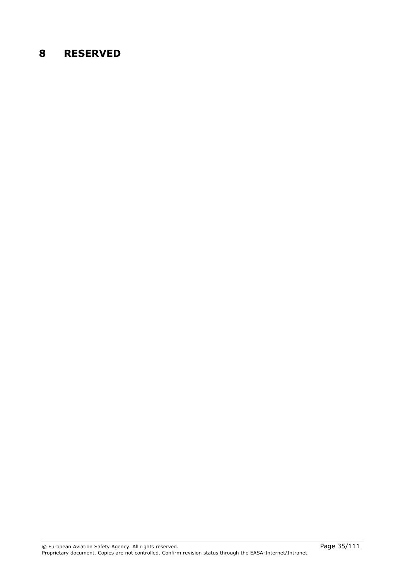# 8 RESERVED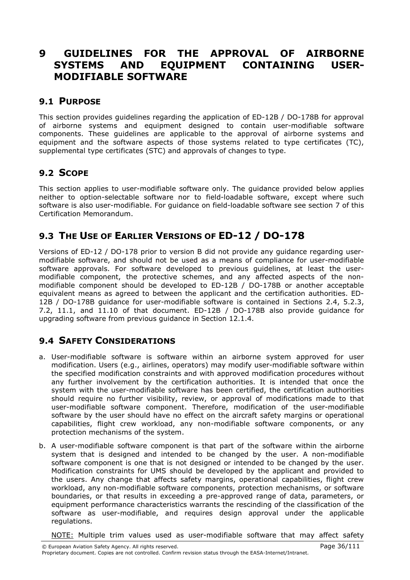# 9 GUIDELINES FOR THE APPROVAL OF AIRBORNE SYSTEMS AND EQUIPMENT CONTAINING USER-MODIFIABLE SOFTWARE

### 9.1 PURPOSE

This section provides guidelines regarding the application of ED-12B / DO-178B for approval of airborne systems and equipment designed to contain user-modifiable software components. These guidelines are applicable to the approval of airborne systems and equipment and the software aspects of those systems related to type certificates (TC), supplemental type certificates (STC) and approvals of changes to type.

## 9.2 SCOPE

This section applies to user-modifiable software only. The guidance provided below applies neither to option-selectable software nor to field-loadable software, except where such software is also user-modifiable. For guidance on field-loadable software see section 7 of this Certification Memorandum.

# 9.3 THE USE OF EARLIER VERSIONS OF ED-12 / DO-178

Versions of ED-12 / DO-178 prior to version B did not provide any guidance regarding usermodifiable software, and should not be used as a means of compliance for user-modifiable software approvals. For software developed to previous guidelines, at least the usermodifiable component, the protective schemes, and any affected aspects of the nonmodifiable component should be developed to ED-12B / DO-178B or another acceptable equivalent means as agreed to between the applicant and the certification authorities. ED-12B / DO-178B guidance for user-modifiable software is contained in Sections 2.4, 5.2.3, 7.2, 11.1, and 11.10 of that document. ED-12B / DO-178B also provide guidance for upgrading software from previous guidance in Section 12.1.4.

## 9.4 SAFETY CONSIDERATIONS

- a. User-modifiable software is software within an airborne system approved for user modification. Users (e.g., airlines, operators) may modify user-modifiable software within the specified modification constraints and with approved modification procedures without any further involvement by the certification authorities. It is intended that once the system with the user-modifiable software has been certified, the certification authorities should require no further visibility, review, or approval of modifications made to that user-modifiable software component. Therefore, modification of the user-modifiable software by the user should have no effect on the aircraft safety margins or operational capabilities, flight crew workload, any non-modifiable software components, or any protection mechanisms of the system.
- b. A user-modifiable software component is that part of the software within the airborne system that is designed and intended to be changed by the user. A non-modifiable software component is one that is not designed or intended to be changed by the user. Modification constraints for UMS should be developed by the applicant and provided to the users. Any change that affects safety margins, operational capabilities, flight crew workload, any non-modifiable software components, protection mechanisms, or software boundaries, or that results in exceeding a pre-approved range of data, parameters, or equipment performance characteristics warrants the rescinding of the classification of the software as user-modifiable, and requires design approval under the applicable regulations.

NOTE: Multiple trim values used as user-modifiable software that may affect safety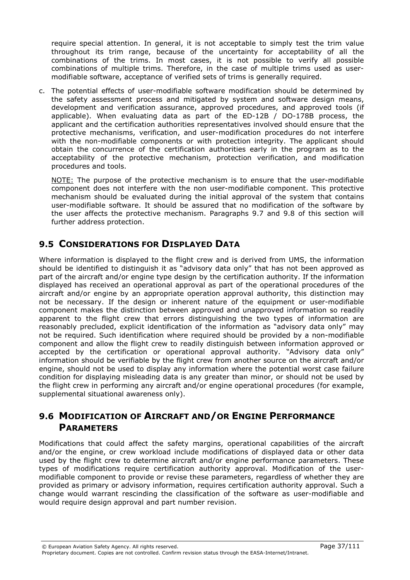require special attention. In general, it is not acceptable to simply test the trim value throughout its trim range, because of the uncertainty for acceptability of all the combinations of the trims. In most cases, it is not possible to verify all possible combinations of multiple trims. Therefore, in the case of multiple trims used as usermodifiable software, acceptance of verified sets of trims is generally required.

c. The potential effects of user-modifiable software modification should be determined by the safety assessment process and mitigated by system and software design means, development and verification assurance, approved procedures, and approved tools (if applicable). When evaluating data as part of the ED-12B / DO-178B process, the applicant and the certification authorities representatives involved should ensure that the protective mechanisms, verification, and user-modification procedures do not interfere with the non-modifiable components or with protection integrity. The applicant should obtain the concurrence of the certification authorities early in the program as to the acceptability of the protective mechanism, protection verification, and modification procedures and tools.

NOTE: The purpose of the protective mechanism is to ensure that the user-modifiable component does not interfere with the non user-modifiable component. This protective mechanism should be evaluated during the initial approval of the system that contains user-modifiable software. It should be assured that no modification of the software by the user affects the protective mechanism. Paragraphs 9.7 and 9.8 of this section will further address protection.

# 9.5 CONSIDERATIONS FOR DISPLAYED DATA

Where information is displayed to the flight crew and is derived from UMS, the information should be identified to distinguish it as "advisory data only" that has not been approved as part of the aircraft and/or engine type design by the certification authority. If the information displayed has received an operational approval as part of the operational procedures of the aircraft and/or engine by an appropriate operation approval authority, this distinction may not be necessary. If the design or inherent nature of the equipment or user-modifiable component makes the distinction between approved and unapproved information so readily apparent to the flight crew that errors distinguishing the two types of information are reasonably precluded, explicit identification of the information as "advisory data only" may not be required. Such identification where required should be provided by a non-modifiable component and allow the flight crew to readily distinguish between information approved or accepted by the certification or operational approval authority. "Advisory data only" information should be verifiable by the flight crew from another source on the aircraft and/or engine, should not be used to display any information where the potential worst case failure condition for displaying misleading data is any greater than minor, or should not be used by the flight crew in performing any aircraft and/or engine operational procedures (for example, supplemental situational awareness only).

## 9.6 MODIFICATION OF AIRCRAFT AND/OR ENGINE PERFORMANCE **PARAMETERS**

Modifications that could affect the safety margins, operational capabilities of the aircraft and/or the engine, or crew workload include modifications of displayed data or other data used by the flight crew to determine aircraft and/or engine performance parameters. These types of modifications require certification authority approval. Modification of the usermodifiable component to provide or revise these parameters, regardless of whether they are provided as primary or advisory information, requires certification authority approval. Such a change would warrant rescinding the classification of the software as user-modifiable and would require design approval and part number revision.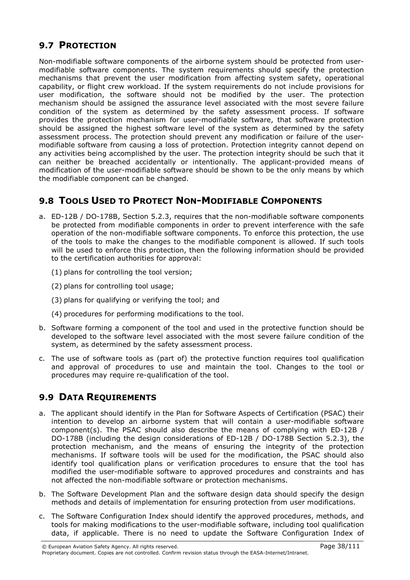## 9.7 PROTECTION

Non-modifiable software components of the airborne system should be protected from usermodifiable software components. The system requirements should specify the protection mechanisms that prevent the user modification from affecting system safety, operational capability, or flight crew workload. If the system requirements do not include provisions for user modification, the software should not be modified by the user. The protection mechanism should be assigned the assurance level associated with the most severe failure condition of the system as determined by the safety assessment process. If software provides the protection mechanism for user-modifiable software, that software protection should be assigned the highest software level of the system as determined by the safety assessment process. The protection should prevent any modification or failure of the usermodifiable software from causing a loss of protection. Protection integrity cannot depend on any activities being accomplished by the user. The protection integrity should be such that it can neither be breached accidentally or intentionally. The applicant-provided means of modification of the user-modifiable software should be shown to be the only means by which the modifiable component can be changed.

# 9.8 TOOLS USED TO PROTECT NON-MODIFIABLE COMPONENTS

- a. ED-12B / DO-178B, Section 5.2.3, requires that the non-modifiable software components be protected from modifiable components in order to prevent interference with the safe operation of the non-modifiable software components. To enforce this protection, the use of the tools to make the changes to the modifiable component is allowed. If such tools will be used to enforce this protection, then the following information should be provided to the certification authorities for approval:
	- (1) plans for controlling the tool version;
	- (2) plans for controlling tool usage;
	- (3) plans for qualifying or verifying the tool; and
	- (4) procedures for performing modifications to the tool.
- b. Software forming a component of the tool and used in the protective function should be developed to the software level associated with the most severe failure condition of the system, as determined by the safety assessment process.
- c. The use of software tools as (part of) the protective function requires tool qualification and approval of procedures to use and maintain the tool. Changes to the tool or procedures may require re-qualification of the tool.

# 9.9 DATA REQUIREMENTS

- a. The applicant should identify in the Plan for Software Aspects of Certification (PSAC) their intention to develop an airborne system that will contain a user-modifiable software component(s). The PSAC should also describe the means of complying with ED-12B / DO-178B (including the design considerations of ED-12B / DO-178B Section 5.2.3), the protection mechanism, and the means of ensuring the integrity of the protection mechanisms. If software tools will be used for the modification, the PSAC should also identify tool qualification plans or verification procedures to ensure that the tool has modified the user-modifiable software to approved procedures and constraints and has not affected the non-modifiable software or protection mechanisms.
- b. The Software Development Plan and the software design data should specify the design methods and details of implementation for ensuring protection from user modifications.
- c. The Software Configuration Index should identify the approved procedures, methods, and tools for making modifications to the user-modifiable software, including tool qualification data, if applicable. There is no need to update the Software Configuration Index of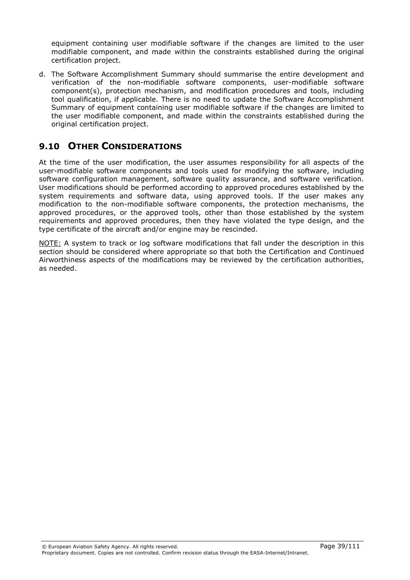equipment containing user modifiable software if the changes are limited to the user modifiable component, and made within the constraints established during the original certification project.

d. The Software Accomplishment Summary should summarise the entire development and verification of the non-modifiable software components, user-modifiable software component(s), protection mechanism, and modification procedures and tools, including tool qualification, if applicable. There is no need to update the Software Accomplishment Summary of equipment containing user modifiable software if the changes are limited to the user modifiable component, and made within the constraints established during the original certification project.

## 9.10 OTHER CONSIDERATIONS

At the time of the user modification, the user assumes responsibility for all aspects of the user-modifiable software components and tools used for modifying the software, including software configuration management, software quality assurance, and software verification. User modifications should be performed according to approved procedures established by the system requirements and software data, using approved tools. If the user makes any modification to the non-modifiable software components, the protection mechanisms, the approved procedures, or the approved tools, other than those established by the system requirements and approved procedures, then they have violated the type design, and the type certificate of the aircraft and/or engine may be rescinded.

NOTE: A system to track or log software modifications that fall under the description in this section should be considered where appropriate so that both the Certification and Continued Airworthiness aspects of the modifications may be reviewed by the certification authorities, as needed.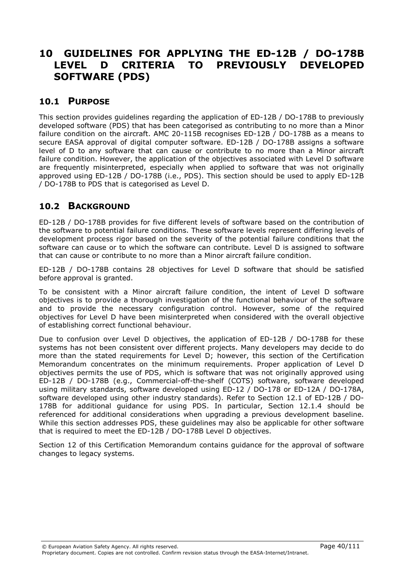# 10 GUIDELINES FOR APPLYING THE ED-12B / DO-178B LEVEL D CRITERIA TO PREVIOUSLY DEVELOPED SOFTWARE (PDS)

#### 10.1 PURPOSE

This section provides guidelines regarding the application of ED-12B / DO-178B to previously developed software (PDS) that has been categorised as contributing to no more than a Minor failure condition on the aircraft. AMC 20-115B recognises ED-12B / DO-178B as a means to secure EASA approval of digital computer software. ED-12B / DO-178B assigns a software level of D to any software that can cause or contribute to no more than a Minor aircraft failure condition. However, the application of the objectives associated with Level D software are frequently misinterpreted, especially when applied to software that was not originally approved using ED-12B / DO-178B (i.e., PDS). This section should be used to apply ED-12B / DO-178B to PDS that is categorised as Level D.

## 10.2 BACKGROUND

ED-12B / DO-178B provides for five different levels of software based on the contribution of the software to potential failure conditions. These software levels represent differing levels of development process rigor based on the severity of the potential failure conditions that the software can cause or to which the software can contribute. Level D is assigned to software that can cause or contribute to no more than a Minor aircraft failure condition.

ED-12B / DO-178B contains 28 objectives for Level D software that should be satisfied before approval is granted.

To be consistent with a Minor aircraft failure condition, the intent of Level D software objectives is to provide a thorough investigation of the functional behaviour of the software and to provide the necessary configuration control. However, some of the required objectives for Level D have been misinterpreted when considered with the overall objective of establishing correct functional behaviour.

Due to confusion over Level D objectives, the application of ED-12B / DO-178B for these systems has not been consistent over different projects. Many developers may decide to do more than the stated requirements for Level D; however, this section of the Certification Memorandum concentrates on the minimum requirements. Proper application of Level D objectives permits the use of PDS, which is software that was not originally approved using ED-12B / DO-178B (e.g., Commercial-off-the-shelf (COTS) software, software developed using military standards, software developed using ED-12 / DO-178 or ED-12A / DO-178A, software developed using other industry standards). Refer to Section 12.1 of ED-12B / DO-178B for additional guidance for using PDS. In particular, Section 12.1.4 should be referenced for additional considerations when upgrading a previous development baseline. While this section addresses PDS, these guidelines may also be applicable for other software that is required to meet the ED-12B / DO-178B Level D objectives.

Section 12 of this Certification Memorandum contains guidance for the approval of software changes to legacy systems.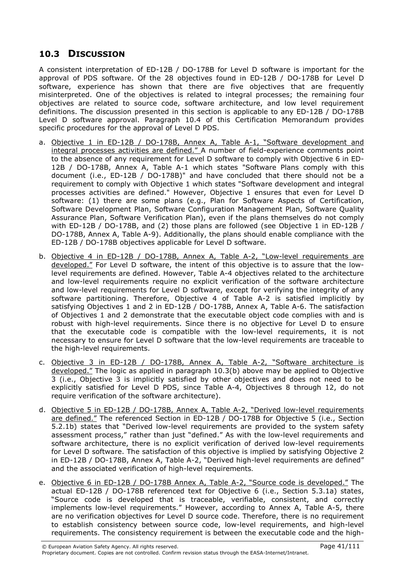## 10.3 DISCUSSION

A consistent interpretation of ED-12B / DO-178B for Level D software is important for the approval of PDS software. Of the 28 objectives found in ED-12B / DO-178B for Level D software, experience has shown that there are five objectives that are frequently misinterpreted. One of the objectives is related to integral processes; the remaining four objectives are related to source code, software architecture, and low level requirement definitions. The discussion presented in this section is applicable to any ED-12B / DO-178B Level D software approval. Paragraph 10.4 of this Certification Memorandum provides specific procedures for the approval of Level D PDS.

- a. Objective 1 in ED-12B / DO-178B, Annex A, Table A-1, "Software development and integral processes activities are defined." A number of field-experience comments point to the absence of any requirement for Level D software to comply with Objective 6 in ED-12B / DO-178B, Annex A, Table A-1 which states "Software Plans comply with this document (i.e., ED-12B / DO-178B)" and have concluded that there should not be a requirement to comply with Objective 1 which states "Software development and integral processes activities are defined." However, Objective 1 ensures that even for Level D software: (1) there are some plans (e.g., Plan for Software Aspects of Certification, Software Development Plan, Software Configuration Management Plan, Software Quality Assurance Plan, Software Verification Plan), even if the plans themselves do not comply with ED-12B / DO-178B, and (2) those plans are followed (see Objective 1 in ED-12B / DO-178B, Annex A, Table A-9). Additionally, the plans should enable compliance with the ED-12B / DO-178B objectives applicable for Level D software.
- b. Objective 4 in ED-12B / DO-178B, Annex A, Table A-2, "Low-level requirements are developed." For Level D software, the intent of this objective is to assure that the lowlevel requirements are defined. However, Table A-4 objectives related to the architecture and low-level requirements require no explicit verification of the software architecture and low-level requirements for Level D software, except for verifying the integrity of any software partitioning. Therefore, Objective 4 of Table A-2 is satisfied implicitly by satisfying Objectives 1 and 2 in ED-12B / DO-178B, Annex A, Table A-6. The satisfaction of Objectives 1 and 2 demonstrate that the executable object code complies with and is robust with high-level requirements. Since there is no objective for Level D to ensure that the executable code is compatible with the low-level requirements, it is not necessary to ensure for Level D software that the low-level requirements are traceable to the high-level requirements.
- c. Objective 3 in ED-12B / DO-178B, Annex A, Table A-2, "Software architecture is developed." The logic as applied in paragraph 10.3(b) above may be applied to Objective 3 (i.e., Objective 3 is implicitly satisfied by other objectives and does not need to be explicitly satisfied for Level D PDS, since Table A-4, Objectives 8 through 12, do not require verification of the software architecture).
- d. Objective 5 in ED-12B / DO-178B, Annex A, Table A-2, "Derived low-level requirements are defined." The referenced Section in ED-12B / DO-178B for Objective 5 (i.e., Section 5.2.1b) states that "Derived low-level requirements are provided to the system safety assessment process," rather than just "defined." As with the low-level requirements and software architecture, there is no explicit verification of derived low-level requirements for Level D software. The satisfaction of this objective is implied by satisfying Objective 2 in ED-12B / DO-178B, Annex A, Table A-2, "Derived high-level requirements are defined" and the associated verification of high-level requirements.
- e. Objective 6 in ED-12B / DO-178B Annex A, Table A-2, "Source code is developed." The actual ED-12B / DO-178B referenced text for Objective 6 (i.e., Section 5.3.1a) states, "Source code is developed that is traceable, verifiable, consistent, and correctly implements low-level requirements." However, according to Annex A, Table A-5, there are no verification objectives for Level D source code. Therefore, there is no requirement to establish consistency between source code, low-level requirements, and high-level requirements. The consistency requirement is between the executable code and the high-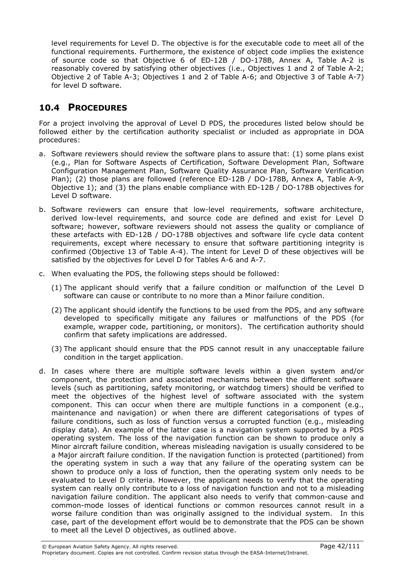level requirements for Level D. The objective is for the executable code to meet all of the functional requirements. Furthermore, the existence of object code implies the existence of source code so that Objective 6 of ED-12B / DO-178B, Annex A, Table A-2 is reasonably covered by satisfying other objectives (i.e., Objectives 1 and 2 of Table A-2; Objective 2 of Table A-3; Objectives 1 and 2 of Table A-6; and Objective 3 of Table A-7) for level D software.

## 10.4 PROCEDURES

For a project involving the approval of Level D PDS, the procedures listed below should be followed either by the certification authority specialist or included as appropriate in DOA procedures:

- a. Software reviewers should review the software plans to assure that: (1) some plans exist (e.g., Plan for Software Aspects of Certification, Software Development Plan, Software Configuration Management Plan, Software Quality Assurance Plan, Software Verification Plan); (2) those plans are followed (reference ED-12B / DO-178B, Annex A, Table A-9, Objective 1); and (3) the plans enable compliance with ED-12B / DO-178B objectives for Level D software.
- b. Software reviewers can ensure that low-level requirements, software architecture, derived low-level requirements, and source code are defined and exist for Level D software; however, software reviewers should not assess the quality or compliance of these artefacts with ED-12B / DO-178B objectives and software life cycle data content requirements, except where necessary to ensure that software partitioning integrity is confirmed (Objective 13 of Table A-4). The intent for Level D of these objectives will be satisfied by the objectives for Level D for Tables A-6 and A-7.
- c. When evaluating the PDS, the following steps should be followed:
	- (1) The applicant should verify that a failure condition or malfunction of the Level D software can cause or contribute to no more than a Minor failure condition.
	- (2) The applicant should identify the functions to be used from the PDS, and any software developed to specifically mitigate any failures or malfunctions of the PDS (for example, wrapper code, partitioning, or monitors). The certification authority should confirm that safety implications are addressed.
	- (3) The applicant should ensure that the PDS cannot result in any unacceptable failure condition in the target application.
- d. In cases where there are multiple software levels within a given system and/or component, the protection and associated mechanisms between the different software levels (such as partitioning, safety monitoring, or watchdog timers) should be verified to meet the objectives of the highest level of software associated with the system component. This can occur when there are multiple functions in a component (e.g., maintenance and navigation) or when there are different categorisations of types of failure conditions, such as loss of function versus a corrupted function (e.g., misleading display data). An example of the latter case is a navigation system supported by a PDS operating system. The loss of the navigation function can be shown to produce only a Minor aircraft failure condition, whereas misleading navigation is usually considered to be a Major aircraft failure condition. If the navigation function is protected (partitioned) from the operating system in such a way that any failure of the operating system can be shown to produce only a loss of function, then the operating system only needs to be evaluated to Level D criteria. However, the applicant needs to verify that the operating system can really only contribute to a loss of navigation function and not to a misleading navigation failure condition. The applicant also needs to verify that common-cause and common-mode losses of identical functions or common resources cannot result in a worse failure condition than was originally assigned to the individual system. In this case, part of the development effort would be to demonstrate that the PDS can be shown to meet all the Level D objectives, as outlined above.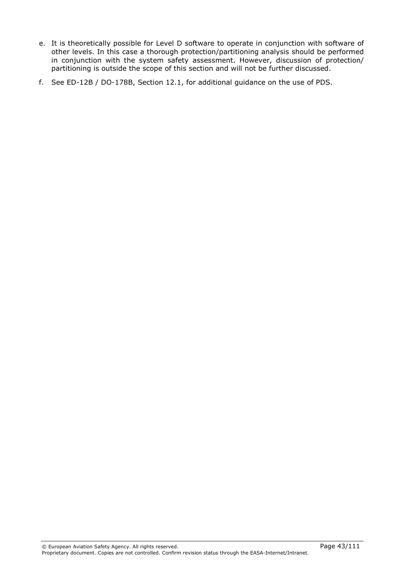- e. It is theoretically possible for Level D software to operate in conjunction with software of other levels. In this case a thorough protection/partitioning analysis should be performed in conjunction with the system safety assessment. However, discussion of protection/ partitioning is outside the scope of this section and will not be further discussed.
- f. See ED-12B / DO-178B, Section 12.1, for additional guidance on the use of PDS.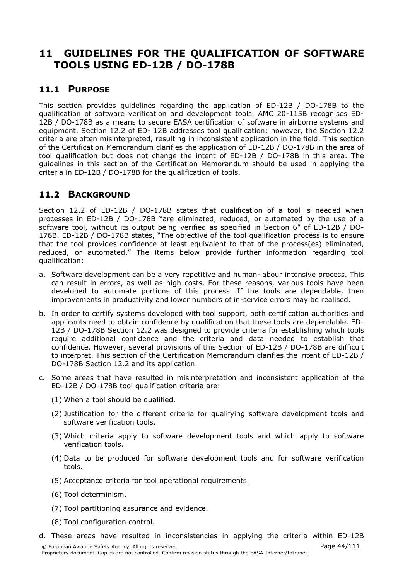# 11 GUIDELINES FOR THE QUALIFICATION OF SOFTWARE TOOLS USING ED-12B / DO-178B

### 11.1 PURPOSE

This section provides guidelines regarding the application of ED-12B / DO-178B to the qualification of software verification and development tools. AMC 20-115B recognises ED-12B / DO-178B as a means to secure EASA certification of software in airborne systems and equipment. Section 12.2 of ED- 12B addresses tool qualification; however, the Section 12.2 criteria are often misinterpreted, resulting in inconsistent application in the field. This section of the Certification Memorandum clarifies the application of ED-12B / DO-178B in the area of tool qualification but does not change the intent of ED-12B / DO-178B in this area. The guidelines in this section of the Certification Memorandum should be used in applying the criteria in ED-12B / DO-178B for the qualification of tools.

### 11.2 BACKGROUND

Section 12.2 of ED-12B / DO-178B states that qualification of a tool is needed when processes in ED-12B / DO-178B "are eliminated, reduced, or automated by the use of a software tool, without its output being verified as specified in Section 6" of ED-12B / DO-178B. ED-12B / DO-178B states, "The objective of the tool qualification process is to ensure that the tool provides confidence at least equivalent to that of the process(es) eliminated, reduced, or automated." The items below provide further information regarding tool qualification:

- a. Software development can be a very repetitive and human-labour intensive process. This can result in errors, as well as high costs. For these reasons, various tools have been developed to automate portions of this process. If the tools are dependable, then improvements in productivity and lower numbers of in-service errors may be realised.
- b. In order to certify systems developed with tool support, both certification authorities and applicants need to obtain confidence by qualification that these tools are dependable. ED-12B / DO-178B Section 12.2 was designed to provide criteria for establishing which tools require additional confidence and the criteria and data needed to establish that confidence. However, several provisions of this Section of ED-12B / DO-178B are difficult to interpret. This section of the Certification Memorandum clarifies the intent of ED-12B / DO-178B Section 12.2 and its application.
- c. Some areas that have resulted in misinterpretation and inconsistent application of the ED-12B / DO-178B tool qualification criteria are:
	- (1) When a tool should be qualified.
	- (2) Justification for the different criteria for qualifying software development tools and software verification tools.
	- (3) Which criteria apply to software development tools and which apply to software verification tools.
	- (4) Data to be produced for software development tools and for software verification tools.
	- (5) Acceptance criteria for tool operational requirements.
	- (6) Tool determinism.
	- (7) Tool partitioning assurance and evidence.
	- (8) Tool configuration control.
- d. These areas have resulted in inconsistencies in applying the criteria within ED-12B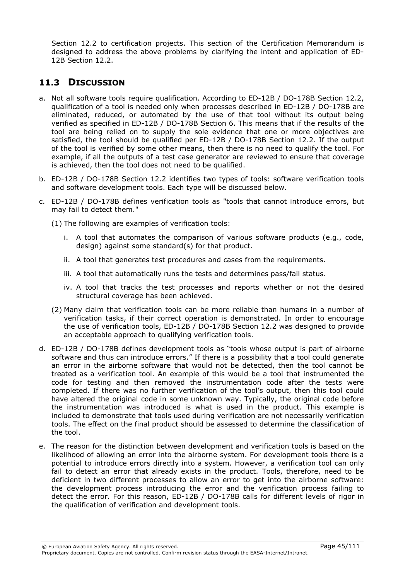Section 12.2 to certification projects. This section of the Certification Memorandum is designed to address the above problems by clarifying the intent and application of ED-12B Section 12.2.

# 11.3 DISCUSSION

- a. Not all software tools require qualification. According to ED-12B / DO-178B Section 12.2, qualification of a tool is needed only when processes described in ED-12B / DO-178B are eliminated, reduced, or automated by the use of that tool without its output being verified as specified in ED-12B / DO-178B Section 6. This means that if the results of the tool are being relied on to supply the sole evidence that one or more objectives are satisfied, the tool should be qualified per ED-12B / DO-178B Section 12.2. If the output of the tool is verified by some other means, then there is no need to qualify the tool. For example, if all the outputs of a test case generator are reviewed to ensure that coverage is achieved, then the tool does not need to be qualified.
- b. ED-12B / DO-178B Section 12.2 identifies two types of tools: software verification tools and software development tools. Each type will be discussed below.
- c. ED-12B / DO-178B defines verification tools as "tools that cannot introduce errors, but may fail to detect them."

(1) The following are examples of verification tools:

- i. A tool that automates the comparison of various software products (e.g., code, design) against some standard(s) for that product.
- ii. A tool that generates test procedures and cases from the requirements.
- iii. A tool that automatically runs the tests and determines pass/fail status.
- iv. A tool that tracks the test processes and reports whether or not the desired structural coverage has been achieved.
- (2) Many claim that verification tools can be more reliable than humans in a number of verification tasks, if their correct operation is demonstrated. In order to encourage the use of verification tools, ED-12B / DO-178B Section 12.2 was designed to provide an acceptable approach to qualifying verification tools.
- d. ED-12B / DO-178B defines development tools as "tools whose output is part of airborne software and thus can introduce errors." If there is a possibility that a tool could generate an error in the airborne software that would not be detected, then the tool cannot be treated as a verification tool. An example of this would be a tool that instrumented the code for testing and then removed the instrumentation code after the tests were completed. If there was no further verification of the tool's output, then this tool could have altered the original code in some unknown way. Typically, the original code before the instrumentation was introduced is what is used in the product. This example is included to demonstrate that tools used during verification are not necessarily verification tools. The effect on the final product should be assessed to determine the classification of the tool.
- e. The reason for the distinction between development and verification tools is based on the likelihood of allowing an error into the airborne system. For development tools there is a potential to introduce errors directly into a system. However, a verification tool can only fail to detect an error that already exists in the product. Tools, therefore, need to be deficient in two different processes to allow an error to get into the airborne software: the development process introducing the error and the verification process failing to detect the error. For this reason, ED-12B / DO-178B calls for different levels of rigor in the qualification of verification and development tools.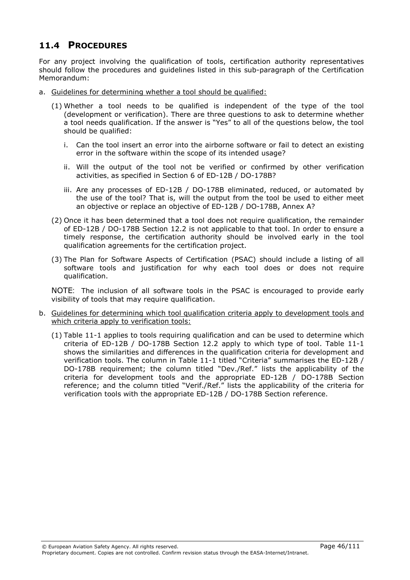## 11.4 PROCEDURES

For any project involving the qualification of tools, certification authority representatives should follow the procedures and guidelines listed in this sub-paragraph of the Certification Memorandum:

- a. Guidelines for determining whether a tool should be qualified:
	- (1) Whether a tool needs to be qualified is independent of the type of the tool (development or verification). There are three questions to ask to determine whether a tool needs qualification. If the answer is "Yes" to all of the questions below, the tool should be qualified:
		- i. Can the tool insert an error into the airborne software or fail to detect an existing error in the software within the scope of its intended usage?
		- ii. Will the output of the tool not be verified or confirmed by other verification activities, as specified in Section 6 of ED-12B / DO-178B?
		- iii. Are any processes of ED-12B / DO-178B eliminated, reduced, or automated by the use of the tool? That is, will the output from the tool be used to either meet an objective or replace an objective of ED-12B / DO-178B, Annex A?
	- (2) Once it has been determined that a tool does not require qualification, the remainder of ED-12B / DO-178B Section 12.2 is not applicable to that tool. In order to ensure a timely response, the certification authority should be involved early in the tool qualification agreements for the certification project.
	- (3) The Plan for Software Aspects of Certification (PSAC) should include a listing of all software tools and justification for why each tool does or does not require qualification.

NOTE: The inclusion of all software tools in the PSAC is encouraged to provide early visibility of tools that may require qualification.

- b. Guidelines for determining which tool qualification criteria apply to development tools and which criteria apply to verification tools:
	- (1) Table 11-1 applies to tools requiring qualification and can be used to determine which criteria of ED-12B / DO-178B Section 12.2 apply to which type of tool. Table 11-1 shows the similarities and differences in the qualification criteria for development and verification tools. The column in Table 11-1 titled "Criteria" summarises the ED-12B / DO-178B requirement; the column titled "Dev./Ref." lists the applicability of the criteria for development tools and the appropriate ED-12B / DO-178B Section reference; and the column titled "Verif./Ref." lists the applicability of the criteria for verification tools with the appropriate ED-12B / DO-178B Section reference.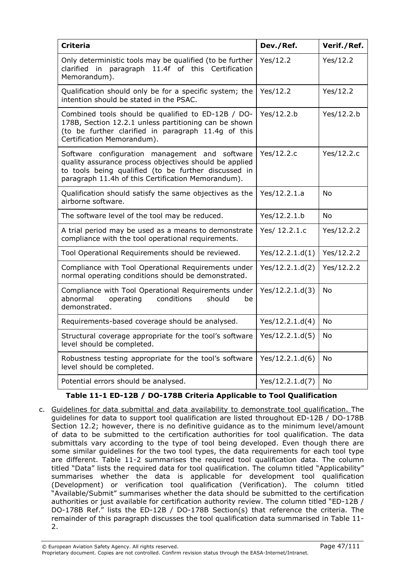| <b>Criteria</b>                                                                                                                                                                                                        | Dev./Ref.       | Verif./Ref. |
|------------------------------------------------------------------------------------------------------------------------------------------------------------------------------------------------------------------------|-----------------|-------------|
| Only deterministic tools may be qualified (to be further<br>clarified in paragraph 11.4f of this Certification<br>Memorandum).                                                                                         | Yes/12.2        | Yes/12.2    |
| Qualification should only be for a specific system; the<br>intention should be stated in the PSAC.                                                                                                                     | Yes/12.2        | Yes/12.2    |
| Combined tools should be qualified to ED-12B / DO-<br>178B, Section 12.2.1 unless partitioning can be shown<br>(to be further clarified in paragraph 11.4g of this<br>Certification Memorandum).                       | Yes/12.2.b      | Yes/12.2.b  |
| Software configuration management and software<br>quality assurance process objectives should be applied<br>to tools being qualified (to be further discussed in<br>paragraph 11.4h of this Certification Memorandum). | Yes/12.2.c      | Yes/12.2.c  |
| Qualification should satisfy the same objectives as the<br>airborne software.                                                                                                                                          | Yes/12.2.1.a    | No          |
| The software level of the tool may be reduced.                                                                                                                                                                         | Yes/12.2.1.b    | No          |
| A trial period may be used as a means to demonstrate<br>compliance with the tool operational requirements.                                                                                                             | Yes/ 12.2.1.c   | Yes/12.2.2  |
| Tool Operational Requirements should be reviewed.                                                                                                                                                                      | Yes/12.2.1.d(1) | Yes/12.2.2  |
| Compliance with Tool Operational Requirements under<br>normal operating conditions should be demonstrated.                                                                                                             | Yes/12.2.1.d(2) | Yes/12.2.2  |
| Compliance with Tool Operational Requirements under<br>abnormal<br>operating<br>conditions<br>should<br>be<br>demonstrated.                                                                                            | Yes/12.2.1.d(3) | <b>No</b>   |
| Requirements-based coverage should be analysed.                                                                                                                                                                        | Yes/12.2.1.d(4) | No          |
| Structural coverage appropriate for the tool's software<br>level should be completed.                                                                                                                                  | Yes/12.2.1.d(5) | No          |
| Robustness testing appropriate for the tool's software<br>level should be completed.                                                                                                                                   | Yes/12.2.1.d(6) | No          |
| Potential errors should be analysed.                                                                                                                                                                                   | Yes/12.2.1.d(7) | No          |

#### Table 11-1 ED-12B / DO-178B Criteria Applicable to Tool Qualification

c. Guidelines for data submittal and data availability to demonstrate tool qualification. The guidelines for data to support tool qualification are listed throughout ED-12B / DO-178B Section 12.2; however, there is no definitive guidance as to the minimum level/amount of data to be submitted to the certification authorities for tool qualification. The data submittals vary according to the type of tool being developed. Even though there are some similar guidelines for the two tool types, the data requirements for each tool type are different. Table 11-2 summarises the required tool qualification data. The column titled "Data" lists the required data for tool qualification. The column titled "Applicability" summarises whether the data is applicable for development tool qualification (Development) or verification tool qualification (Verification). The column titled "Available/Submit" summarises whether the data should be submitted to the certification authorities or just available for certification authority review. The column titled "ED-12B / DO-178B Ref." lists the ED-12B / DO-178B Section(s) that reference the criteria. The remainder of this paragraph discusses the tool qualification data summarised in Table 11- 2.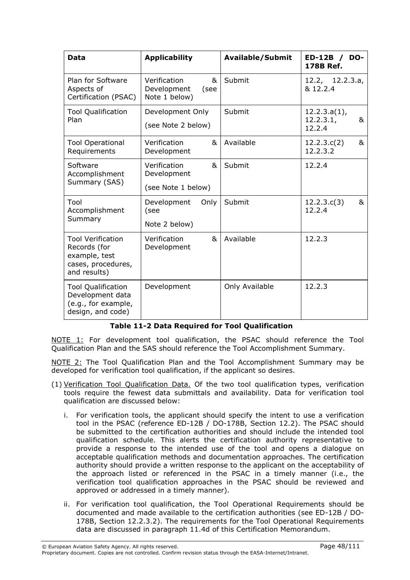| Data                                                                                            | <b>Applicability</b>                                      | <b>Available/Submit</b> | <b>ED-12B</b><br>DO-<br>$\overline{1}$<br>178B Ref. |
|-------------------------------------------------------------------------------------------------|-----------------------------------------------------------|-------------------------|-----------------------------------------------------|
| Plan for Software<br>Aspects of<br>Certification (PSAC)                                         | Verification<br>&<br>Development<br>(see<br>Note 1 below) | Submit                  | 12.2, 12.2.3.a,<br>& 12.2.4                         |
| <b>Tool Qualification</b><br>Plan                                                               | Development Only<br>(see Note 2 below)                    | Submit                  | $12.2.3.a(1)$ ,<br>12.2.3.1,<br>&<br>12.2.4         |
| <b>Tool Operational</b><br>Requirements                                                         | Verification<br>&<br>Development                          | Available               | 12.2.3.c(2)<br>&<br>12.2.3.2                        |
| Software<br>Accomplishment<br>Summary (SAS)                                                     | Verification<br>&<br>Development<br>(see Note 1 below)    | Submit                  | 12.2.4                                              |
| Tool<br>Accomplishment<br>Summary                                                               | Development<br>Only<br>(see<br>Note 2 below)              | Submit                  | &<br>12.2.3.c(3)<br>12.2.4                          |
| <b>Tool Verification</b><br>Records (for<br>example, test<br>cases, procedures,<br>and results) | Verification<br>&<br>Development                          | Available               | 12.2.3                                              |
| <b>Tool Qualification</b><br>Development data<br>(e.g., for example,<br>design, and code)       | Development                                               | Only Available          | 12.2.3                                              |

#### Table 11-2 Data Required for Tool Qualification

NOTE 1: For development tool qualification, the PSAC should reference the Tool Qualification Plan and the SAS should reference the Tool Accomplishment Summary.

NOTE 2: The Tool Qualification Plan and the Tool Accomplishment Summary may be developed for verification tool qualification, if the applicant so desires.

- (1) Verification Tool Qualification Data. Of the two tool qualification types, verification tools require the fewest data submittals and availability. Data for verification tool qualification are discussed below:
	- i. For verification tools, the applicant should specify the intent to use a verification tool in the PSAC (reference ED-12B / DO-178B, Section 12.2). The PSAC should be submitted to the certification authorities and should include the intended tool qualification schedule. This alerts the certification authority representative to provide a response to the intended use of the tool and opens a dialogue on acceptable qualification methods and documentation approaches. The certification authority should provide a written response to the applicant on the acceptability of the approach listed or referenced in the PSAC in a timely manner (i.e., the verification tool qualification approaches in the PSAC should be reviewed and approved or addressed in a timely manner).
	- ii. For verification tool qualification, the Tool Operational Requirements should be documented and made available to the certification authorities (see ED-12B / DO-178B, Section 12.2.3.2). The requirements for the Tool Operational Requirements data are discussed in paragraph 11.4d of this Certification Memorandum.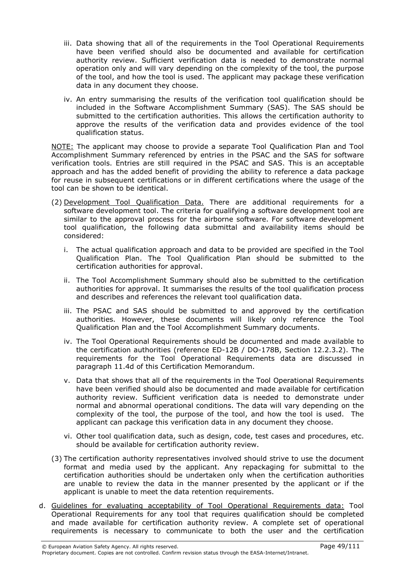- iii. Data showing that all of the requirements in the Tool Operational Requirements have been verified should also be documented and available for certification authority review. Sufficient verification data is needed to demonstrate normal operation only and will vary depending on the complexity of the tool, the purpose of the tool, and how the tool is used. The applicant may package these verification data in any document they choose.
- iv. An entry summarising the results of the verification tool qualification should be included in the Software Accomplishment Summary (SAS). The SAS should be submitted to the certification authorities. This allows the certification authority to approve the results of the verification data and provides evidence of the tool qualification status.

NOTE: The applicant may choose to provide a separate Tool Qualification Plan and Tool Accomplishment Summary referenced by entries in the PSAC and the SAS for software verification tools. Entries are still required in the PSAC and SAS. This is an acceptable approach and has the added benefit of providing the ability to reference a data package for reuse in subsequent certifications or in different certifications where the usage of the tool can be shown to be identical.

- (2) Development Tool Qualification Data. There are additional requirements for a software development tool. The criteria for qualifying a software development tool are similar to the approval process for the airborne software. For software development tool qualification, the following data submittal and availability items should be considered:
	- i. The actual qualification approach and data to be provided are specified in the Tool Qualification Plan. The Tool Qualification Plan should be submitted to the certification authorities for approval.
	- ii. The Tool Accomplishment Summary should also be submitted to the certification authorities for approval. It summarises the results of the tool qualification process and describes and references the relevant tool qualification data.
	- iii. The PSAC and SAS should be submitted to and approved by the certification authorities. However, these documents will likely only reference the Tool Qualification Plan and the Tool Accomplishment Summary documents.
	- iv. The Tool Operational Requirements should be documented and made available to the certification authorities (reference ED-12B / DO-178B, Section 12.2.3.2). The requirements for the Tool Operational Requirements data are discussed in paragraph 11.4d of this Certification Memorandum.
	- v. Data that shows that all of the requirements in the Tool Operational Requirements have been verified should also be documented and made available for certification authority review. Sufficient verification data is needed to demonstrate under normal and abnormal operational conditions. The data will vary depending on the complexity of the tool, the purpose of the tool, and how the tool is used. The applicant can package this verification data in any document they choose.
	- vi. Other tool qualification data, such as design, code, test cases and procedures, etc. should be available for certification authority review.
- (3) The certification authority representatives involved should strive to use the document format and media used by the applicant. Any repackaging for submittal to the certification authorities should be undertaken only when the certification authorities are unable to review the data in the manner presented by the applicant or if the applicant is unable to meet the data retention requirements.
- d. Guidelines for evaluating acceptability of Tool Operational Requirements data: Tool Operational Requirements for any tool that requires qualification should be completed and made available for certification authority review. A complete set of operational requirements is necessary to communicate to both the user and the certification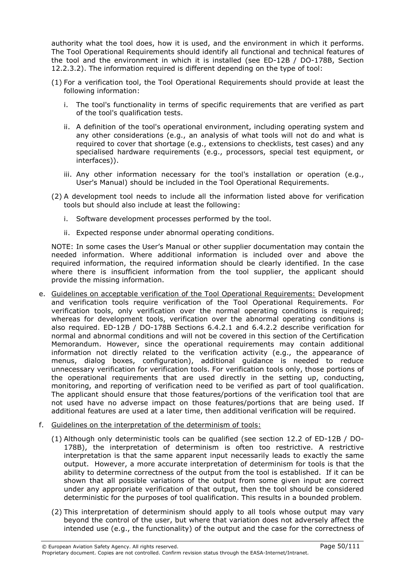authority what the tool does, how it is used, and the environment in which it performs. The Tool Operational Requirements should identify all functional and technical features of the tool and the environment in which it is installed (see ED-12B / DO-178B, Section 12.2.3.2). The information required is different depending on the type of tool:

- (1) For a verification tool, the Tool Operational Requirements should provide at least the following information:
	- i. The tool's functionality in terms of specific requirements that are verified as part of the tool's qualification tests.
	- ii. A definition of the tool's operational environment, including operating system and any other considerations (e.g., an analysis of what tools will not do and what is required to cover that shortage (e.g., extensions to checklists, test cases) and any specialised hardware requirements (e.g., processors, special test equipment, or interfaces)).
	- iii. Any other information necessary for the tool's installation or operation (e.g., User's Manual) should be included in the Tool Operational Requirements.
- (2) A development tool needs to include all the information listed above for verification tools but should also include at least the following:
	- i. Software development processes performed by the tool.
	- ii. Expected response under abnormal operating conditions.

NOTE: In some cases the User's Manual or other supplier documentation may contain the needed information. Where additional information is included over and above the required information, the required information should be clearly identified. In the case where there is insufficient information from the tool supplier, the applicant should provide the missing information.

- e. Guidelines on acceptable verification of the Tool Operational Requirements: Development and verification tools require verification of the Tool Operational Requirements. For verification tools, only verification over the normal operating conditions is required; whereas for development tools, verification over the abnormal operating conditions is also required. ED-12B / DO-178B Sections 6.4.2.1 and 6.4.2.2 describe verification for normal and abnormal conditions and will not be covered in this section of the Certification Memorandum. However, since the operational requirements may contain additional information not directly related to the verification activity (e.g., the appearance of menus, dialog boxes, configuration), additional guidance is needed to reduce unnecessary verification for verification tools. For verification tools only, those portions of the operational requirements that are used directly in the setting up, conducting, monitoring, and reporting of verification need to be verified as part of tool qualification. The applicant should ensure that those features/portions of the verification tool that are not used have no adverse impact on those features/portions that are being used. If additional features are used at a later time, then additional verification will be required.
- f. Guidelines on the interpretation of the determinism of tools:
	- (1) Although only deterministic tools can be qualified (see section 12.2 of ED-12B / DO-178B), the interpretation of determinism is often too restrictive. A restrictive interpretation is that the same apparent input necessarily leads to exactly the same output. However, a more accurate interpretation of determinism for tools is that the ability to determine correctness of the output from the tool is established. If it can be shown that all possible variations of the output from some given input are correct under any appropriate verification of that output, then the tool should be considered deterministic for the purposes of tool qualification. This results in a bounded problem.
	- (2) This interpretation of determinism should apply to all tools whose output may vary beyond the control of the user, but where that variation does not adversely affect the intended use (e.g., the functionality) of the output and the case for the correctness of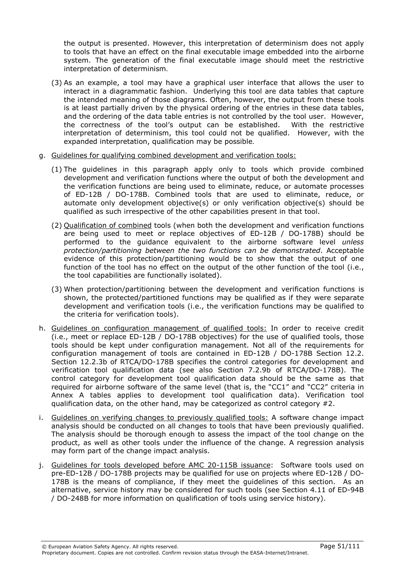the output is presented. However, this interpretation of determinism does not apply to tools that have an effect on the final executable image embedded into the airborne system. The generation of the final executable image should meet the restrictive interpretation of determinism.

- (3) As an example, a tool may have a graphical user interface that allows the user to interact in a diagrammatic fashion. Underlying this tool are data tables that capture the intended meaning of those diagrams. Often, however, the output from these tools is at least partially driven by the physical ordering of the entries in these data tables, and the ordering of the data table entries is not controlled by the tool user. However, the correctness of the tool's output can be established. With the restrictive interpretation of determinism, this tool could not be qualified. However, with the expanded interpretation, qualification may be possible.
- g. Guidelines for qualifying combined development and verification tools:
	- (1) The guidelines in this paragraph apply only to tools which provide combined development and verification functions where the output of both the development and the verification functions are being used to eliminate, reduce, or automate processes of ED-12B / DO-178B. Combined tools that are used to eliminate, reduce, or automate only development objective(s) or only verification objective(s) should be qualified as such irrespective of the other capabilities present in that tool.
	- (2) Qualification of combined tools (when both the development and verification functions are being used to meet or replace objectives of ED-12B / DO-178B) should be performed to the quidance equivalent to the airborne software level *unless* protection/partitioning between the two functions can be demonstrated. Acceptable evidence of this protection/partitioning would be to show that the output of one function of the tool has no effect on the output of the other function of the tool (i.e., the tool capabilities are functionally isolated).
	- (3) When protection/partitioning between the development and verification functions is shown, the protected/partitioned functions may be qualified as if they were separate development and verification tools (i.e., the verification functions may be qualified to the criteria for verification tools).
- h. Guidelines on configuration management of qualified tools: In order to receive credit (i.e., meet or replace ED-12B / DO-178B objectives) for the use of qualified tools, those tools should be kept under configuration management. Not all of the requirements for configuration management of tools are contained in ED-12B / DO-178B Section 12.2. Section 12.2.3b of RTCA/DO-178B specifies the control categories for development and verification tool qualification data (see also Section 7.2.9b of RTCA/DO-178B). The control category for development tool qualification data should be the same as that required for airborne software of the same level (that is, the "CC1" and "CC2" criteria in Annex A tables applies to development tool qualification data). Verification tool qualification data, on the other hand, may be categorized as control category  $#2$ .
- i. Guidelines on verifying changes to previously qualified tools: A software change impact analysis should be conducted on all changes to tools that have been previously qualified. The analysis should be thorough enough to assess the impact of the tool change on the product, as well as other tools under the influence of the change. A regression analysis may form part of the change impact analysis.
- j. Guidelines for tools developed before AMC 20-115B issuance: Software tools used on pre-ED-12B / DO-178B projects may be qualified for use on projects where ED-12B / DO-178B is the means of compliance, if they meet the guidelines of this section. As an alternative, service history may be considered for such tools (see Section 4.11 of ED-94B / DO-248B for more information on qualification of tools using service history).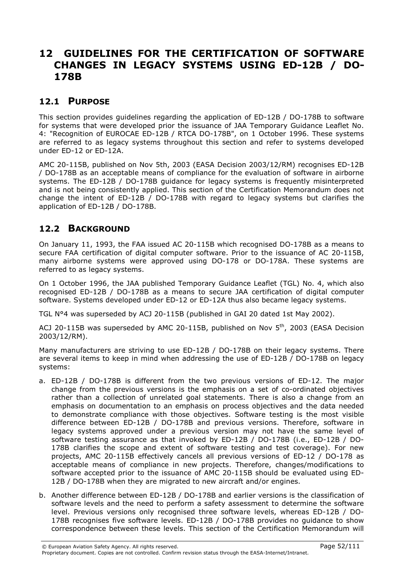# 12 GUIDELINES FOR THE CERTIFICATION OF SOFTWARE CHANGES IN LEGACY SYSTEMS USING ED-12B / DO-178B

### 12.1 PURPOSE

This section provides guidelines regarding the application of ED-12B / DO-178B to software for systems that were developed prior the issuance of JAA Temporary Guidance Leaflet No. 4: "Recognition of EUROCAE ED-12B / RTCA DO-178B", on 1 October 1996. These systems are referred to as legacy systems throughout this section and refer to systems developed under ED-12 or ED-12A.

AMC 20-115B, published on Nov 5th, 2003 (EASA Decision 2003/12/RM) recognises ED-12B / DO-178B as an acceptable means of compliance for the evaluation of software in airborne systems. The ED-12B / DO-178B guidance for legacy systems is frequently misinterpreted and is not being consistently applied. This section of the Certification Memorandum does not change the intent of ED-12B / DO-178B with regard to legacy systems but clarifies the application of ED-12B / DO-178B.

### 12.2 BACKGROUND

On January 11, 1993, the FAA issued AC 20-115B which recognised DO-178B as a means to secure FAA certification of digital computer software. Prior to the issuance of AC 20-115B, many airborne systems were approved using DO-178 or DO-178A. These systems are referred to as legacy systems.

On 1 October 1996, the JAA published Temporary Guidance Leaflet (TGL) No. 4, which also recognised ED-12B / DO-178B as a means to secure JAA certification of digital computer software. Systems developed under ED-12 or ED-12A thus also became legacy systems.

TGL N°4 was superseded by ACJ 20-115B (published in GAI 20 dated 1st May 2002).

ACJ 20-115B was superseded by AMC 20-115B, published on Nov  $5<sup>th</sup>$ , 2003 (EASA Decision 2003/12/RM).

Many manufacturers are striving to use ED-12B / DO-178B on their legacy systems. There are several items to keep in mind when addressing the use of  $ED-12B / DO-178B$  on legacy systems:

- a. ED-12B / DO-178B is different from the two previous versions of ED-12. The major change from the previous versions is the emphasis on a set of co-ordinated objectives rather than a collection of unrelated goal statements. There is also a change from an emphasis on documentation to an emphasis on process objectives and the data needed to demonstrate compliance with those objectives. Software testing is the most visible difference between ED-12B / DO-178B and previous versions. Therefore, software in legacy systems approved under a previous version may not have the same level of software testing assurance as that invoked by ED-12B / DO-178B (i.e., ED-12B / DO-178B clarifies the scope and extent of software testing and test coverage). For new projects, AMC 20-115B effectively cancels all previous versions of ED-12 / DO-178 as acceptable means of compliance in new projects. Therefore, changes/modifications to software accepted prior to the issuance of AMC 20-115B should be evaluated using ED-12B / DO-178B when they are migrated to new aircraft and/or engines.
- b. Another difference between ED-12B / DO-178B and earlier versions is the classification of software levels and the need to perform a safety assessment to determine the software level. Previous versions only recognised three software levels, whereas ED-12B / DO-178B recognises five software levels. ED-12B / DO-178B provides no guidance to show correspondence between these levels. This section of the Certification Memorandum will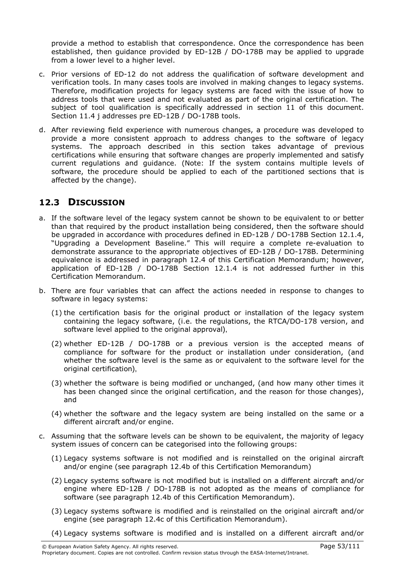provide a method to establish that correspondence. Once the correspondence has been established, then guidance provided by ED-12B / DO-178B may be applied to upgrade from a lower level to a higher level.

- c. Prior versions of ED-12 do not address the qualification of software development and verification tools. In many cases tools are involved in making changes to legacy systems. Therefore, modification projects for legacy systems are faced with the issue of how to address tools that were used and not evaluated as part of the original certification. The subject of tool qualification is specifically addressed in section 11 of this document. Section 11.4 j addresses pre ED-12B / DO-178B tools.
- d. After reviewing field experience with numerous changes, a procedure was developed to provide a more consistent approach to address changes to the software of legacy systems. The approach described in this section takes advantage of previous certifications while ensuring that software changes are properly implemented and satisfy current regulations and guidance. (Note: If the system contains multiple levels of software, the procedure should be applied to each of the partitioned sections that is affected by the change).

## 12.3 DISCUSSION

- a. If the software level of the legacy system cannot be shown to be equivalent to or better than that required by the product installation being considered, then the software should be upgraded in accordance with procedures defined in ED-12B / DO-178B Section 12.1.4, "Upgrading a Development Baseline." This will require a complete re-evaluation to demonstrate assurance to the appropriate objectives of ED-12B / DO-178B. Determining equivalence is addressed in paragraph 12.4 of this Certification Memorandum; however, application of ED-12B / DO-178B Section 12.1.4 is not addressed further in this Certification Memorandum.
- b. There are four variables that can affect the actions needed in response to changes to software in legacy systems:
	- (1) the certification basis for the original product or installation of the legacy system containing the legacy software, (i.e. the regulations, the RTCA/DO-178 version, and software level applied to the original approval),
	- (2) whether ED-12B / DO-178B or a previous version is the accepted means of compliance for software for the product or installation under consideration, (and whether the software level is the same as or equivalent to the software level for the original certification),
	- (3) whether the software is being modified or unchanged, (and how many other times it has been changed since the original certification, and the reason for those changes), and
	- (4) whether the software and the legacy system are being installed on the same or a different aircraft and/or engine.
- c. Assuming that the software levels can be shown to be equivalent, the majority of legacy system issues of concern can be categorised into the following groups:
	- (1) Legacy systems software is not modified and is reinstalled on the original aircraft and/or engine (see paragraph 12.4b of this Certification Memorandum)
	- (2) Legacy systems software is not modified but is installed on a different aircraft and/or engine where ED-12B / DO-178B is not adopted as the means of compliance for software (see paragraph 12.4b of this Certification Memorandum).
	- (3) Legacy systems software is modified and is reinstalled on the original aircraft and/or engine (see paragraph 12.4c of this Certification Memorandum).
	- (4) Legacy systems software is modified and is installed on a different aircraft and/or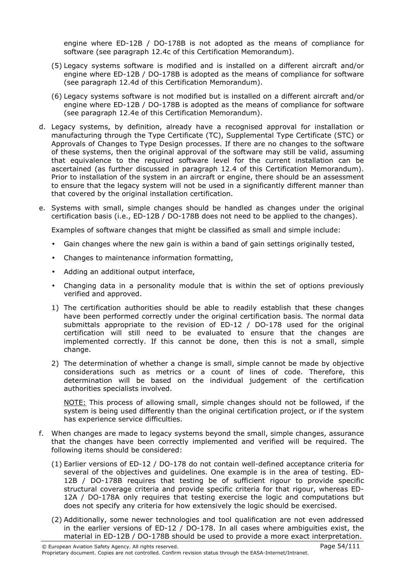engine where ED-12B / DO-178B is not adopted as the means of compliance for software (see paragraph 12.4c of this Certification Memorandum).

- (5) Legacy systems software is modified and is installed on a different aircraft and/or engine where ED-12B / DO-178B is adopted as the means of compliance for software (see paragraph 12.4d of this Certification Memorandum).
- (6) Legacy systems software is not modified but is installed on a different aircraft and/or engine where ED-12B / DO-178B is adopted as the means of compliance for software (see paragraph 12.4e of this Certification Memorandum).
- d. Legacy systems, by definition, already have a recognised approval for installation or manufacturing through the Type Certificate (TC), Supplemental Type Certificate (STC) or Approvals of Changes to Type Design processes. If there are no changes to the software of these systems, then the original approval of the software may still be valid, assuming that equivalence to the required software level for the current installation can be ascertained (as further discussed in paragraph 12.4 of this Certification Memorandum). Prior to installation of the system in an aircraft or engine, there should be an assessment to ensure that the legacy system will not be used in a significantly different manner than that covered by the original installation certification.
- e. Systems with small, simple changes should be handled as changes under the original certification basis (i.e., ED-12B / DO-178B does not need to be applied to the changes).

Examples of software changes that might be classified as small and simple include:

- Gain changes where the new gain is within a band of gain settings originally tested,
- Changes to maintenance information formatting,
- Adding an additional output interface,
- Changing data in a personality module that is within the set of options previously verified and approved.
- 1) The certification authorities should be able to readily establish that these changes have been performed correctly under the original certification basis. The normal data submittals appropriate to the revision of ED-12 / DO-178 used for the original certification will still need to be evaluated to ensure that the changes are implemented correctly. If this cannot be done, then this is not a small, simple change.
- 2) The determination of whether a change is small, simple cannot be made by objective considerations such as metrics or a count of lines of code. Therefore, this determination will be based on the individual judgement of the certification authorities specialists involved.

NOTE: This process of allowing small, simple changes should not be followed, if the system is being used differently than the original certification project, or if the system has experience service difficulties.

- f. When changes are made to legacy systems beyond the small, simple changes, assurance that the changes have been correctly implemented and verified will be required. The following items should be considered:
	- (1) Earlier versions of ED-12 / DO-178 do not contain well-defined acceptance criteria for several of the objectives and guidelines. One example is in the area of testing. ED-12B / DO-178B requires that testing be of sufficient rigour to provide specific structural coverage criteria and provide specific criteria for that rigour, whereas ED-12A / DO-178A only requires that testing exercise the logic and computations but does not specify any criteria for how extensively the logic should be exercised.
	- (2) Additionally, some newer technologies and tool qualification are not even addressed in the earlier versions of ED-12 / DO-178. In all cases where ambiguities exist, the material in ED-12B / DO-178B should be used to provide a more exact interpretation.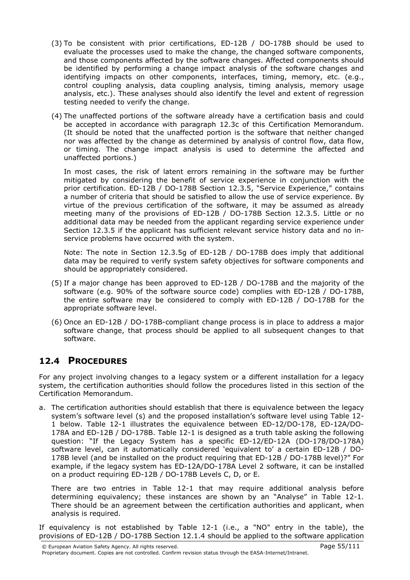- (3) To be consistent with prior certifications, ED-12B / DO-178B should be used to evaluate the processes used to make the change, the changed software components, and those components affected by the software changes. Affected components should be identified by performing a change impact analysis of the software changes and identifying impacts on other components, interfaces, timing, memory, etc. (e.g., control coupling analysis, data coupling analysis, timing analysis, memory usage analysis, etc.). These analyses should also identify the level and extent of regression testing needed to verify the change.
- (4) The unaffected portions of the software already have a certification basis and could be accepted in accordance with paragraph 12.3c of this Certification Memorandum. (It should be noted that the unaffected portion is the software that neither changed nor was affected by the change as determined by analysis of control flow, data flow, or timing. The change impact analysis is used to determine the affected and unaffected portions.)

In most cases, the risk of latent errors remaining in the software may be further mitigated by considering the benefit of service experience in conjunction with the prior certification. ED-12B / DO-178B Section 12.3.5, "Service Experience," contains a number of criteria that should be satisfied to allow the use of service experience. By virtue of the previous certification of the software, it may be assumed as already meeting many of the provisions of ED-12B / DO-178B Section 12.3.5. Little or no additional data may be needed from the applicant regarding service experience under Section 12.3.5 if the applicant has sufficient relevant service history data and no inservice problems have occurred with the system.

Note: The note in Section 12.3.5g of ED-12B / DO-178B does imply that additional data may be required to verify system safety objectives for software components and should be appropriately considered.

- (5) If a major change has been approved to ED-12B / DO-178B and the majority of the software (e.g. 90% of the software source code) complies with ED-12B / DO-178B, the entire software may be considered to comply with ED-12B / DO-178B for the appropriate software level.
- (6) Once an ED-12B / DO-178B-compliant change process is in place to address a major software change, that process should be applied to all subsequent changes to that software.

## 12.4 PROCEDURES

For any project involving changes to a legacy system or a different installation for a legacy system, the certification authorities should follow the procedures listed in this section of the Certification Memorandum.

a. The certification authorities should establish that there is equivalence between the legacy system's software level (s) and the proposed installation's software level using Table 12- 1 below. Table 12-1 illustrates the equivalence between ED-12/DO-178, ED-12A/DO-178A and ED-12B / DO-178B. Table 12-1 is designed as a truth table asking the following question: "If the Legacy System has a specific ED-12/ED-12A (DO-178/DO-178A) software level, can it automatically considered 'equivalent to' a certain ED-12B / DO-178B level (and be installed on the product requiring that ED-12B / DO-178B level)?" For example, if the legacy system has ED-12A/DO-178A Level 2 software, it can be installed on a product requiring ED-12B / DO-178B Levels C, D, or E.

There are two entries in Table 12-1 that may require additional analysis before determining equivalency; these instances are shown by an "Analyse" in Table 12-1. There should be an agreement between the certification authorities and applicant, when analysis is required.

If equivalency is not established by Table 12-1 (i.e., a "NO" entry in the table), the provisions of ED-12B / DO-178B Section 12.1.4 should be applied to the software application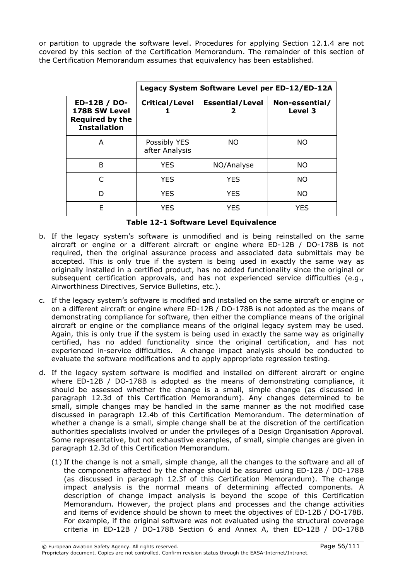or partition to upgrade the software level. Procedures for applying Section 12.1.4 are not covered by this section of the Certification Memorandum. The remainder of this section of the Certification Memorandum assumes that equivalency has been established.

|                                                                                | Legacy System Software Level per ED-12/ED-12A |                        |                           |
|--------------------------------------------------------------------------------|-----------------------------------------------|------------------------|---------------------------|
| ED-12B / DO-<br>178B SW Level<br><b>Required by the</b><br><b>Installation</b> | <b>Critical/Level</b>                         | <b>Essential/Level</b> | Non-essential/<br>Level 3 |
| A                                                                              | Possibly YES<br>after Analysis                | <b>NO</b>              | NO.                       |
| B                                                                              | <b>YES</b>                                    | NO/Analyse             | NO.                       |
| $\subset$                                                                      | <b>YES</b>                                    | <b>YES</b>             | NO.                       |
| D                                                                              | <b>YES</b>                                    | <b>YES</b>             | <b>NO</b>                 |
| F                                                                              | <b>YES</b>                                    | <b>YES</b>             | YES                       |

|  |  | <b>Table 12-1 Software Level Equivalence</b> |
|--|--|----------------------------------------------|
|  |  |                                              |

- b. If the legacy system's software is unmodified and is being reinstalled on the same aircraft or engine or a different aircraft or engine where ED-12B / DO-178B is not required, then the original assurance process and associated data submittals may be accepted. This is only true if the system is being used in exactly the same way as originally installed in a certified product, has no added functionality since the original or subsequent certification approvals, and has not experienced service difficulties (e.g., Airworthiness Directives, Service Bulletins, etc.).
- c. If the legacy system's software is modified and installed on the same aircraft or engine or on a different aircraft or engine where ED-12B / DO-178B is not adopted as the means of demonstrating compliance for software, then either the compliance means of the original aircraft or engine or the compliance means of the original legacy system may be used. Again, this is only true if the system is being used in exactly the same way as originally certified, has no added functionality since the original certification, and has not experienced in-service difficulties. A change impact analysis should be conducted to evaluate the software modifications and to apply appropriate regression testing.
- d. If the legacy system software is modified and installed on different aircraft or engine where ED-12B / DO-178B is adopted as the means of demonstrating compliance, it should be assessed whether the change is a small, simple change (as discussed in paragraph 12.3d of this Certification Memorandum). Any changes determined to be small, simple changes may be handled in the same manner as the not modified case discussed in paragraph 12.4b of this Certification Memorandum. The determination of whether a change is a small, simple change shall be at the discretion of the certification authorities specialists involved or under the privileges of a Design Organisation Approval. Some representative, but not exhaustive examples, of small, simple changes are given in paragraph 12.3d of this Certification Memorandum.
	- (1) If the change is not a small, simple change, all the changes to the software and all of the components affected by the change should be assured using ED-12B / DO-178B (as discussed in paragraph 12.3f of this Certification Memorandum). The change impact analysis is the normal means of determining affected components. A description of change impact analysis is beyond the scope of this Certification Memorandum. However, the project plans and processes and the change activities and items of evidence should be shown to meet the objectives of ED-12B / DO-178B. For example, if the original software was not evaluated using the structural coverage criteria in ED-12B / DO-178B Section 6 and Annex A, then ED-12B / DO-178B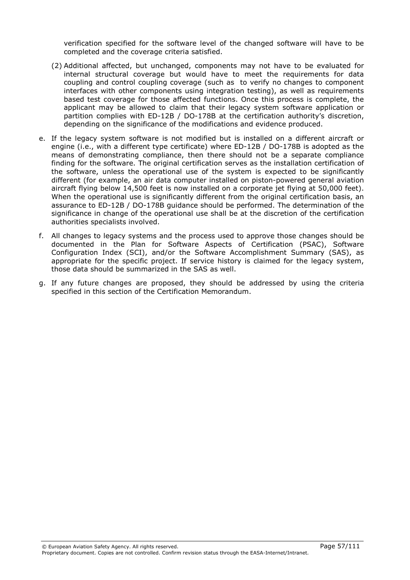verification specified for the software level of the changed software will have to be completed and the coverage criteria satisfied.

- (2) Additional affected, but unchanged, components may not have to be evaluated for internal structural coverage but would have to meet the requirements for data coupling and control coupling coverage (such as to verify no changes to component interfaces with other components using integration testing), as well as requirements based test coverage for those affected functions. Once this process is complete, the applicant may be allowed to claim that their legacy system software application or partition complies with ED-12B / DO-178B at the certification authority's discretion, depending on the significance of the modifications and evidence produced.
- e. If the legacy system software is not modified but is installed on a different aircraft or engine (i.e., with a different type certificate) where ED-12B / DO-178B is adopted as the means of demonstrating compliance, then there should not be a separate compliance finding for the software. The original certification serves as the installation certification of the software, unless the operational use of the system is expected to be significantly different (for example, an air data computer installed on piston-powered general aviation aircraft flying below 14,500 feet is now installed on a corporate jet flying at 50,000 feet). When the operational use is significantly different from the original certification basis, an assurance to ED-12B / DO-178B guidance should be performed. The determination of the significance in change of the operational use shall be at the discretion of the certification authorities specialists involved.
- f. All changes to legacy systems and the process used to approve those changes should be documented in the Plan for Software Aspects of Certification (PSAC), Software Configuration Index (SCI), and/or the Software Accomplishment Summary (SAS), as appropriate for the specific project. If service history is claimed for the legacy system, those data should be summarized in the SAS as well.
- g. If any future changes are proposed, they should be addressed by using the criteria specified in this section of the Certification Memorandum.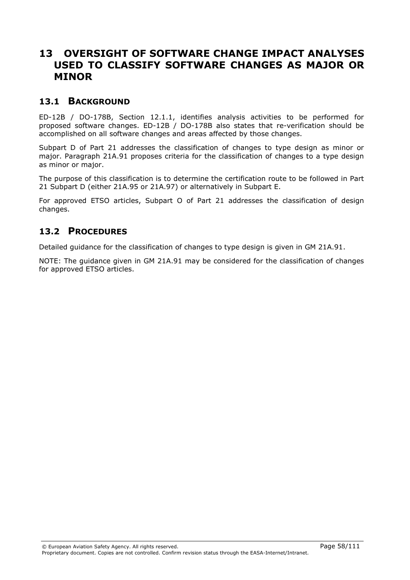# 13 OVERSIGHT OF SOFTWARE CHANGE IMPACT ANALYSES USED TO CLASSIFY SOFTWARE CHANGES AS MAJOR OR MINOR

#### 13.1 BACKGROUND

ED-12B / DO-178B, Section 12.1.1, identifies analysis activities to be performed for proposed software changes. ED-12B / DO-178B also states that re-verification should be accomplished on all software changes and areas affected by those changes.

Subpart D of Part 21 addresses the classification of changes to type design as minor or major. Paragraph 21A.91 proposes criteria for the classification of changes to a type design as minor or major.

The purpose of this classification is to determine the certification route to be followed in Part 21 Subpart D (either 21A.95 or 21A.97) or alternatively in Subpart E.

For approved ETSO articles, Subpart O of Part 21 addresses the classification of design changes.

#### 13.2 PROCEDURES

Detailed guidance for the classification of changes to type design is given in GM 21A.91.

NOTE: The guidance given in GM 21A.91 may be considered for the classification of changes for approved ETSO articles.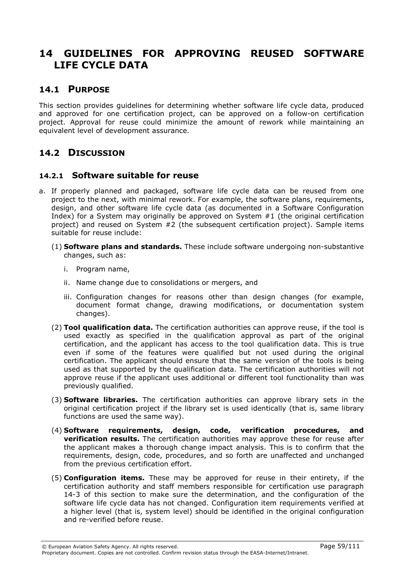# 14 GUIDELINES FOR APPROVING REUSED SOFTWARE LIFE CYCLE DATA

#### 14.1 PURPOSE

This section provides guidelines for determining whether software life cycle data, produced and approved for one certification project, can be approved on a follow-on certification project. Approval for reuse could minimize the amount of rework while maintaining an equivalent level of development assurance.

## 14.2 DISCUSSION

#### 14.2.1 Software suitable for reuse

- a. If properly planned and packaged, software life cycle data can be reused from one project to the next, with minimal rework. For example, the software plans, requirements, design, and other software life cycle data (as documented in a Software Configuration Index) for a System may originally be approved on System #1 (the original certification project) and reused on System #2 (the subsequent certification project). Sample items suitable for reuse include:
	- (1) Software plans and standards. These include software undergoing non-substantive changes, such as:
		- i. Program name,
		- ii. Name change due to consolidations or mergers, and
		- iii. Configuration changes for reasons other than design changes (for example, document format change, drawing modifications, or documentation system changes).
	- (2) Tool qualification data. The certification authorities can approve reuse, if the tool is used exactly as specified in the qualification approval as part of the original certification, and the applicant has access to the tool qualification data. This is true even if some of the features were qualified but not used during the original certification. The applicant should ensure that the same version of the tools is being used as that supported by the qualification data. The certification authorities will not approve reuse if the applicant uses additional or different tool functionality than was previously qualified.
	- (3) Software libraries. The certification authorities can approve library sets in the original certification project if the library set is used identically (that is, same library functions are used the same way).
	- (4) Software requirements, design, code, verification procedures, and **verification results.** The certification authorities may approve these for reuse after the applicant makes a thorough change impact analysis. This is to confirm that the requirements, design, code, procedures, and so forth are unaffected and unchanged from the previous certification effort.
	- (5) Configuration items. These may be approved for reuse in their entirety, if the certification authority and staff members responsible for certification use paragraph 14-3 of this section to make sure the determination, and the configuration of the software life cycle data has not changed. Configuration item requirements verified at a higher level (that is, system level) should be identified in the original configuration and re-verified before reuse.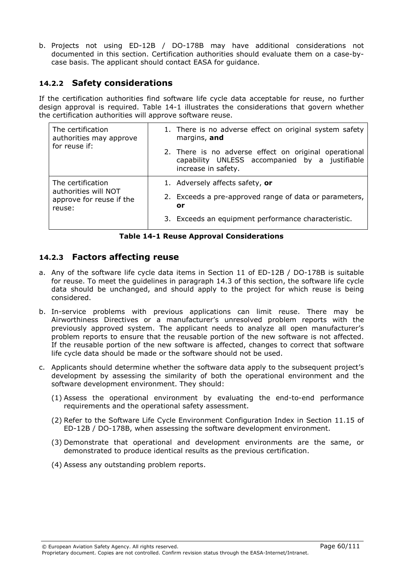b. Projects not using ED-12B / DO-178B may have additional considerations not documented in this section. Certification authorities should evaluate them on a case-bycase basis. The applicant should contact EASA for guidance.

#### 14.2.2 Safety considerations

If the certification authorities find software life cycle data acceptable for reuse, no further design approval is required. Table 14-1 illustrates the considerations that govern whether the certification authorities will approve software reuse.

| The certification<br>authorities may approve<br>for reuse if:                   | 1. There is no adverse effect on original system safety<br>margins, and                                                        |
|---------------------------------------------------------------------------------|--------------------------------------------------------------------------------------------------------------------------------|
|                                                                                 | 2. There is no adverse effect on original operational<br>capability UNLESS accompanied by a justifiable<br>increase in safety. |
| The certification<br>authorities will NOT<br>approve for reuse if the<br>reuse: | 1. Adversely affects safety, or                                                                                                |
|                                                                                 | 2. Exceeds a pre-approved range of data or parameters,<br>or                                                                   |
|                                                                                 | 3. Exceeds an equipment performance characteristic.                                                                            |

#### Table 14-1 Reuse Approval Considerations

#### 14.2.3 Factors affecting reuse

- a. Any of the software life cycle data items in Section 11 of ED-12B / DO-178B is suitable for reuse. To meet the guidelines in paragraph 14.3 of this section, the software life cycle data should be unchanged, and should apply to the project for which reuse is being considered.
- b. In-service problems with previous applications can limit reuse. There may be Airworthiness Directives or a manufacturer's unresolved problem reports with the previously approved system. The applicant needs to analyze all open manufacturer's problem reports to ensure that the reusable portion of the new software is not affected. If the reusable portion of the new software is affected, changes to correct that software life cycle data should be made or the software should not be used.
- c. Applicants should determine whether the software data apply to the subsequent project's development by assessing the similarity of both the operational environment and the software development environment. They should:
	- (1) Assess the operational environment by evaluating the end-to-end performance requirements and the operational safety assessment.
	- (2) Refer to the Software Life Cycle Environment Configuration Index in Section 11.15 of ED-12B / DO-178B, when assessing the software development environment.
	- (3) Demonstrate that operational and development environments are the same, or demonstrated to produce identical results as the previous certification.
	- (4) Assess any outstanding problem reports.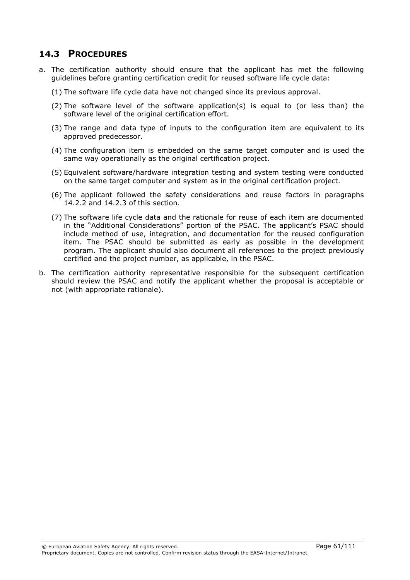### 14.3 PROCEDURES

- a. The certification authority should ensure that the applicant has met the following guidelines before granting certification credit for reused software life cycle data:
	- (1) The software life cycle data have not changed since its previous approval.
	- $(2)$  The software level of the software application(s) is equal to (or less than) the software level of the original certification effort.
	- (3) The range and data type of inputs to the configuration item are equivalent to its approved predecessor.
	- (4) The configuration item is embedded on the same target computer and is used the same way operationally as the original certification project.
	- (5) Equivalent software/hardware integration testing and system testing were conducted on the same target computer and system as in the original certification project.
	- (6) The applicant followed the safety considerations and reuse factors in paragraphs 14.2.2 and 14.2.3 of this section.
	- (7) The software life cycle data and the rationale for reuse of each item are documented in the "Additional Considerations" portion of the PSAC. The applicant's PSAC should include method of use, integration, and documentation for the reused configuration item. The PSAC should be submitted as early as possible in the development program. The applicant should also document all references to the project previously certified and the project number, as applicable, in the PSAC.
- b. The certification authority representative responsible for the subsequent certification should review the PSAC and notify the applicant whether the proposal is acceptable or not (with appropriate rationale).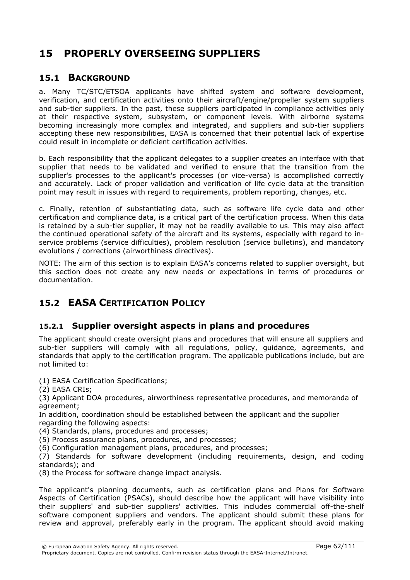# 15 PROPERLY OVERSEEING SUPPLIERS

### 15.1 BACKGROUND

a. Many TC/STC/ETSOA applicants have shifted system and software development, verification, and certification activities onto their aircraft/engine/propeller system suppliers and sub-tier suppliers. In the past, these suppliers participated in compliance activities only at their respective system, subsystem, or component levels. With airborne systems becoming increasingly more complex and integrated, and suppliers and sub-tier suppliers accepting these new responsibilities, EASA is concerned that their potential lack of expertise could result in incomplete or deficient certification activities.

b. Each responsibility that the applicant delegates to a supplier creates an interface with that supplier that needs to be validated and verified to ensure that the transition from the supplier's processes to the applicant's processes (or vice-versa) is accomplished correctly and accurately. Lack of proper validation and verification of life cycle data at the transition point may result in issues with regard to requirements, problem reporting, changes, etc.

c. Finally, retention of substantiating data, such as software life cycle data and other certification and compliance data, is a critical part of the certification process. When this data is retained by a sub-tier supplier, it may not be readily available to us. This may also affect the continued operational safety of the aircraft and its systems, especially with regard to inservice problems (service difficulties), problem resolution (service bulletins), and mandatory evolutions / corrections (airworthiness directives).

NOTE: The aim of this section is to explain EASA's concerns related to supplier oversight, but this section does not create any new needs or expectations in terms of procedures or documentation.

# 15.2 EASA CERTIFICATION POLICY

#### 15.2.1 Supplier oversight aspects in plans and procedures

The applicant should create oversight plans and procedures that will ensure all suppliers and sub-tier suppliers will comply with all regulations, policy, guidance, agreements, and standards that apply to the certification program. The applicable publications include, but are not limited to:

(1) EASA Certification Specifications;

(2) EASA CRIs;

(3) Applicant DOA procedures, airworthiness representative procedures, and memoranda of agreement;

In addition, coordination should be established between the applicant and the supplier regarding the following aspects:

(4) Standards, plans, procedures and processes;

(5) Process assurance plans, procedures, and processes;

(6) Configuration management plans, procedures, and processes;

(7) Standards for software development (including requirements, design, and coding standards); and

(8) the Process for software change impact analysis.

The applicant's planning documents, such as certification plans and Plans for Software Aspects of Certification (PSACs), should describe how the applicant will have visibility into their suppliers' and sub-tier suppliers' activities. This includes commercial off-the-shelf software component suppliers and vendors. The applicant should submit these plans for review and approval, preferably early in the program. The applicant should avoid making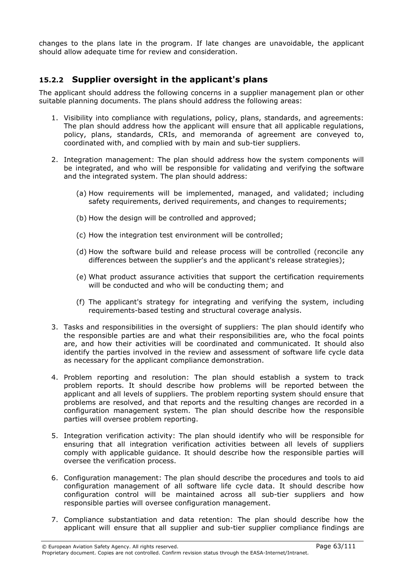changes to the plans late in the program. If late changes are unavoidable, the applicant should allow adequate time for review and consideration.

### 15.2.2 Supplier oversight in the applicant's plans

The applicant should address the following concerns in a supplier management plan or other suitable planning documents. The plans should address the following areas:

- 1. Visibility into compliance with regulations, policy, plans, standards, and agreements: The plan should address how the applicant will ensure that all applicable regulations, policy, plans, standards, CRIs, and memoranda of agreement are conveyed to, coordinated with, and complied with by main and sub-tier suppliers.
- 2. Integration management: The plan should address how the system components will be integrated, and who will be responsible for validating and verifying the software and the integrated system. The plan should address:
	- (a) How requirements will be implemented, managed, and validated; including safety requirements, derived requirements, and changes to requirements;
	- (b) How the design will be controlled and approved;
	- (c) How the integration test environment will be controlled;
	- (d) How the software build and release process will be controlled (reconcile any differences between the supplier's and the applicant's release strategies);
	- (e) What product assurance activities that support the certification requirements will be conducted and who will be conducting them; and
	- (f) The applicant's strategy for integrating and verifying the system, including requirements-based testing and structural coverage analysis.
- 3. Tasks and responsibilities in the oversight of suppliers: The plan should identify who the responsible parties are and what their responsibilities are, who the focal points are, and how their activities will be coordinated and communicated. It should also identify the parties involved in the review and assessment of software life cycle data as necessary for the applicant compliance demonstration.
- 4. Problem reporting and resolution: The plan should establish a system to track problem reports. It should describe how problems will be reported between the applicant and all levels of suppliers. The problem reporting system should ensure that problems are resolved, and that reports and the resulting changes are recorded in a configuration management system. The plan should describe how the responsible parties will oversee problem reporting.
- 5. Integration verification activity: The plan should identify who will be responsible for ensuring that all integration verification activities between all levels of suppliers comply with applicable guidance. It should describe how the responsible parties will oversee the verification process.
- 6. Configuration management: The plan should describe the procedures and tools to aid configuration management of all software life cycle data. It should describe how configuration control will be maintained across all sub-tier suppliers and how responsible parties will oversee configuration management.
- 7. Compliance substantiation and data retention: The plan should describe how the applicant will ensure that all supplier and sub-tier supplier compliance findings are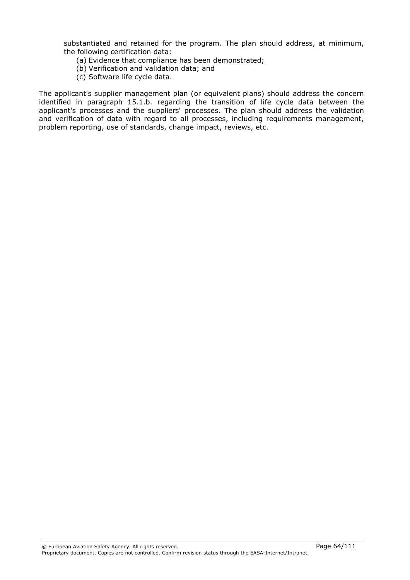substantiated and retained for the program. The plan should address, at minimum, the following certification data:

- (a) Evidence that compliance has been demonstrated;
- (b) Verification and validation data; and
- (c) Software life cycle data.

The applicant's supplier management plan (or equivalent plans) should address the concern identified in paragraph 15.1.b. regarding the transition of life cycle data between the applicant's processes and the suppliers' processes. The plan should address the validation and verification of data with regard to all processes, including requirements management, problem reporting, use of standards, change impact, reviews, etc.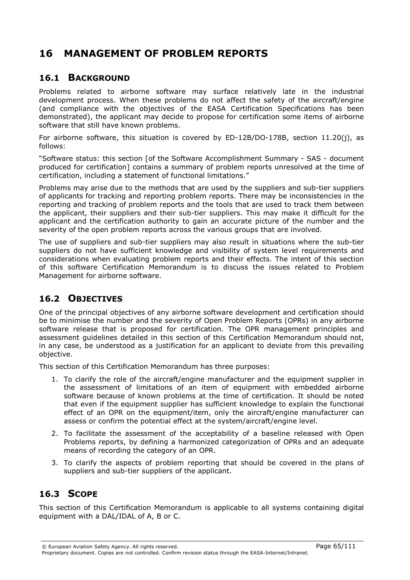# 16 MANAGEMENT OF PROBLEM REPORTS

### 16.1 BACKGROUND

Problems related to airborne software may surface relatively late in the industrial development process. When these problems do not affect the safety of the aircraft/engine (and compliance with the objectives of the EASA Certification Specifications has been demonstrated), the applicant may decide to propose for certification some items of airborne software that still have known problems.

For airborne software, this situation is covered by ED-12B/DO-178B, section 11.20(j), as follows:

"Software status: this section [of the Software Accomplishment Summary - SAS - document produced for certification] contains a summary of problem reports unresolved at the time of certification, including a statement of functional limitations."

Problems may arise due to the methods that are used by the suppliers and sub-tier suppliers of applicants for tracking and reporting problem reports. There may be inconsistencies in the reporting and tracking of problem reports and the tools that are used to track them between the applicant, their suppliers and their sub-tier suppliers. This may make it difficult for the applicant and the certification authority to gain an accurate picture of the number and the severity of the open problem reports across the various groups that are involved.

The use of suppliers and sub-tier suppliers may also result in situations where the sub-tier suppliers do not have sufficient knowledge and visibility of system level requirements and considerations when evaluating problem reports and their effects. The intent of this section of this software Certification Memorandum is to discuss the issues related to Problem Management for airborne software.

## 16.2 OBJECTIVES

One of the principal objectives of any airborne software development and certification should be to minimise the number and the severity of Open Problem Reports (OPRs) in any airborne software release that is proposed for certification. The OPR management principles and assessment guidelines detailed in this section of this Certification Memorandum should not, in any case, be understood as a justification for an applicant to deviate from this prevailing objective.

This section of this Certification Memorandum has three purposes:

- 1. To clarify the role of the aircraft/engine manufacturer and the equipment supplier in the assessment of limitations of an item of equipment with embedded airborne software because of known problems at the time of certification. It should be noted that even if the equipment supplier has sufficient knowledge to explain the functional effect of an OPR on the equipment/item, only the aircraft/engine manufacturer can assess or confirm the potential effect at the system/aircraft/engine level.
- 2. To facilitate the assessment of the acceptability of a baseline released with Open Problems reports, by defining a harmonized categorization of OPRs and an adequate means of recording the category of an OPR.
- 3. To clarify the aspects of problem reporting that should be covered in the plans of suppliers and sub-tier suppliers of the applicant.

## 16.3 SCOPE

This section of this Certification Memorandum is applicable to all systems containing digital equipment with a DAL/IDAL of A, B or C.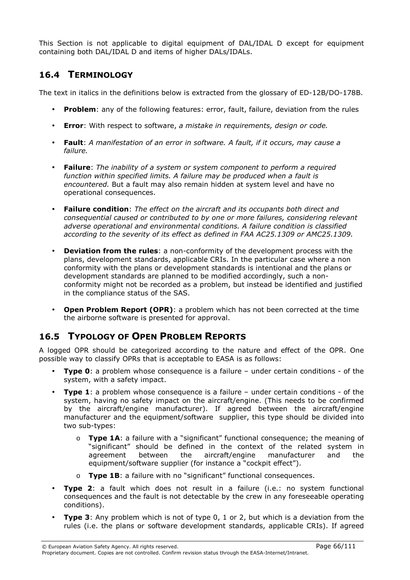This Section is not applicable to digital equipment of DAL/IDAL D except for equipment containing both DAL/IDAL D and items of higher DALs/IDALs.

### 16.4 TERMINOLOGY

The text in italics in the definitions below is extracted from the glossary of ED-12B/DO-178B.

- **Problem:** any of the following features: error, fault, failure, deviation from the rules
- Error: With respect to software, a mistake in requirements, design or code.
- Fault: A manifestation of an error in software. A fault, if it occurs, may cause a failure.
- Failure: The inability of a system or system component to perform a required function within specified limits. A failure may be produced when a fault is encountered. But a fault may also remain hidden at system level and have no operational consequences.
- **Failure condition:** The effect on the aircraft and its occupants both direct and consequential caused or contributed to by one or more failures, considering relevant adverse operational and environmental conditions. A failure condition is classified according to the severity of its effect as defined in FAA AC25.1309 or AMC25.1309.
- Deviation from the rules: a non-conformity of the development process with the plans, development standards, applicable CRIs. In the particular case where a non conformity with the plans or development standards is intentional and the plans or development standards are planned to be modified accordingly, such a nonconformity might not be recorded as a problem, but instead be identified and justified in the compliance status of the SAS.
- Open Problem Report (OPR): a problem which has not been corrected at the time the airborne software is presented for approval.

# 16.5 TYPOLOGY OF OPEN PROBLEM REPORTS

A logged OPR should be categorized according to the nature and effect of the OPR. One possible way to classify OPRs that is acceptable to EASA is as follows:

- Type 0: a problem whose consequence is a failure under certain conditions of the system, with a safety impact.
- **Type 1:** a problem whose consequence is a failure under certain conditions of the system, having no safety impact on the aircraft/engine. (This needs to be confirmed by the aircraft/engine manufacturer). If agreed between the aircraft/engine manufacturer and the equipment/software supplier, this type should be divided into two sub-types:
	- $\circ$  Type 1A: a failure with a "significant" functional consequence; the meaning of "significant" should be defined in the context of the related system in agreement between the aircraft/engine manufacturer and the equipment/software supplier (for instance a "cockpit effect").
	- o Type 1B: a failure with no "significant" functional consequences.
- Type 2: a fault which does not result in a failure (i.e.: no system functional consequences and the fault is not detectable by the crew in any foreseeable operating conditions).
- **Type 3:** Any problem which is not of type  $0, 1$  or  $2$ , but which is a deviation from the rules (i.e. the plans or software development standards, applicable CRIs). If agreed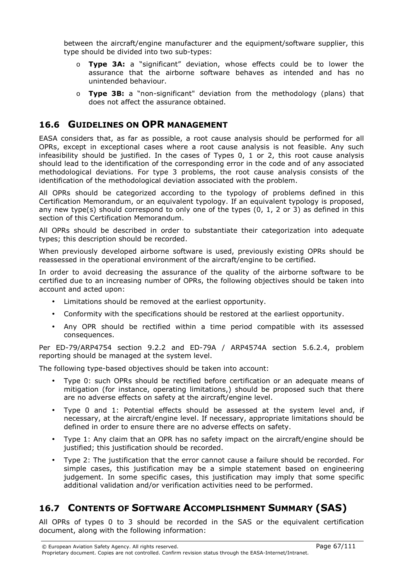between the aircraft/engine manufacturer and the equipment/software supplier, this type should be divided into two sub-types:

- o Type 3A: a "significant" deviation, whose effects could be to lower the assurance that the airborne software behaves as intended and has no unintended behaviour.
- $\circ$  Type 3B: a "non-significant" deviation from the methodology (plans) that does not affect the assurance obtained.

## 16.6 GUIDELINES ON OPR MANAGEMENT

EASA considers that, as far as possible, a root cause analysis should be performed for all OPRs, except in exceptional cases where a root cause analysis is not feasible. Any such infeasibility should be justified. In the cases of Types 0, 1 or 2, this root cause analysis should lead to the identification of the corresponding error in the code and of any associated methodological deviations. For type 3 problems, the root cause analysis consists of the identification of the methodological deviation associated with the problem.

All OPRs should be categorized according to the typology of problems defined in this Certification Memorandum, or an equivalent typology. If an equivalent typology is proposed, any new type(s) should correspond to only one of the types (0, 1, 2 or 3) as defined in this section of this Certification Memorandum.

All OPRs should be described in order to substantiate their categorization into adequate types; this description should be recorded.

When previously developed airborne software is used, previously existing OPRs should be reassessed in the operational environment of the aircraft/engine to be certified.

In order to avoid decreasing the assurance of the quality of the airborne software to be certified due to an increasing number of OPRs, the following objectives should be taken into account and acted upon:

- Limitations should be removed at the earliest opportunity.
- Conformity with the specifications should be restored at the earliest opportunity.
- Any OPR should be rectified within a time period compatible with its assessed consequences.

Per ED-79/ARP4754 section 9.2.2 and ED-79A / ARP4574A section 5.6.2.4, problem reporting should be managed at the system level.

The following type-based objectives should be taken into account:

- Type 0: such OPRs should be rectified before certification or an adequate means of mitigation (for instance, operating limitations,) should be proposed such that there are no adverse effects on safety at the aircraft/engine level.
- Type 0 and 1: Potential effects should be assessed at the system level and, if necessary, at the aircraft/engine level. If necessary, appropriate limitations should be defined in order to ensure there are no adverse effects on safety.
- Type 1: Any claim that an OPR has no safety impact on the aircraft/engine should be justified; this justification should be recorded.
- Type 2: The justification that the error cannot cause a failure should be recorded. For simple cases, this justification may be a simple statement based on engineering judgement. In some specific cases, this justification may imply that some specific additional validation and/or verification activities need to be performed.

# 16.7 CONTENTS OF SOFTWARE ACCOMPLISHMENT SUMMARY (SAS)

All OPRs of types 0 to 3 should be recorded in the SAS or the equivalent certification document, along with the following information: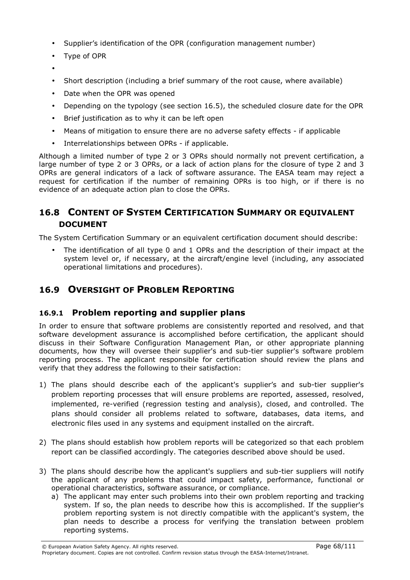- Supplier's identification of the OPR (configuration management number)
- Type of OPR
- •
- Short description (including a brief summary of the root cause, where available)
- Date when the OPR was opened
- Depending on the typology (see section 16.5), the scheduled closure date for the OPR
- Brief justification as to why it can be left open
- Means of mitigation to ensure there are no adverse safety effects if applicable
- Interrelationships between OPRs if applicable.

Although a limited number of type 2 or 3 OPRs should normally not prevent certification, a large number of type 2 or 3 OPRs, or a lack of action plans for the closure of type 2 and 3 OPRs are general indicators of a lack of software assurance. The EASA team may reject a request for certification if the number of remaining OPRs is too high, or if there is no evidence of an adequate action plan to close the OPRs.

## 16.8 CONTENT OF SYSTEM CERTIFICATION SUMMARY OR EQUIVALENT DOCUMENT

The System Certification Summary or an equivalent certification document should describe:

• The identification of all type 0 and 1 OPRs and the description of their impact at the system level or, if necessary, at the aircraft/engine level (including, any associated operational limitations and procedures).

# 16.9 OVERSIGHT OF PROBLEM REPORTING

#### 16.9.1 Problem reporting and supplier plans

In order to ensure that software problems are consistently reported and resolved, and that software development assurance is accomplished before certification, the applicant should discuss in their Software Configuration Management Plan, or other appropriate planning documents, how they will oversee their supplier's and sub-tier supplier's software problem reporting process. The applicant responsible for certification should review the plans and verify that they address the following to their satisfaction:

- 1) The plans should describe each of the applicant's supplier's and sub-tier supplier's problem reporting processes that will ensure problems are reported, assessed, resolved, implemented, re-verified (regression testing and analysis), closed, and controlled. The plans should consider all problems related to software, databases, data items, and electronic files used in any systems and equipment installed on the aircraft.
- 2) The plans should establish how problem reports will be categorized so that each problem report can be classified accordingly. The categories described above should be used.
- 3) The plans should describe how the applicant's suppliers and sub-tier suppliers will notify the applicant of any problems that could impact safety, performance, functional or operational characteristics, software assurance, or compliance.
	- a) The applicant may enter such problems into their own problem reporting and tracking system. If so, the plan needs to describe how this is accomplished. If the supplier's problem reporting system is not directly compatible with the applicant's system, the plan needs to describe a process for verifying the translation between problem reporting systems.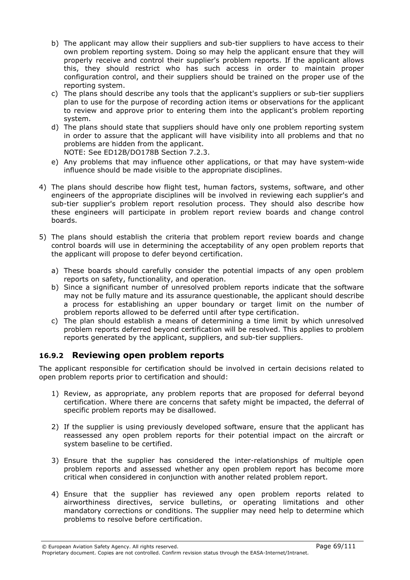- b) The applicant may allow their suppliers and sub-tier suppliers to have access to their own problem reporting system. Doing so may help the applicant ensure that they will properly receive and control their supplier's problem reports. If the applicant allows this, they should restrict who has such access in order to maintain proper configuration control, and their suppliers should be trained on the proper use of the reporting system.
- c) The plans should describe any tools that the applicant's suppliers or sub-tier suppliers plan to use for the purpose of recording action items or observations for the applicant to review and approve prior to entering them into the applicant's problem reporting system.
- d) The plans should state that suppliers should have only one problem reporting system in order to assure that the applicant will have visibility into all problems and that no problems are hidden from the applicant. NOTE: See ED12B/DO178B Section 7.2.3.
- e) Any problems that may influence other applications, or that may have system-wide influence should be made visible to the appropriate disciplines.
- 4) The plans should describe how flight test, human factors, systems, software, and other engineers of the appropriate disciplines will be involved in reviewing each supplier's and sub-tier supplier's problem report resolution process. They should also describe how these engineers will participate in problem report review boards and change control boards.
- 5) The plans should establish the criteria that problem report review boards and change control boards will use in determining the acceptability of any open problem reports that the applicant will propose to defer beyond certification.
	- a) These boards should carefully consider the potential impacts of any open problem reports on safety, functionality, and operation.
	- b) Since a significant number of unresolved problem reports indicate that the software may not be fully mature and its assurance questionable, the applicant should describe a process for establishing an upper boundary or target limit on the number of problem reports allowed to be deferred until after type certification.
	- c) The plan should establish a means of determining a time limit by which unresolved problem reports deferred beyond certification will be resolved. This applies to problem reports generated by the applicant, suppliers, and sub-tier suppliers.

#### 16.9.2 Reviewing open problem reports

The applicant responsible for certification should be involved in certain decisions related to open problem reports prior to certification and should:

- 1) Review, as appropriate, any problem reports that are proposed for deferral beyond certification. Where there are concerns that safety might be impacted, the deferral of specific problem reports may be disallowed.
- 2) If the supplier is using previously developed software, ensure that the applicant has reassessed any open problem reports for their potential impact on the aircraft or system baseline to be certified.
- 3) Ensure that the supplier has considered the inter-relationships of multiple open problem reports and assessed whether any open problem report has become more critical when considered in conjunction with another related problem report.
- 4) Ensure that the supplier has reviewed any open problem reports related to airworthiness directives, service bulletins, or operating limitations and other mandatory corrections or conditions. The supplier may need help to determine which problems to resolve before certification.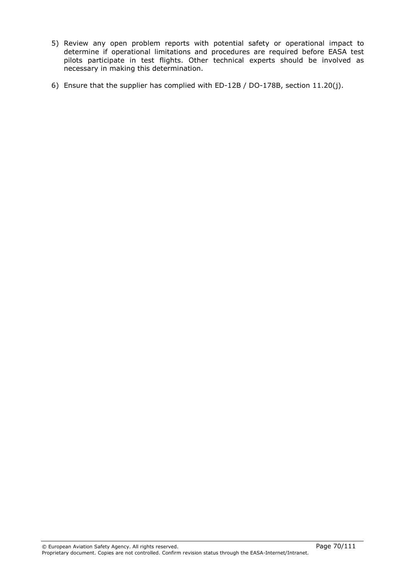- 5) Review any open problem reports with potential safety or operational impact to determine if operational limitations and procedures are required before EASA test pilots participate in test flights. Other technical experts should be involved as necessary in making this determination.
- 6) Ensure that the supplier has complied with ED-12B / DO-178B, section 11.20(j).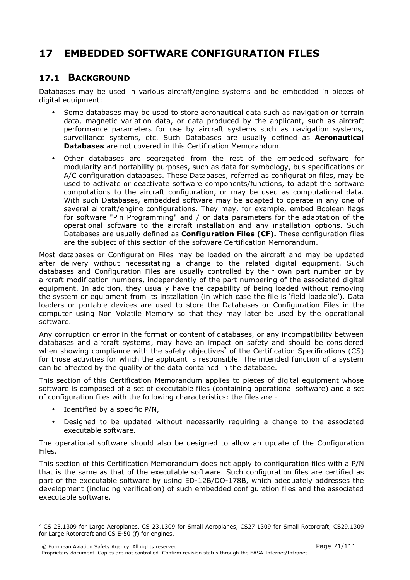# 17 EMBEDDED SOFTWARE CONFIGURATION FILES

#### 17.1 BACKGROUND

Databases may be used in various aircraft/engine systems and be embedded in pieces of digital equipment:

- Some databases may be used to store aeronautical data such as navigation or terrain data, magnetic variation data, or data produced by the applicant, such as aircraft performance parameters for use by aircraft systems such as navigation systems, surveillance systems, etc. Such Databases are usually defined as **Aeronautical** Databases are not covered in this Certification Memorandum.
- Other databases are segregated from the rest of the embedded software for modularity and portability purposes, such as data for symbology, bus specifications or A/C configuration databases. These Databases, referred as configuration files, may be used to activate or deactivate software components/functions, to adapt the software computations to the aircraft configuration, or may be used as computational data. With such Databases, embedded software may be adapted to operate in any one of several aircraft/engine configurations. They may, for example, embed Boolean flags for software "Pin Programming" and / or data parameters for the adaptation of the operational software to the aircraft installation and any installation options. Such Databases are usually defined as **Configuration Files (CF).** These configuration files are the subject of this section of the software Certification Memorandum.

Most databases or Configuration Files may be loaded on the aircraft and may be updated after delivery without necessitating a change to the related digital equipment. Such databases and Configuration Files are usually controlled by their own part number or by aircraft modification numbers, independently of the part numbering of the associated digital equipment. In addition, they usually have the capability of being loaded without removing the system or equipment from its installation (in which case the file is 'field loadable'). Data loaders or portable devices are used to store the Databases or Configuration Files in the computer using Non Volatile Memory so that they may later be used by the operational software.

Any corruption or error in the format or content of databases, or any incompatibility between databases and aircraft systems, may have an impact on safety and should be considered when showing compliance with the safety objectives<sup>2</sup> of the Certification Specifications (CS) for those activities for which the applicant is responsible. The intended function of a system can be affected by the quality of the data contained in the database.

This section of this Certification Memorandum applies to pieces of digital equipment whose software is composed of a set of executable files (containing operational software) and a set of configuration files with the following characteristics: the files are -

Identified by a specific P/N,

 $\overline{a}$ 

• Designed to be updated without necessarily requiring a change to the associated executable software.

The operational software should also be designed to allow an update of the Configuration Files.

This section of this Certification Memorandum does not apply to configuration files with a P/N that is the same as that of the executable software. Such configuration files are certified as part of the executable software by using ED-12B/DO-178B, which adequately addresses the development (including verification) of such embedded configuration files and the associated executable software.

© European Aviation Safety Agency. All rights reserved. Page 71/111 Proprietary document. Copies are not controlled. Confirm revision status through the EASA-Internet/Intranet.

 $^2$  CS 25.1309 for Large Aeroplanes, CS 23.1309 for Small Aeroplanes, CS27.1309 for Small Rotorcraft, CS29.1309 for Large Rotorcraft and CS E-50 (f) for engines.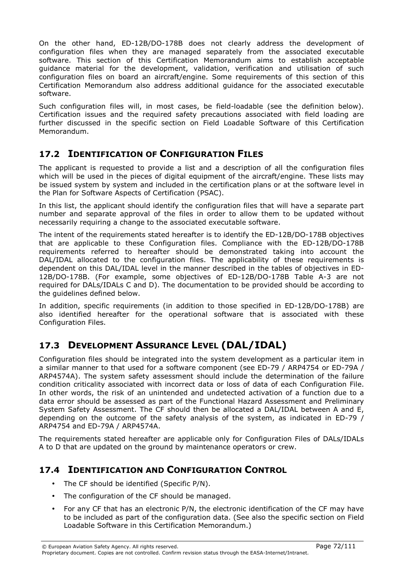On the other hand, ED-12B/DO-178B does not clearly address the development of configuration files when they are managed separately from the associated executable software. This section of this Certification Memorandum aims to establish acceptable guidance material for the development, validation, verification and utilisation of such configuration files on board an aircraft/engine. Some requirements of this section of this Certification Memorandum also address additional guidance for the associated executable software.

Such configuration files will, in most cases, be field-loadable (see the definition below). Certification issues and the required safety precautions associated with field loading are further discussed in the specific section on Field Loadable Software of this Certification Memorandum.

## 17.2 IDENTIFICATION OF CONFIGURATION FILES

The applicant is requested to provide a list and a description of all the configuration files which will be used in the pieces of digital equipment of the aircraft/engine. These lists may be issued system by system and included in the certification plans or at the software level in the Plan for Software Aspects of Certification (PSAC).

In this list, the applicant should identify the configuration files that will have a separate part number and separate approval of the files in order to allow them to be updated without necessarily requiring a change to the associated executable software.

The intent of the requirements stated hereafter is to identify the ED-12B/DO-178B objectives that are applicable to these Configuration files. Compliance with the ED-12B/DO-178B requirements referred to hereafter should be demonstrated taking into account the DAL/IDAL allocated to the configuration files. The applicability of these requirements is dependent on this DAL/IDAL level in the manner described in the tables of objectives in ED-12B/DO-178B. (For example, some objectives of ED-12B/DO-178B Table A-3 are not required for DALs/IDALs C and D). The documentation to be provided should be according to the guidelines defined below.

In addition, specific requirements (in addition to those specified in ED-12B/DO-178B) are also identified hereafter for the operational software that is associated with these Configuration Files.

# 17.3 DEVELOPMENT ASSURANCE LEVEL (DAL/IDAL)

Configuration files should be integrated into the system development as a particular item in a similar manner to that used for a software component (see ED-79 / ARP4754 or ED-79A / ARP4574A). The system safety assessment should include the determination of the failure condition criticality associated with incorrect data or loss of data of each Configuration File. In other words, the risk of an unintended and undetected activation of a function due to a data error should be assessed as part of the Functional Hazard Assessment and Preliminary System Safety Assessment. The CF should then be allocated a DAL/IDAL between A and E, depending on the outcome of the safety analysis of the system, as indicated in ED-79 / ARP4754 and ED-79A / ARP4574A.

The requirements stated hereafter are applicable only for Configuration Files of DALs/IDALs A to D that are updated on the ground by maintenance operators or crew.

# 17.4 IDENTIFICATION AND CONFIGURATION CONTROL

- The CF should be identified (Specific P/N).
- The configuration of the CF should be managed.
- For any CF that has an electronic P/N, the electronic identification of the CF may have to be included as part of the configuration data. (See also the specific section on Field Loadable Software in this Certification Memorandum.)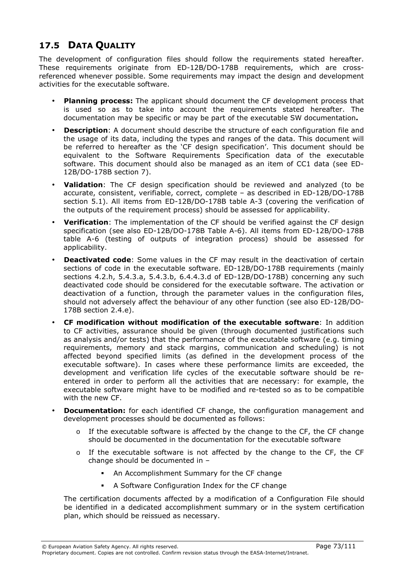# 17.5 DATA QUALITY

The development of configuration files should follow the requirements stated hereafter. These requirements originate from ED-12B/DO-178B requirements, which are crossreferenced whenever possible. Some requirements may impact the design and development activities for the executable software.

- Planning process: The applicant should document the CF development process that is used so as to take into account the requirements stated hereafter. The documentation may be specific or may be part of the executable SW documentation.
- **Description:** A document should describe the structure of each configuration file and the usage of its data, including the types and ranges of the data. This document will be referred to hereafter as the 'CF design specification'. This document should be equivalent to the Software Requirements Specification data of the executable software. This document should also be managed as an item of CC1 data (see ED-12B/DO-178B section 7).
- Validation: The CF design specification should be reviewed and analyzed (to be accurate, consistent, verifiable, correct, complete – as described in ED-12B/DO-178B section 5.1). All items from ED-12B/DO-178B table A-3 (covering the verification of the outputs of the requirement process) should be assessed for applicability.
- **Verification:** The implementation of the CF should be verified against the CF design specification (see also ED-12B/DO-178B Table A-6). All items from ED-12B/DO-178B table A-6 (testing of outputs of integration process) should be assessed for applicability.
- Deactivated code: Some values in the CF may result in the deactivation of certain sections of code in the executable software. ED-12B/DO-178B requirements (mainly sections 4.2.h, 5.4.3.a, 5.4.3.b, 6.4.4.3.d of ED-12B/DO-178B) concerning any such deactivated code should be considered for the executable software. The activation or deactivation of a function, through the parameter values in the configuration files, should not adversely affect the behaviour of any other function (see also ED-12B/DO-178B section 2.4.e).
- CF modification without modification of the executable software: In addition to CF activities, assurance should be given (through documented justifications such as analysis and/or tests) that the performance of the executable software (e.g. timing requirements, memory and stack margins, communication and scheduling) is not affected beyond specified limits (as defined in the development process of the executable software). In cases where these performance limits are exceeded, the development and verification life cycles of the executable software should be reentered in order to perform all the activities that are necessary: for example, the executable software might have to be modified and re-tested so as to be compatible with the new CF.
- **Documentation:** for each identified CF change, the configuration management and development processes should be documented as follows:
	- $\circ$  If the executable software is affected by the change to the CF, the CF change should be documented in the documentation for the executable software
	- o If the executable software is not affected by the change to the CF, the CF change should be documented in –
		- An Accomplishment Summary for the CF change
		- A Software Configuration Index for the CF change

The certification documents affected by a modification of a Configuration File should be identified in a dedicated accomplishment summary or in the system certification plan, which should be reissued as necessary.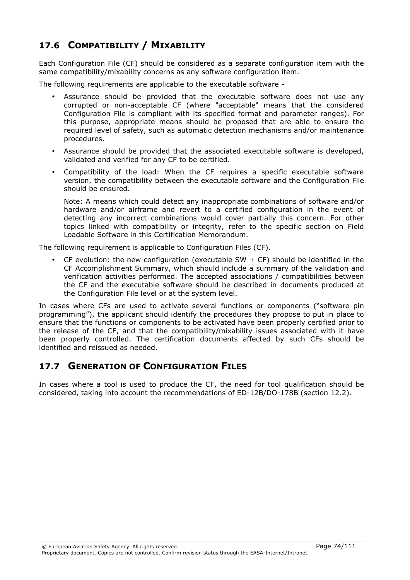# 17.6 COMPATIBILITY / MIXABILITY

Each Configuration File (CF) should be considered as a separate configuration item with the same compatibility/mixability concerns as any software configuration item.

The following requirements are applicable to the executable software -

- Assurance should be provided that the executable software does not use any corrupted or non-acceptable CF (where "acceptable" means that the considered Configuration File is compliant with its specified format and parameter ranges). For this purpose, appropriate means should be proposed that are able to ensure the required level of safety, such as automatic detection mechanisms and/or maintenance procedures.
- Assurance should be provided that the associated executable software is developed, validated and verified for any CF to be certified.
- Compatibility of the load: When the CF requires a specific executable software version, the compatibility between the executable software and the Configuration File should be ensured.

Note: A means which could detect any inappropriate combinations of software and/or hardware and/or airframe and revert to a certified configuration in the event of detecting any incorrect combinations would cover partially this concern. For other topics linked with compatibility or integrity, refer to the specific section on Field Loadable Software in this Certification Memorandum.

The following requirement is applicable to Configuration Files (CF).

• CF evolution: the new configuration (executable SW  $+$  CF) should be identified in the CF Accomplishment Summary, which should include a summary of the validation and verification activities performed. The accepted associations / compatibilities between the CF and the executable software should be described in documents produced at the Configuration File level or at the system level.

In cases where CFs are used to activate several functions or components ("software pin programming"), the applicant should identify the procedures they propose to put in place to ensure that the functions or components to be activated have been properly certified prior to the release of the CF, and that the compatibility/mixability issues associated with it have been properly controlled. The certification documents affected by such CFs should be identified and reissued as needed.

# 17.7 GENERATION OF CONFIGURATION FILES

In cases where a tool is used to produce the CF, the need for tool qualification should be considered, taking into account the recommendations of ED-12B/DO-178B (section 12.2).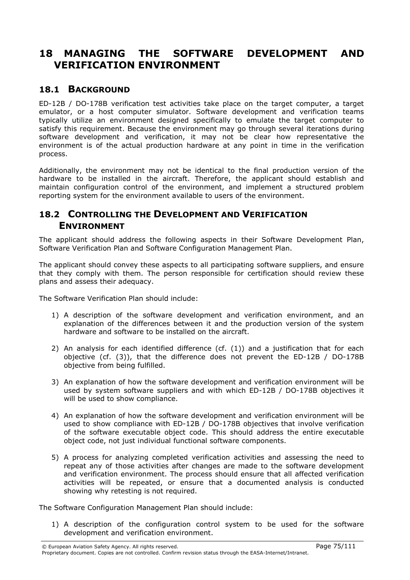# 18 MANAGING THE SOFTWARE DEVELOPMENT AND VERIFICATION ENVIRONMENT

# 18.1 BACKGROUND

ED-12B / DO-178B verification test activities take place on the target computer, a target emulator, or a host computer simulator. Software development and verification teams typically utilize an environment designed specifically to emulate the target computer to satisfy this requirement. Because the environment may go through several iterations during software development and verification, it may not be clear how representative the environment is of the actual production hardware at any point in time in the verification process.

Additionally, the environment may not be identical to the final production version of the hardware to be installed in the aircraft. Therefore, the applicant should establish and maintain configuration control of the environment, and implement a structured problem reporting system for the environment available to users of the environment.

# 18.2 CONTROLLING THE DEVELOPMENT AND VERIFICATION ENVIRONMENT

The applicant should address the following aspects in their Software Development Plan, Software Verification Plan and Software Configuration Management Plan.

The applicant should convey these aspects to all participating software suppliers, and ensure that they comply with them. The person responsible for certification should review these plans and assess their adequacy.

The Software Verification Plan should include:

- 1) A description of the software development and verification environment, and an explanation of the differences between it and the production version of the system hardware and software to be installed on the aircraft.
- 2) An analysis for each identified difference (cf. (1)) and a justification that for each objective (cf. (3)), that the difference does not prevent the ED-12B / DO-178B objective from being fulfilled.
- 3) An explanation of how the software development and verification environment will be used by system software suppliers and with which ED-12B / DO-178B objectives it will be used to show compliance.
- 4) An explanation of how the software development and verification environment will be used to show compliance with ED-12B / DO-178B objectives that involve verification of the software executable object code. This should address the entire executable object code, not just individual functional software components.
- 5) A process for analyzing completed verification activities and assessing the need to repeat any of those activities after changes are made to the software development and verification environment. The process should ensure that all affected verification activities will be repeated, or ensure that a documented analysis is conducted showing why retesting is not required.

The Software Configuration Management Plan should include:

1) A description of the configuration control system to be used for the software development and verification environment.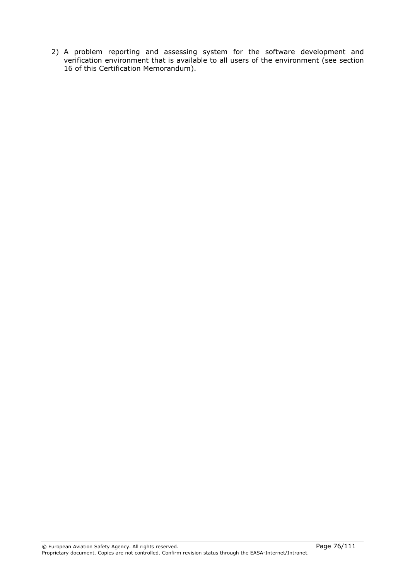2) A problem reporting and assessing system for the software development and verification environment that is available to all users of the environment (see section 16 of this Certification Memorandum).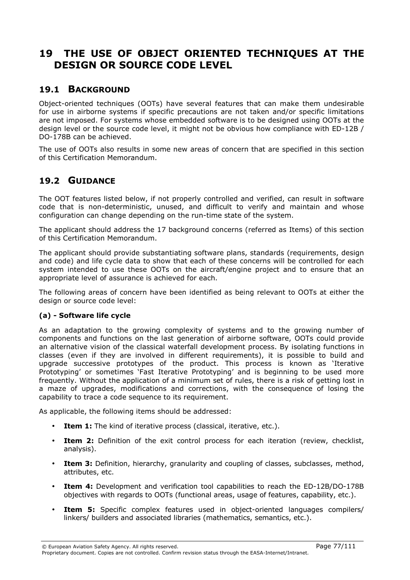# 19 THE USE OF OBJECT ORIENTED TECHNIQUES AT THE DESIGN OR SOURCE CODE LEVEL

# 19.1 BACKGROUND

Object-oriented techniques (OOTs) have several features that can make them undesirable for use in airborne systems if specific precautions are not taken and/or specific limitations are not imposed. For systems whose embedded software is to be designed using OOTs at the design level or the source code level, it might not be obvious how compliance with ED-12B / DO-178B can be achieved.

The use of OOTs also results in some new areas of concern that are specified in this section of this Certification Memorandum.

# 19.2 GUIDANCE

The OOT features listed below, if not properly controlled and verified, can result in software code that is non-deterministic, unused, and difficult to verify and maintain and whose configuration can change depending on the run-time state of the system.

The applicant should address the 17 background concerns (referred as Items) of this section of this Certification Memorandum.

The applicant should provide substantiating software plans, standards (requirements, design and code) and life cycle data to show that each of these concerns will be controlled for each system intended to use these OOTs on the aircraft/engine project and to ensure that an appropriate level of assurance is achieved for each.

The following areas of concern have been identified as being relevant to OOTs at either the design or source code level:

#### (a) - Software life cycle

As an adaptation to the growing complexity of systems and to the growing number of components and functions on the last generation of airborne software, OOTs could provide an alternative vision of the classical waterfall development process. By isolating functions in classes (even if they are involved in different requirements), it is possible to build and upgrade successive prototypes of the product. This process is known as 'Iterative Prototyping' or sometimes 'Fast Iterative Prototyping' and is beginning to be used more frequently. Without the application of a minimum set of rules, there is a risk of getting lost in a maze of upgrades, modifications and corrections, with the consequence of losing the capability to trace a code sequence to its requirement.

As applicable, the following items should be addressed:

- Item 1: The kind of iterative process (classical, iterative, etc.).
- Item 2: Definition of the exit control process for each iteration (review, checklist, analysis).
- Item 3: Definition, hierarchy, granularity and coupling of classes, subclasses, method, attributes, etc.
- **Item 4:** Development and verification tool capabilities to reach the ED-12B/DO-178B objectives with regards to OOTs (functional areas, usage of features, capability, etc.).
- Item 5: Specific complex features used in object-oriented languages compilers/ linkers/ builders and associated libraries (mathematics, semantics, etc.).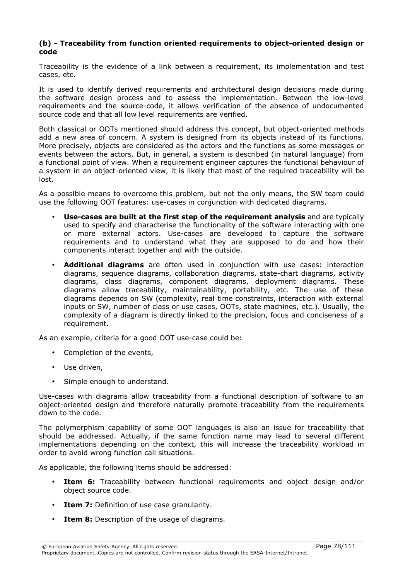#### (b) - Traceability from function oriented requirements to object-oriented design or code

Traceability is the evidence of a link between a requirement, its implementation and test cases, etc.

It is used to identify derived requirements and architectural design decisions made during the software design process and to assess the implementation. Between the low-level requirements and the source-code, it allows verification of the absence of undocumented source code and that all low level requirements are verified.

Both classical or OOTs mentioned should address this concept, but object-oriented methods add a new area of concern. A system is designed from its objects instead of its functions. More precisely, objects are considered as the actors and the functions as some messages or events between the actors. But, in general, a system is described (in natural language) from a functional point of view. When a requirement engineer captures the functional behaviour of a system in an object-oriented view, it is likely that most of the required traceability will be lost.

As a possible means to overcome this problem, but not the only means, the SW team could use the following OOT features: use-cases in conjunction with dedicated diagrams.

- Use-cases are built at the first step of the requirement analysis and are typically used to specify and characterise the functionality of the software interacting with one or more external actors. Use-cases are developed to capture the software requirements and to understand what they are supposed to do and how their components interact together and with the outside.
- **Additional diagrams** are often used in conjunction with use cases: interaction diagrams, sequence diagrams, collaboration diagrams, state-chart diagrams, activity diagrams, class diagrams, component diagrams, deployment diagrams. These diagrams allow traceability, maintainability, portability, etc. The use of these diagrams depends on SW (complexity, real time constraints, interaction with external inputs or SW, number of class or use cases, OOTs, state machines, etc.). Usually, the complexity of a diagram is directly linked to the precision, focus and conciseness of a requirement.

As an example, criteria for a good OOT use-case could be:

- Completion of the events,
- Use driven,
- Simple enough to understand.

Use-cases with diagrams allow traceability from a functional description of software to an object-oriented design and therefore naturally promote traceability from the requirements down to the code.

The polymorphism capability of some OOT languages is also an issue for traceability that should be addressed. Actually, if the same function name may lead to several different implementations depending on the context, this will increase the traceability workload in order to avoid wrong function call situations.

As applicable, the following items should be addressed:

- Item 6: Traceability between functional requirements and object design and/or object source code.
- **Item 7:** Definition of use case granularity.
- **Item 8:** Description of the usage of diagrams.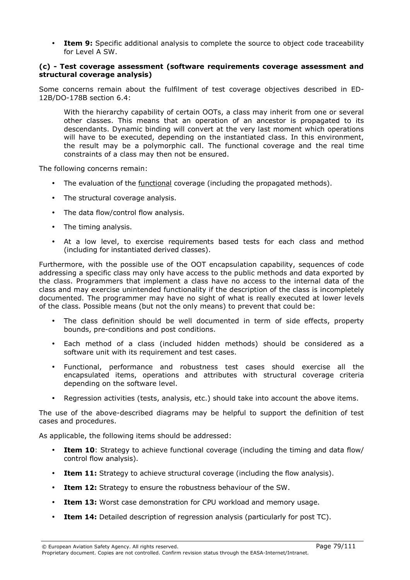• Item 9: Specific additional analysis to complete the source to object code traceability for Level A SW.

#### (c) - Test coverage assessment (software requirements coverage assessment and structural coverage analysis)

Some concerns remain about the fulfilment of test coverage objectives described in ED-12B/DO-178B section 6.4:

With the hierarchy capability of certain OOTs, a class may inherit from one or several other classes. This means that an operation of an ancestor is propagated to its descendants. Dynamic binding will convert at the very last moment which operations will have to be executed, depending on the instantiated class. In this environment, the result may be a polymorphic call. The functional coverage and the real time constraints of a class may then not be ensured.

The following concerns remain:

- The evaluation of the functional coverage (including the propagated methods).
- The structural coverage analysis.
- The data flow/control flow analysis.
- The timing analysis.
- At a low level, to exercise requirements based tests for each class and method (including for instantiated derived classes).

Furthermore, with the possible use of the OOT encapsulation capability, sequences of code addressing a specific class may only have access to the public methods and data exported by the class. Programmers that implement a class have no access to the internal data of the class and may exercise unintended functionality if the description of the class is incompletely documented. The programmer may have no sight of what is really executed at lower levels of the class. Possible means (but not the only means) to prevent that could be:

- The class definition should be well documented in term of side effects, property bounds, pre-conditions and post conditions.
- Each method of a class (included hidden methods) should be considered as a software unit with its requirement and test cases.
- Functional, performance and robustness test cases should exercise all the encapsulated items, operations and attributes with structural coverage criteria depending on the software level.
- Regression activities (tests, analysis, etc.) should take into account the above items.

The use of the above-described diagrams may be helpful to support the definition of test cases and procedures.

As applicable, the following items should be addressed:

- Item 10: Strategy to achieve functional coverage (including the timing and data flow/ control flow analysis).
- Item 11: Strategy to achieve structural coverage (including the flow analysis).
- Item 12: Strategy to ensure the robustness behaviour of the SW.
- **Item 13:** Worst case demonstration for CPU workload and memory usage.
- Item 14: Detailed description of regression analysis (particularly for post TC).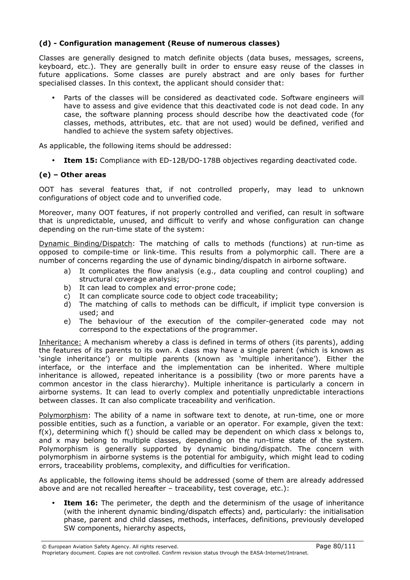### (d) - Configuration management (Reuse of numerous classes)

Classes are generally designed to match definite objects (data buses, messages, screens, keyboard, etc.). They are generally built in order to ensure easy reuse of the classes in future applications. Some classes are purely abstract and are only bases for further specialised classes. In this context, the applicant should consider that:

• Parts of the classes will be considered as deactivated code. Software engineers will have to assess and give evidence that this deactivated code is not dead code. In any case, the software planning process should describe how the deactivated code (for classes, methods, attributes, etc. that are not used) would be defined, verified and handled to achieve the system safety objectives.

As applicable, the following items should be addressed:

**Item 15:** Compliance with ED-12B/DO-178B objectives regarding deactivated code.

#### (e) – Other areas

OOT has several features that, if not controlled properly, may lead to unknown configurations of object code and to unverified code.

Moreover, many OOT features, if not properly controlled and verified, can result in software that is unpredictable, unused, and difficult to verify and whose configuration can change depending on the run-time state of the system:

Dynamic Binding/Dispatch: The matching of calls to methods (functions) at run-time as opposed to compile-time or link-time. This results from a polymorphic call. There are a number of concerns regarding the use of dynamic binding/dispatch in airborne software.

- a) It complicates the flow analysis (e.g., data coupling and control coupling) and structural coverage analysis;
- b) It can lead to complex and error-prone code;
- c) It can complicate source code to object code traceability;
- d) The matching of calls to methods can be difficult, if implicit type conversion is used; and
- e) The behaviour of the execution of the compiler-generated code may not correspond to the expectations of the programmer.

Inheritance: A mechanism whereby a class is defined in terms of others (its parents), adding the features of its parents to its own. A class may have a single parent (which is known as 'single inheritance') or multiple parents (known as 'multiple inheritance'). Either the interface, or the interface and the implementation can be inherited. Where multiple inheritance is allowed, repeated inheritance is a possibility (two or more parents have a common ancestor in the class hierarchy). Multiple inheritance is particularly a concern in airborne systems. It can lead to overly complex and potentially unpredictable interactions between classes. It can also complicate traceability and verification.

Polymorphism: The ability of a name in software text to denote, at run-time, one or more possible entities, such as a function, a variable or an operator. For example, given the text:  $f(x)$ , determining which  $f(x)$  should be called may be dependent on which class x belongs to, and x may belong to multiple classes, depending on the run-time state of the system. Polymorphism is generally supported by dynamic binding/dispatch. The concern with polymorphism in airborne systems is the potential for ambiguity, which might lead to coding errors, traceability problems, complexity, and difficulties for verification.

As applicable, the following items should be addressed (some of them are already addressed above and are not recalled hereafter – traceability, test coverage, etc.):

**Item 16:** The perimeter, the depth and the determinism of the usage of inheritance (with the inherent dynamic binding/dispatch effects) and, particularly: the initialisation phase, parent and child classes, methods, interfaces, definitions, previously developed SW components, hierarchy aspects,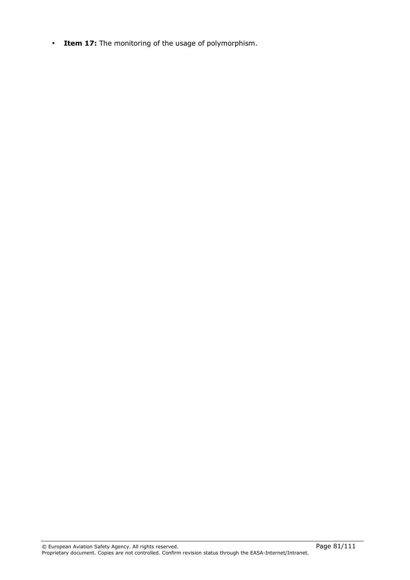• Item 17: The monitoring of the usage of polymorphism.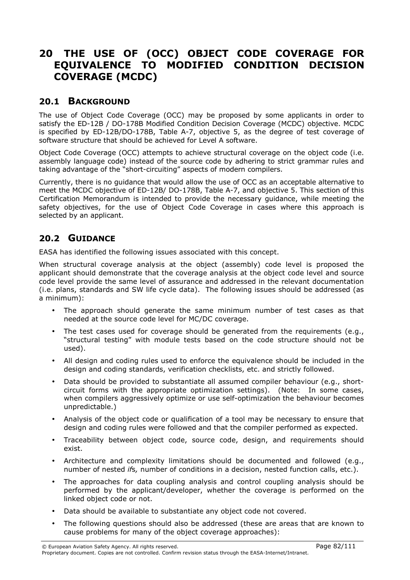# 20 THE USE OF (OCC) OBJECT CODE COVERAGE FOR EQUIVALENCE TO MODIFIED CONDITION DECISION COVERAGE (MCDC)

# 20.1 BACKGROUND

The use of Object Code Coverage (OCC) may be proposed by some applicants in order to satisfy the ED-12B / DO-178B Modified Condition Decision Coverage (MCDC) objective. MCDC is specified by ED-12B/DO-178B, Table A-7, objective 5, as the degree of test coverage of software structure that should be achieved for Level A software.

Object Code Coverage (OCC) attempts to achieve structural coverage on the object code (i.e. assembly language code) instead of the source code by adhering to strict grammar rules and taking advantage of the "short-circuiting" aspects of modern compilers.

Currently, there is no guidance that would allow the use of OCC as an acceptable alternative to meet the MCDC objective of ED-12B/ DO-178B, Table A-7, and objective 5. This section of this Certification Memorandum is intended to provide the necessary guidance, while meeting the safety objectives, for the use of Object Code Coverage in cases where this approach is selected by an applicant.

# 20.2 GUIDANCE

EASA has identified the following issues associated with this concept.

When structural coverage analysis at the object (assembly) code level is proposed the applicant should demonstrate that the coverage analysis at the object code level and source code level provide the same level of assurance and addressed in the relevant documentation (i.e. plans, standards and SW life cycle data). The following issues should be addressed (as a minimum):

- The approach should generate the same minimum number of test cases as that needed at the source code level for MC/DC coverage.
- The test cases used for coverage should be generated from the requirements (e.g., "structural testing" with module tests based on the code structure should not be used).
- All design and coding rules used to enforce the equivalence should be included in the design and coding standards, verification checklists, etc. and strictly followed.
- Data should be provided to substantiate all assumed compiler behaviour (e.g., shortcircuit forms with the appropriate optimization settings). (Note: In some cases, when compilers aggressively optimize or use self-optimization the behaviour becomes unpredictable.)
- Analysis of the object code or qualification of a tool may be necessary to ensure that design and coding rules were followed and that the compiler performed as expected.
- Traceability between object code, source code, design, and requirements should exist.
- Architecture and complexity limitations should be documented and followed (e.g., number of nested ifs, number of conditions in a decision, nested function calls, etc.).
- The approaches for data coupling analysis and control coupling analysis should be performed by the applicant/developer, whether the coverage is performed on the linked object code or not.
- Data should be available to substantiate any object code not covered.
- The following questions should also be addressed (these are areas that are known to cause problems for many of the object coverage approaches):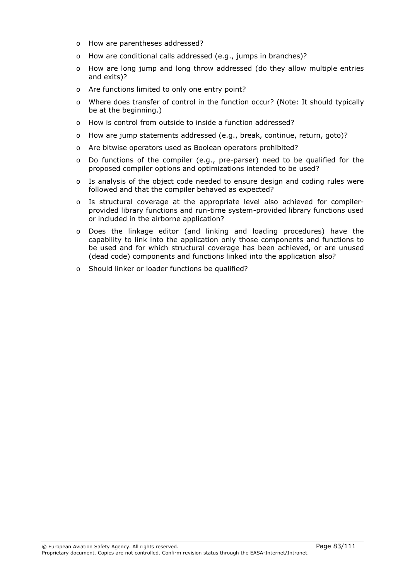- o How are parentheses addressed?
- o How are conditional calls addressed (e.g., jumps in branches)?
- o How are long jump and long throw addressed (do they allow multiple entries and exits)?
- o Are functions limited to only one entry point?
- o Where does transfer of control in the function occur? (Note: It should typically be at the beginning.)
- o How is control from outside to inside a function addressed?
- o How are jump statements addressed (e.g., break, continue, return, goto)?
- o Are bitwise operators used as Boolean operators prohibited?
- o Do functions of the compiler (e.g., pre-parser) need to be qualified for the proposed compiler options and optimizations intended to be used?
- $\circ$  Is analysis of the object code needed to ensure design and coding rules were followed and that the compiler behaved as expected?
- o Is structural coverage at the appropriate level also achieved for compilerprovided library functions and run-time system-provided library functions used or included in the airborne application?
- o Does the linkage editor (and linking and loading procedures) have the capability to link into the application only those components and functions to be used and for which structural coverage has been achieved, or are unused (dead code) components and functions linked into the application also?
- o Should linker or loader functions be qualified?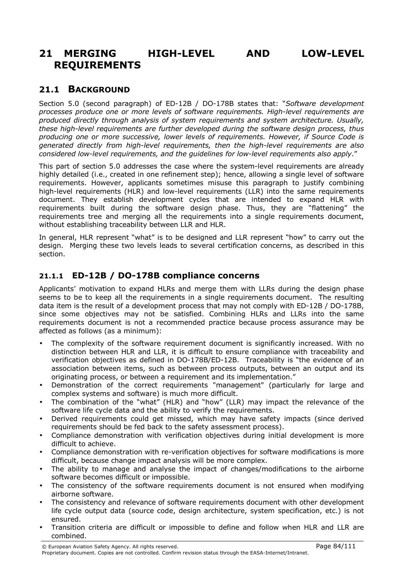# 21 MERGING HIGH-LEVEL AND LOW-LEVEL REQUIREMENTS

# 21.1 BACKGROUND

Section 5.0 (second paragraph) of ED-12B / DO-178B states that: "Software development processes produce one or more levels of software requirements. High-level requirements are produced directly through analysis of system requirements and system architecture. Usually, these high-level requirements are further developed during the software design process, thus producing one or more successive, lower levels of requirements. However, if Source Code is generated directly from high-level requirements, then the high-level requirements are also considered low-level requirements, and the guidelines for low-level requirements also apply."

This part of section 5.0 addresses the case where the system-level requirements are already highly detailed (i.e., created in one refinement step); hence, allowing a single level of software requirements. However, applicants sometimes misuse this paragraph to justify combining high-level requirements (HLR) and low-level requirements (LLR) into the same requirements document. They establish development cycles that are intended to expand HLR with requirements built during the software design phase. Thus, they are "flattening" the requirements tree and merging all the requirements into a single requirements document, without establishing traceability between LLR and HLR.

In general, HLR represent "what" is to be designed and LLR represent "how" to carry out the design. Merging these two levels leads to several certification concerns, as described in this section.

# 21.1.1 ED-12B / DO-178B compliance concerns

Applicants' motivation to expand HLRs and merge them with LLRs during the design phase seems to be to keep all the requirements in a single requirements document. The resulting data item is the result of a development process that may not comply with ED-12B / DO-178B, since some objectives may not be satisfied. Combining HLRs and LLRs into the same requirements document is not a recommended practice because process assurance may be affected as follows (as a minimum):

- The complexity of the software requirement document is significantly increased. With no distinction between HLR and LLR, it is difficult to ensure compliance with traceability and verification objectives as defined in DO-178B/ED-12B. Traceability is "the evidence of an association between items, such as between process outputs, between an output and its originating process, or between a requirement and its implementation."
- Demonstration of the correct requirements "management" (particularly for large and complex systems and software) is much more difficult.
- The combination of the "what" (HLR) and "how" (LLR) may impact the relevance of the software life cycle data and the ability to verify the requirements.
- Derived requirements could get missed, which may have safety impacts (since derived requirements should be fed back to the safety assessment process).
- Compliance demonstration with verification objectives during initial development is more difficult to achieve.
- Compliance demonstration with re-verification objectives for software modifications is more difficult, because change impact analysis will be more complex.
- The ability to manage and analyse the impact of changes/modifications to the airborne software becomes difficult or impossible.
- The consistency of the software requirements document is not ensured when modifying airborne software.
- The consistency and relevance of software requirements document with other development life cycle output data (source code, design architecture, system specification, etc.) is not ensured.
- Transition criteria are difficult or impossible to define and follow when HLR and LLR are combined.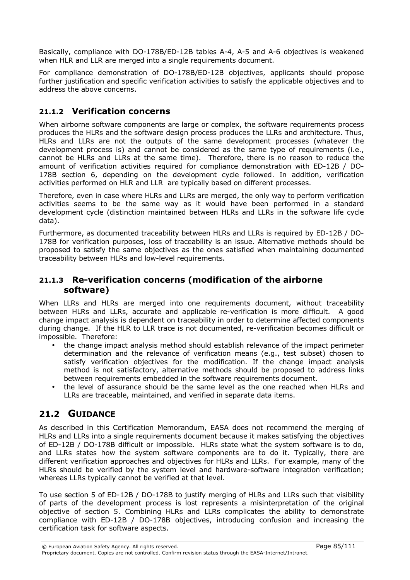Basically, compliance with DO-178B/ED-12B tables A-4, A-5 and A-6 objectives is weakened when HLR and LLR are merged into a single requirements document.

For compliance demonstration of DO-178B/ED-12B objectives, applicants should propose further justification and specific verification activities to satisfy the applicable objectives and to address the above concerns.

## 21.1.2 Verification concerns

When airborne software components are large or complex, the software requirements process produces the HLRs and the software design process produces the LLRs and architecture. Thus, HLRs and LLRs are not the outputs of the same development processes (whatever the development process is) and cannot be considered as the same type of requirements (i.e., cannot be HLRs and LLRs at the same time). Therefore, there is no reason to reduce the amount of verification activities required for compliance demonstration with ED-12B / DO-178B section 6, depending on the development cycle followed. In addition, verification activities performed on HLR and LLR are typically based on different processes.

Therefore, even in case where HLRs and LLRs are merged, the only way to perform verification activities seems to be the same way as it would have been performed in a standard development cycle (distinction maintained between HLRs and LLRs in the software life cycle data).

Furthermore, as documented traceability between HLRs and LLRs is required by ED-12B / DO-178B for verification purposes, loss of traceability is an issue. Alternative methods should be proposed to satisfy the same objectives as the ones satisfied when maintaining documented traceability between HLRs and low-level requirements.

## 21.1.3 Re-verification concerns (modification of the airborne software)

When LLRs and HLRs are merged into one requirements document, without traceability between HLRs and LLRs, accurate and applicable re-verification is more difficult. A good change impact analysis is dependent on traceability in order to determine affected components during change. If the HLR to LLR trace is not documented, re-verification becomes difficult or impossible. Therefore:

- the change impact analysis method should establish relevance of the impact perimeter determination and the relevance of verification means (e.g., test subset) chosen to satisfy verification objectives for the modification. If the change impact analysis method is not satisfactory, alternative methods should be proposed to address links between requirements embedded in the software requirements document.
- the level of assurance should be the same level as the one reached when HLRs and LLRs are traceable, maintained, and verified in separate data items.

# 21.2 GUIDANCE

As described in this Certification Memorandum, EASA does not recommend the merging of HLRs and LLRs into a single requirements document because it makes satisfying the objectives of ED-12B / DO-178B difficult or impossible. HLRs state what the system software is to do, and LLRs states how the system software components are to do it. Typically, there are different verification approaches and objectives for HLRs and LLRs. For example, many of the HLRs should be verified by the system level and hardware-software integration verification; whereas LLRs typically cannot be verified at that level.

To use section 5 of ED-12B / DO-178B to justify merging of HLRs and LLRs such that visibility of parts of the development process is lost represents a misinterpretation of the original objective of section 5. Combining HLRs and LLRs complicates the ability to demonstrate compliance with ED-12B / DO-178B objectives, introducing confusion and increasing the certification task for software aspects.

© European Aviation Safety Agency. All rights reserved. Page 85/111 Proprietary document. Copies are not controlled. Confirm revision status through the EASA-Internet/Intranet.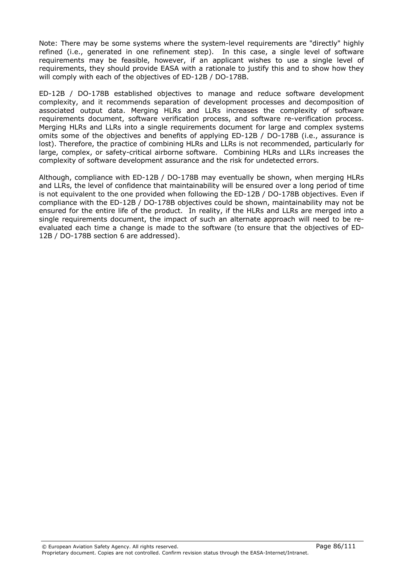Note: There may be some systems where the system-level requirements are "directly" highly refined (i.e., generated in one refinement step). In this case, a single level of software requirements may be feasible, however, if an applicant wishes to use a single level of requirements, they should provide EASA with a rationale to justify this and to show how they will comply with each of the objectives of ED-12B / DO-178B.

ED-12B / DO-178B established objectives to manage and reduce software development complexity, and it recommends separation of development processes and decomposition of associated output data. Merging HLRs and LLRs increases the complexity of software requirements document, software verification process, and software re-verification process. Merging HLRs and LLRs into a single requirements document for large and complex systems omits some of the objectives and benefits of applying ED-12B / DO-178B (i.e., assurance is lost). Therefore, the practice of combining HLRs and LLRs is not recommended, particularly for large, complex, or safety-critical airborne software. Combining HLRs and LLRs increases the complexity of software development assurance and the risk for undetected errors.

Although, compliance with ED-12B / DO-178B may eventually be shown, when merging HLRs and LLRs, the level of confidence that maintainability will be ensured over a long period of time is not equivalent to the one provided when following the ED-12B / DO-178B objectives. Even if compliance with the ED-12B / DO-178B objectives could be shown, maintainability may not be ensured for the entire life of the product. In reality, if the HLRs and LLRs are merged into a single requirements document, the impact of such an alternate approach will need to be reevaluated each time a change is made to the software (to ensure that the objectives of ED-12B / DO-178B section 6 are addressed).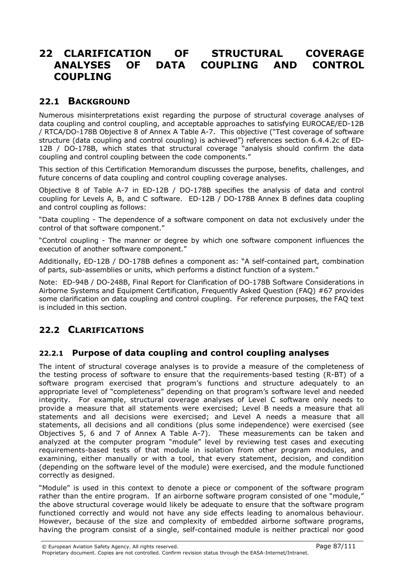# 22 CLARIFICATION OF STRUCTURAL COVERAGE ANALYSES OF DATA COUPLING AND CONTROL COUPLING

# 22.1 BACKGROUND

Numerous misinterpretations exist regarding the purpose of structural coverage analyses of data coupling and control coupling, and acceptable approaches to satisfying EUROCAE/ED-12B / RTCA/DO-178B Objective 8 of Annex A Table A-7. This objective ("Test coverage of software structure (data coupling and control coupling) is achieved") references section 6.4.4.2c of ED-12B / DO-178B, which states that structural coverage "analysis should confirm the data coupling and control coupling between the code components."

This section of this Certification Memorandum discusses the purpose, benefits, challenges, and future concerns of data coupling and control coupling coverage analyses.

Objective 8 of Table A-7 in ED-12B / DO-178B specifies the analysis of data and control coupling for Levels A, B, and C software. ED-12B / DO-178B Annex B defines data coupling and control coupling as follows:

"Data coupling - The dependence of a software component on data not exclusively under the control of that software component."

"Control coupling - The manner or degree by which one software component influences the execution of another software component."

Additionally, ED-12B / DO-178B defines a component as: "A self-contained part, combination of parts, sub-assemblies or units, which performs a distinct function of a system."

Note: ED-94B / DO-248B, Final Report for Clarification of DO-178B Software Considerations in Airborne Systems and Equipment Certification, Frequently Asked Question (FAQ) #67 provides some clarification on data coupling and control coupling. For reference purposes, the FAQ text is included in this section.

# 22.2 CLARIFICATIONS

# 22.2.1 Purpose of data coupling and control coupling analyses

The intent of structural coverage analyses is to provide a measure of the completeness of the testing process of software to ensure that the requirements-based testing (R-BT) of a software program exercised that program's functions and structure adequately to an appropriate level of "completeness" depending on that program's software level and needed integrity. For example, structural coverage analyses of Level C software only needs to provide a measure that all statements were exercised; Level B needs a measure that all statements and all decisions were exercised; and Level A needs a measure that all statements, all decisions and all conditions (plus some independence) were exercised (see Objectives 5, 6 and 7 of Annex A Table A-7). These measurements can be taken and analyzed at the computer program "module" level by reviewing test cases and executing requirements-based tests of that module in isolation from other program modules, and examining, either manually or with a tool, that every statement, decision, and condition (depending on the software level of the module) were exercised, and the module functioned correctly as designed.

"Module" is used in this context to denote a piece or component of the software program rather than the entire program. If an airborne software program consisted of one "module," the above structural coverage would likely be adequate to ensure that the software program functioned correctly and would not have any side effects leading to anomalous behaviour. However, because of the size and complexity of embedded airborne software programs, having the program consist of a single, self-contained module is neither practical nor good

© European Aviation Safety Agency. All rights reserved. Page 87/111 Proprietary document. Copies are not controlled. Confirm revision status through the EASA-Internet/Intranet.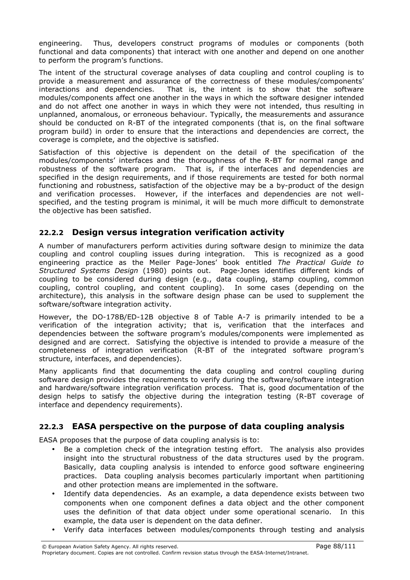engineering. Thus, developers construct programs of modules or components (both functional and data components) that interact with one another and depend on one another to perform the program's functions.

The intent of the structural coverage analyses of data coupling and control coupling is to provide a measurement and assurance of the correctness of these modules/components' interactions and dependencies. That is, the intent is to show that the software modules/components affect one another in the ways in which the software designer intended and do not affect one another in ways in which they were not intended, thus resulting in unplanned, anomalous, or erroneous behaviour. Typically, the measurements and assurance should be conducted on R-BT of the integrated components (that is, on the final software program build) in order to ensure that the interactions and dependencies are correct, the coverage is complete, and the objective is satisfied.

Satisfaction of this objective is dependent on the detail of the specification of the modules/components' interfaces and the thoroughness of the R-BT for normal range and robustness of the software program. That is, if the interfaces and dependencies are specified in the design requirements, and if those requirements are tested for both normal functioning and robustness, satisfaction of the objective may be a by-product of the design and verification processes. However, if the interfaces and dependencies are not wellspecified, and the testing program is minimal, it will be much more difficult to demonstrate the objective has been satisfied.

# 22.2.2 Design versus integration verification activity

A number of manufacturers perform activities during software design to minimize the data coupling and control coupling issues during integration. This is recognized as a good engineering practice as the Meiler Page-Jones' book entitled *The Practical Guide to* Structured Systems Design (1980) points out. Page-Jones identifies different kinds of coupling to be considered during design (e.g., data coupling, stamp coupling, common coupling, control coupling, and content coupling). In some cases (depending on the architecture), this analysis in the software design phase can be used to supplement the software/software integration activity.

However, the DO-178B/ED-12B objective 8 of Table A-7 is primarily intended to be a verification of the integration activity; that is, verification that the interfaces and dependencies between the software program's modules/components were implemented as designed and are correct. Satisfying the objective is intended to provide a measure of the completeness of integration verification (R-BT of the integrated software program's structure, interfaces, and dependencies).

Many applicants find that documenting the data coupling and control coupling during software design provides the requirements to verify during the software/software integration and hardware/software integration verification process. That is, good documentation of the design helps to satisfy the objective during the integration testing (R-BT coverage of interface and dependency requirements).

# 22.2.3 EASA perspective on the purpose of data coupling analysis

EASA proposes that the purpose of data coupling analysis is to:

- Be a completion check of the integration testing effort. The analysis also provides insight into the structural robustness of the data structures used by the program. Basically, data coupling analysis is intended to enforce good software engineering practices. Data coupling analysis becomes particularly important when partitioning and other protection means are implemented in the software.
- Identify data dependencies. As an example, a data dependence exists between two components when one component defines a data object and the other component uses the definition of that data object under some operational scenario. In this example, the data user is dependent on the data definer.
- Verify data interfaces between modules/components through testing and analysis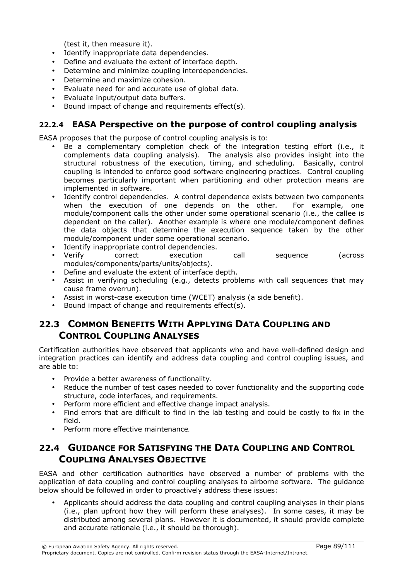(test it, then measure it).

- Identify inappropriate data dependencies.
- Define and evaluate the extent of interface depth.
- Determine and minimize coupling interdependencies.
- Determine and maximize cohesion.
- Evaluate need for and accurate use of global data.
- Evaluate input/output data buffers.
- Bound impact of change and requirements effect(s).

# 22.2.4 EASA Perspective on the purpose of control coupling analysis

EASA proposes that the purpose of control coupling analysis is to:

- Be a complementary completion check of the integration testing effort (i.e., it complements data coupling analysis). The analysis also provides insight into the structural robustness of the execution, timing, and scheduling. Basically, control coupling is intended to enforce good software engineering practices. Control coupling becomes particularly important when partitioning and other protection means are implemented in software.
- Identify control dependencies. A control dependence exists between two components when the execution of one depends on the other. For example, one module/component calls the other under some operational scenario (i.e., the callee is dependent on the caller). Another example is where one module/component defines the data objects that determine the execution sequence taken by the other module/component under some operational scenario.
- Identify inappropriate control dependencies.
- Verify correct execution call sequence (across modules/components/parts/units/objects).
- Define and evaluate the extent of interface depth.
- Assist in verifying scheduling (e.g., detects problems with call sequences that may cause frame overrun).
- Assist in worst-case execution time (WCET) analysis (a side benefit).
- Bound impact of change and requirements effect(s).

# 22.3 COMMON BENEFITS WITH APPLYING DATA COUPLING AND CONTROL COUPLING ANALYSES

Certification authorities have observed that applicants who and have well-defined design and integration practices can identify and address data coupling and control coupling issues, and are able to:

- Provide a better awareness of functionality.
- Reduce the number of test cases needed to cover functionality and the supporting code structure, code interfaces, and requirements.
- Perform more efficient and effective change impact analysis.
- Find errors that are difficult to find in the lab testing and could be costly to fix in the field.
- Perform more effective maintenance.

# 22.4 GUIDANCE FOR SATISFYING THE DATA COUPLING AND CONTROL COUPLING ANALYSES OBJECTIVE

EASA and other certification authorities have observed a number of problems with the application of data coupling and control coupling analyses to airborne software. The guidance below should be followed in order to proactively address these issues:

• Applicants should address the data coupling and control coupling analyses in their plans (i.e., plan upfront how they will perform these analyses). In some cases, it may be distributed among several plans. However it is documented, it should provide complete and accurate rationale (i.e., it should be thorough).

<sup>©</sup> European Aviation Safety Agency. All rights reserved. Page 89/111 Proprietary document. Copies are not controlled. Confirm revision status through the EASA-Internet/Intranet.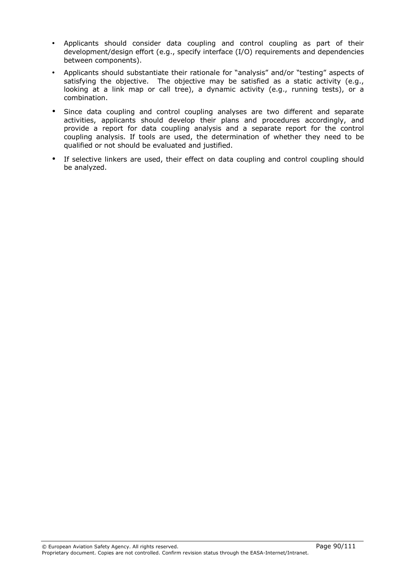- Applicants should consider data coupling and control coupling as part of their development/design effort (e.g., specify interface (I/O) requirements and dependencies between components).
- Applicants should substantiate their rationale for "analysis" and/or "testing" aspects of satisfying the objective. The objective may be satisfied as a static activity (e.g., looking at a link map or call tree), a dynamic activity (e.g., running tests), or a combination.
- Since data coupling and control coupling analyses are two different and separate activities, applicants should develop their plans and procedures accordingly, and provide a report for data coupling analysis and a separate report for the control coupling analysis. If tools are used, the determination of whether they need to be qualified or not should be evaluated and justified.
- If selective linkers are used, their effect on data coupling and control coupling should be analyzed.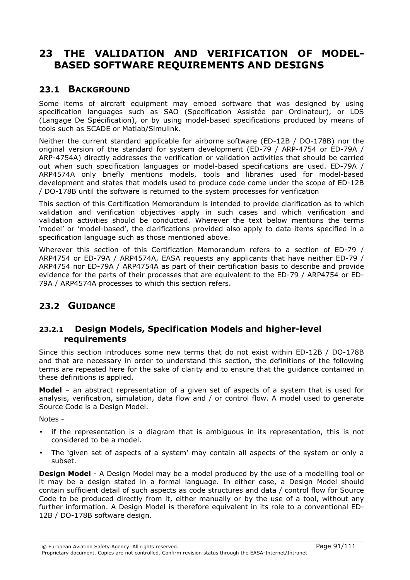# 23 THE VALIDATION AND VERIFICATION OF MODEL-BASED SOFTWARE REQUIREMENTS AND DESIGNS

# 23.1 BACKGROUND

Some items of aircraft equipment may embed software that was designed by using specification languages such as SAO (Specification Assistée par Ordinateur), or LDS (Langage De Spécification), or by using model-based specifications produced by means of tools such as SCADE or Matlab/Simulink.

Neither the current standard applicable for airborne software (ED-12B / DO-178B) nor the original version of the standard for system development (ED-79 / ARP-4754 or ED-79A / ARP-4754A) directly addresses the verification or validation activities that should be carried out when such specification languages or model-based specifications are used. ED-79A / ARP4574A only briefly mentions models, tools and libraries used for model-based development and states that models used to produce code come under the scope of ED-12B / DO-178B until the software is returned to the system processes for verification

This section of this Certification Memorandum is intended to provide clarification as to which validation and verification objectives apply in such cases and which verification and validation activities should be conducted. Wherever the text below mentions the terms 'model' or 'model-based', the clarifications provided also apply to data items specified in a specification language such as those mentioned above.

Wherever this section of this Certification Memorandum refers to a section of ED-79 / ARP4754 or ED-79A / ARP4574A, EASA requests any applicants that have neither ED-79 / ARP4754 nor ED-79A / ARP4754A as part of their certification basis to describe and provide evidence for the parts of their processes that are equivalent to the ED-79 / ARP4754 or ED-79A / ARP4574A processes to which this section refers.

# 23.2 GUIDANCE

## 23.2.1 Design Models, Specification Models and higher-level requirements

Since this section introduces some new terms that do not exist within ED-12B / DO-178B and that are necessary in order to understand this section, the definitions of the following terms are repeated here for the sake of clarity and to ensure that the guidance contained in these definitions is applied.

**Model** – an abstract representation of a given set of aspects of a system that is used for analysis, verification, simulation, data flow and / or control flow. A model used to generate Source Code is a Design Model.

Notes -

- if the representation is a diagram that is ambiguous in its representation, this is not considered to be a model.
- The 'given set of aspects of a system' may contain all aspects of the system or only a subset.

**Design Model** - A Design Model may be a model produced by the use of a modelling tool or it may be a design stated in a formal language. In either case, a Design Model should contain sufficient detail of such aspects as code structures and data / control flow for Source Code to be produced directly from it, either manually or by the use of a tool, without any further information. A Design Model is therefore equivalent in its role to a conventional ED-12B / DO-178B software design.

© European Aviation Safety Agency. All rights reserved. Page 91/111 Proprietary document. Copies are not controlled. Confirm revision status through the EASA-Internet/Intranet.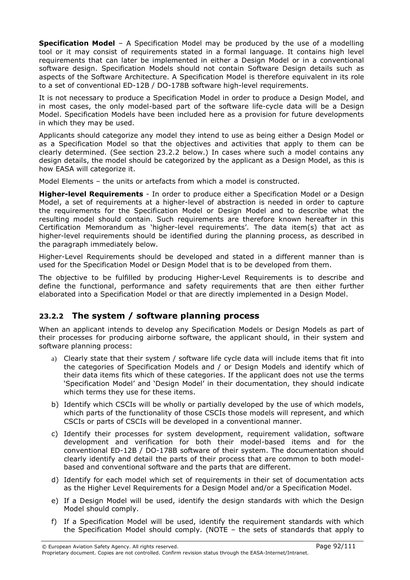**Specification Model** – A Specification Model may be produced by the use of a modelling tool or it may consist of requirements stated in a formal language. It contains high level requirements that can later be implemented in either a Design Model or in a conventional software design. Specification Models should not contain Software Design details such as aspects of the Software Architecture. A Specification Model is therefore equivalent in its role to a set of conventional ED-12B / DO-178B software high-level requirements.

It is not necessary to produce a Specification Model in order to produce a Design Model, and in most cases, the only model-based part of the software life-cycle data will be a Design Model. Specification Models have been included here as a provision for future developments in which they may be used.

Applicants should categorize any model they intend to use as being either a Design Model or as a Specification Model so that the objectives and activities that apply to them can be clearly determined. (See section 23.2.2 below.) In cases where such a model contains any design details, the model should be categorized by the applicant as a Design Model, as this is how EASA will categorize it.

Model Elements – the units or artefacts from which a model is constructed.

**Higher-level Requirements** - In order to produce either a Specification Model or a Design Model, a set of requirements at a higher-level of abstraction is needed in order to capture the requirements for the Specification Model or Design Model and to describe what the resulting model should contain. Such requirements are therefore known hereafter in this Certification Memorandum as 'higher-level requirements'. The data item(s) that act as higher-level requirements should be identified during the planning process, as described in the paragraph immediately below.

Higher-Level Requirements should be developed and stated in a different manner than is used for the Specification Model or Design Model that is to be developed from them.

The objective to be fulfilled by producing Higher-Level Requirements is to describe and define the functional, performance and safety requirements that are then either further elaborated into a Specification Model or that are directly implemented in a Design Model.

# 23.2.2 The system / software planning process

When an applicant intends to develop any Specification Models or Design Models as part of their processes for producing airborne software, the applicant should, in their system and software planning process:

- a) Clearly state that their system / software life cycle data will include items that fit into the categories of Specification Models and / or Design Models and identify which of their data items fits which of these categories. If the applicant does not use the terms 'Specification Model' and 'Design Model' in their documentation, they should indicate which terms they use for these items.
- b) Identify which CSCIs will be wholly or partially developed by the use of which models, which parts of the functionality of those CSCIs those models will represent, and which CSCIs or parts of CSCIs will be developed in a conventional manner.
- c) Identify their processes for system development, requirement validation, software development and verification for both their model-based items and for the conventional ED-12B / DO-178B software of their system. The documentation should clearly identify and detail the parts of their process that are common to both modelbased and conventional software and the parts that are different.
- d) Identify for each model which set of requirements in their set of documentation acts as the Higher Level Requirements for a Design Model and/or a Specification Model.
- e) If a Design Model will be used, identify the design standards with which the Design Model should comply.
- f) If a Specification Model will be used, identify the requirement standards with which the Specification Model should comply. (NOTE – the sets of standards that apply to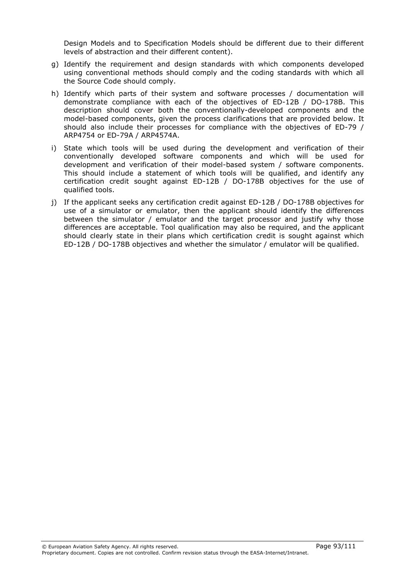Design Models and to Specification Models should be different due to their different levels of abstraction and their different content).

- g) Identify the requirement and design standards with which components developed using conventional methods should comply and the coding standards with which all the Source Code should comply.
- h) Identify which parts of their system and software processes / documentation will demonstrate compliance with each of the objectives of ED-12B / DO-178B. This description should cover both the conventionally-developed components and the model-based components, given the process clarifications that are provided below. It should also include their processes for compliance with the objectives of ED-79 / ARP4754 or ED-79A / ARP4574A.
- i) State which tools will be used during the development and verification of their conventionally developed software components and which will be used for development and verification of their model-based system / software components. This should include a statement of which tools will be qualified, and identify any certification credit sought against ED-12B / DO-178B objectives for the use of qualified tools.
- j) If the applicant seeks any certification credit against ED-12B / DO-178B objectives for use of a simulator or emulator, then the applicant should identify the differences between the simulator / emulator and the target processor and justify why those differences are acceptable. Tool qualification may also be required, and the applicant should clearly state in their plans which certification credit is sought against which ED-12B / DO-178B objectives and whether the simulator / emulator will be qualified.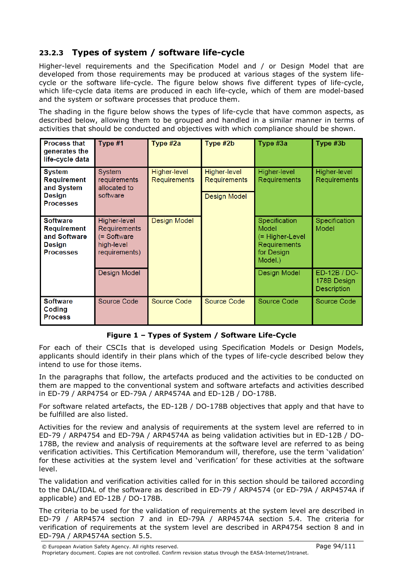# 23.2.3 Types of system / software life-cycle

Higher-level requirements and the Specification Model and / or Design Model that are developed from those requirements may be produced at various stages of the system lifecycle or the software life-cycle. The figure below shows five different types of life-cycle, which life-cycle data items are produced in each life-cycle, which of them are model-based and the system or software processes that produce them.

The shading in the figure below shows the types of life-cycle that have common aspects, as described below, allowing them to be grouped and handled in a similar manner in terms of activities that should be conducted and objectives with which compliance should be shown.

| <b>Process that</b><br>generates the<br>life-cycle data                                    | Type #1                                                                    | Type #2a                            | Type #2b                                            | Type #3a                                                                           | Type #3b                                   |
|--------------------------------------------------------------------------------------------|----------------------------------------------------------------------------|-------------------------------------|-----------------------------------------------------|------------------------------------------------------------------------------------|--------------------------------------------|
| <b>System</b><br><b>Requirement</b><br>and System<br>Design<br><b>Processes</b>            | System<br>requirements<br>allocated to<br>software                         | Higher-level<br><b>Requirements</b> | Higher-level<br>Requirements<br><b>Design Model</b> | <b>Higher-level</b><br>Requirements                                                | Higher-level<br>Requirements               |
| <b>Software</b><br><b>Requirement</b><br>and Software<br><b>Design</b><br><b>Processes</b> | Higher-level<br>Requirements<br>(= Software<br>high-level<br>requirements) | <b>Design Model</b>                 |                                                     | Specification<br>Model<br>(= Higher-Level<br>Requirements<br>for Design<br>Model.) | Specification<br>Model                     |
|                                                                                            | <b>Design Model</b>                                                        |                                     |                                                     | Design Model                                                                       | ED-12B / DO-<br>178B Design<br>Description |
| <b>Software</b><br>Coding<br><b>Process</b>                                                | Source Code                                                                | Source Code                         | Source Code                                         | Source Code                                                                        | Source Code                                |

### Figure 1 – Types of System / Software Life-Cycle

For each of their CSCIs that is developed using Specification Models or Design Models, applicants should identify in their plans which of the types of life-cycle described below they intend to use for those items.

In the paragraphs that follow, the artefacts produced and the activities to be conducted on them are mapped to the conventional system and software artefacts and activities described in ED-79 / ARP4754 or ED-79A / ARP4574A and ED-12B / DO-178B.

For software related artefacts, the ED-12B / DO-178B objectives that apply and that have to be fulfilled are also listed.

Activities for the review and analysis of requirements at the system level are referred to in ED-79 / ARP4754 and ED-79A / ARP4574A as being validation activities but in ED-12B / DO-178B, the review and analysis of requirements at the software level are referred to as being verification activities. This Certification Memorandum will, therefore, use the term 'validation' for these activities at the system level and 'verification' for these activities at the software level.

The validation and verification activities called for in this section should be tailored according to the DAL/IDAL of the software as described in ED-79 / ARP4574 (or ED-79A / ARP4574A if applicable) and ED-12B / DO-178B.

The criteria to be used for the validation of requirements at the system level are described in ED-79 / ARP4574 section 7 and in ED-79A / ARP4574A section 5.4. The criteria for verification of requirements at the system level are described in ARP4754 section 8 and in ED-79A / ARP4574A section 5.5.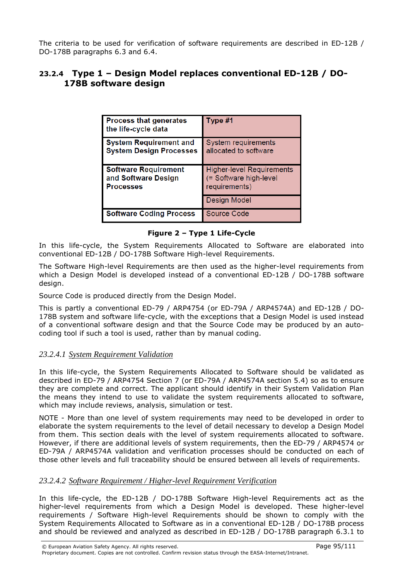The criteria to be used for verification of software requirements are described in ED-12B / DO-178B paragraphs 6.3 and 6.4.

# 23.2.4 Type 1 – Design Model replaces conventional ED-12B / DO-178B software design

| <b>Process that generates</b><br>the life-cycle data                   | Type #1                                                                     |
|------------------------------------------------------------------------|-----------------------------------------------------------------------------|
| <b>System Requirement and</b><br><b>System Design Processes</b>        | System requirements<br>allocated to software                                |
| <b>Software Requirement</b><br>and Software Design<br><b>Processes</b> | <b>Higher-level Requirements</b><br>(= Software high-level<br>requirements) |
|                                                                        | <b>Design Model</b>                                                         |
| <b>Software Coding Process</b>                                         | <b>Source Code</b>                                                          |

### Figure 2 – Type 1 Life-Cycle

In this life-cycle, the System Requirements Allocated to Software are elaborated into conventional ED-12B / DO-178B Software High-level Requirements.

The Software High-level Requirements are then used as the higher-level requirements from which a Design Model is developed instead of a conventional ED-12B / DO-178B software design.

Source Code is produced directly from the Design Model.

This is partly a conventional ED-79 / ARP4754 (or ED-79A / ARP4574A) and ED-12B / DO-178B system and software life-cycle, with the exceptions that a Design Model is used instead of a conventional software design and that the Source Code may be produced by an autocoding tool if such a tool is used, rather than by manual coding.

### *23.2.4.1 System Requirement Validation*

In this life-cycle, the System Requirements Allocated to Software should be validated as described in ED-79 / ARP4754 Section 7 (or ED-79A / ARP4574A section 5.4) so as to ensure they are complete and correct. The applicant should identify in their System Validation Plan the means they intend to use to validate the system requirements allocated to software, which may include reviews, analysis, simulation or test.

NOTE - More than one level of system requirements may need to be developed in order to elaborate the system requirements to the level of detail necessary to develop a Design Model from them. This section deals with the level of system requirements allocated to software. However, if there are additional levels of system requirements, then the ED-79 / ARP4574 or ED-79A / ARP4574A validation and verification processes should be conducted on each of those other levels and full traceability should be ensured between all levels of requirements.

### *23.2.4.2 Software Requirement / Higher-level Requirement Verification*

In this life-cycle, the ED-12B / DO-178B Software High-level Requirements act as the higher-level requirements from which a Design Model is developed. These higher-level requirements / Software High-level Requirements should be shown to comply with the System Requirements Allocated to Software as in a conventional ED-12B / DO-178B process and should be reviewed and analyzed as described in ED-12B / DO-178B paragraph 6.3.1 to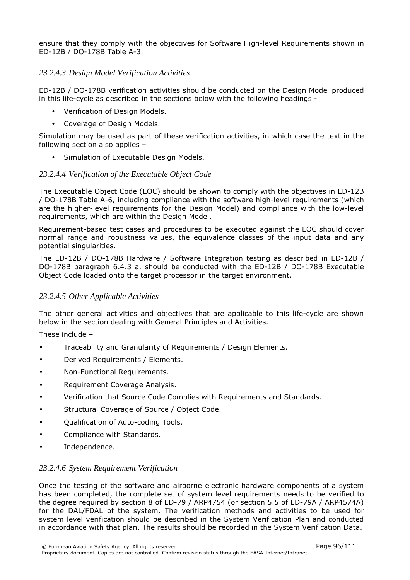ensure that they comply with the objectives for Software High-level Requirements shown in ED-12B / DO-178B Table A-3.

### *23.2.4.3 Design Model Verification Activities*

ED-12B / DO-178B verification activities should be conducted on the Design Model produced in this life-cycle as described in the sections below with the following headings -

- Verification of Design Models.
- Coverage of Design Models.

Simulation may be used as part of these verification activities, in which case the text in the following section also applies –

• Simulation of Executable Design Models.

#### *23.2.4.4 Verification of the Executable Object Code*

The Executable Object Code (EOC) should be shown to comply with the objectives in ED-12B / DO-178B Table A-6, including compliance with the software high-level requirements (which are the higher-level requirements for the Design Model) and compliance with the low-level requirements, which are within the Design Model.

Requirement-based test cases and procedures to be executed against the EOC should cover normal range and robustness values, the equivalence classes of the input data and any potential singularities.

The ED-12B / DO-178B Hardware / Software Integration testing as described in ED-12B / DO-178B paragraph 6.4.3 a. should be conducted with the ED-12B / DO-178B Executable Object Code loaded onto the target processor in the target environment.

#### *23.2.4.5 Other Applicable Activities*

The other general activities and objectives that are applicable to this life-cycle are shown below in the section dealing with General Principles and Activities.

These include –

- Traceability and Granularity of Requirements / Design Elements.
- Derived Requirements / Elements.
- Non-Functional Requirements.
- Requirement Coverage Analysis.
- Verification that Source Code Complies with Requirements and Standards.
- Structural Coverage of Source / Object Code.
- Qualification of Auto-coding Tools.
- Compliance with Standards.
- Independence.

#### *23.2.4.6 System Requirement Verification*

Once the testing of the software and airborne electronic hardware components of a system has been completed, the complete set of system level requirements needs to be verified to the degree required by section 8 of ED-79 / ARP4754 (or section 5.5 of ED-79A / ARP4574A) for the DAL/FDAL of the system. The verification methods and activities to be used for system level verification should be described in the System Verification Plan and conducted in accordance with that plan. The results should be recorded in the System Verification Data.

© European Aviation Safety Agency. All rights reserved. Page 96/111

Proprietary document. Copies are not controlled. Confirm revision status through the EASA-Internet/Intranet.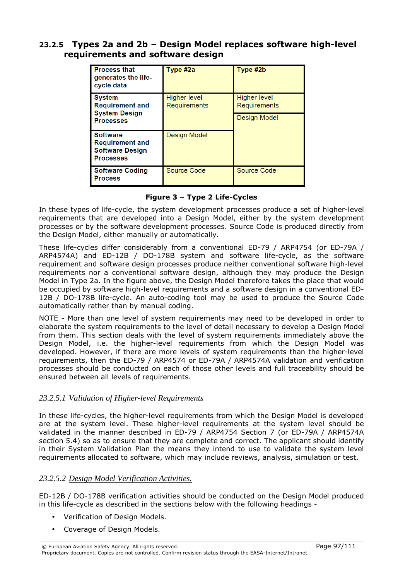## 23.2.5 Types 2a and 2b – Design Model replaces software high-level requirements and software design

| <b>Process that</b><br>generates the life-<br>cycle data                                | Type #2a                     | Type #2b                     |
|-----------------------------------------------------------------------------------------|------------------------------|------------------------------|
| <b>System</b><br><b>Requirement and</b><br><b>System Design</b>                         | Higher-level<br>Requirements | Higher-level<br>Requirements |
| <b>Processes</b>                                                                        |                              | Design Model                 |
| <b>Software</b><br><b>Requirement and</b><br><b>Software Design</b><br><b>Processes</b> | Design Model                 |                              |
| <b>Software Coding</b><br><b>Process</b>                                                | Source Code                  | Source Code                  |

### Figure 3 – Type 2 Life-Cycles

In these types of life-cycle, the system development processes produce a set of higher-level requirements that are developed into a Design Model, either by the system development processes or by the software development processes. Source Code is produced directly from the Design Model, either manually or automatically.

These life-cycles differ considerably from a conventional ED-79 / ARP4754 (or ED-79A / ARP4574A) and ED-12B / DO-178B system and software life-cycle, as the software requirement and software design processes produce neither conventional software high-level requirements nor a conventional software design, although they may produce the Design Model in Type 2a. In the figure above, the Design Model therefore takes the place that would be occupied by software high-level requirements and a software design in a conventional ED-12B / DO-178B life-cycle. An auto-coding tool may be used to produce the Source Code automatically rather than by manual coding.

NOTE - More than one level of system requirements may need to be developed in order to elaborate the system requirements to the level of detail necessary to develop a Design Model from them. This section deals with the level of system requirements immediately above the Design Model, i.e. the higher-level requirements from which the Design Model was developed. However, if there are more levels of system requirements than the higher-level requirements, then the ED-79 / ARP4574 or ED-79A / ARP4574A validation and verification processes should be conducted on each of those other levels and full traceability should be ensured between all levels of requirements.

### *23.2.5.1 Validation of Higher-level Requirements*

In these life-cycles, the higher-level requirements from which the Design Model is developed are at the system level. These higher-level requirements at the system level should be validated in the manner described in ED-79 / ARP4754 Section 7 (or ED-79A / ARP4574A section 5.4) so as to ensure that they are complete and correct. The applicant should identify in their System Validation Plan the means they intend to use to validate the system level requirements allocated to software, which may include reviews, analysis, simulation or test.

### *23.2.5.2 Design Model Verification Activities.*

ED-12B / DO-178B verification activities should be conducted on the Design Model produced in this life-cycle as described in the sections below with the following headings -

- Verification of Design Models.
- Coverage of Design Models.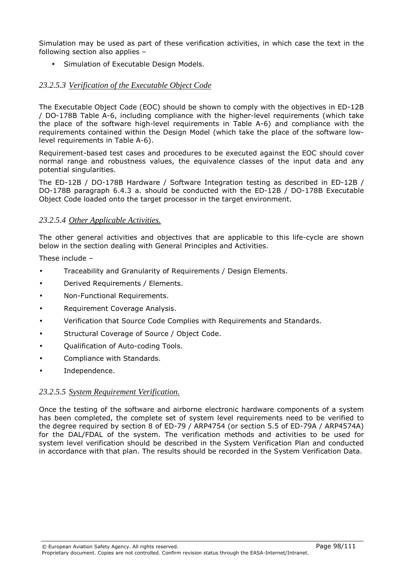Simulation may be used as part of these verification activities, in which case the text in the following section also applies –

• Simulation of Executable Design Models.

### *23.2.5.3 Verification of the Executable Object Code*

The Executable Object Code (EOC) should be shown to comply with the objectives in ED-12B / DO-178B Table A-6, including compliance with the higher-level requirements (which take the place of the software high-level requirements in Table A-6) and compliance with the requirements contained within the Design Model (which take the place of the software lowlevel requirements in Table A-6).

Requirement-based test cases and procedures to be executed against the EOC should cover normal range and robustness values, the equivalence classes of the input data and any potential singularities.

The ED-12B / DO-178B Hardware / Software Integration testing as described in ED-12B / DO-178B paragraph 6.4.3 a. should be conducted with the ED-12B / DO-178B Executable Object Code loaded onto the target processor in the target environment.

#### *23.2.5.4 Other Applicable Activities.*

The other general activities and objectives that are applicable to this life-cycle are shown below in the section dealing with General Principles and Activities.

These include –

- Traceability and Granularity of Requirements / Design Elements.
- Derived Requirements / Elements.
- Non-Functional Requirements.
- Requirement Coverage Analysis.
- Verification that Source Code Complies with Requirements and Standards.
- Structural Coverage of Source / Object Code.
- Qualification of Auto-coding Tools.
- Compliance with Standards.
- Independence.

#### *23.2.5.5 System Requirement Verification.*

Once the testing of the software and airborne electronic hardware components of a system has been completed, the complete set of system level requirements need to be verified to the degree required by section 8 of ED-79 / ARP4754 (or section 5.5 of ED-79A / ARP4574A) for the DAL/FDAL of the system. The verification methods and activities to be used for system level verification should be described in the System Verification Plan and conducted in accordance with that plan. The results should be recorded in the System Verification Data.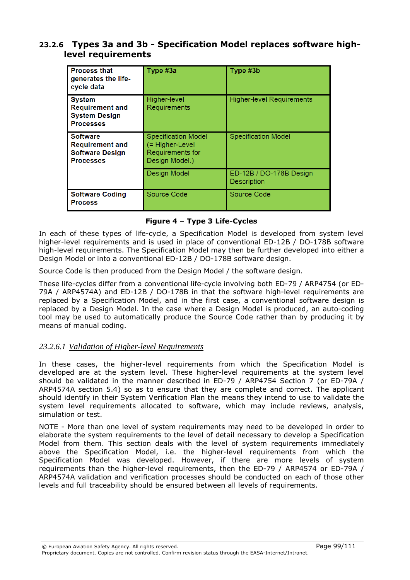## 23.2.6 Types 3a and 3b - Specification Model replaces software highlevel requirements

| <b>Process that</b><br>generates the life-<br>cycle data                                | Type #3a                                                                            | Type #3b                                      |
|-----------------------------------------------------------------------------------------|-------------------------------------------------------------------------------------|-----------------------------------------------|
| <b>System</b><br><b>Requirement and</b><br><b>System Design</b><br><b>Processes</b>     | Higher-level<br>Requirements                                                        | <b>Higher-level Requirements</b>              |
| <b>Software</b><br><b>Requirement and</b><br><b>Software Design</b><br><b>Processes</b> | <b>Specification Model</b><br>(= Higher-Level<br>Requirements for<br>Design Model.) | <b>Specification Model</b>                    |
|                                                                                         | Design Model                                                                        | ED-12B / DO-178B Design<br><b>Description</b> |
| <b>Software Coding</b><br><b>Process</b>                                                | Source Code                                                                         | Source Code                                   |

### Figure 4 – Type 3 Life-Cycles

In each of these types of life-cycle, a Specification Model is developed from system level higher-level requirements and is used in place of conventional ED-12B / DO-178B software high-level requirements. The Specification Model may then be further developed into either a Design Model or into a conventional ED-12B / DO-178B software design.

Source Code is then produced from the Design Model / the software design.

These life-cycles differ from a conventional life-cycle involving both ED-79 / ARP4754 (or ED-79A / ARP4574A) and ED-12B / DO-178B in that the software high-level requirements are replaced by a Specification Model, and in the first case, a conventional software design is replaced by a Design Model. In the case where a Design Model is produced, an auto-coding tool may be used to automatically produce the Source Code rather than by producing it by means of manual coding.

### *23.2.6.1 Validation of Higher-level Requirements*

In these cases, the higher-level requirements from which the Specification Model is developed are at the system level. These higher-level requirements at the system level should be validated in the manner described in ED-79 / ARP4754 Section 7 (or ED-79A / ARP4574A section 5.4) so as to ensure that they are complete and correct. The applicant should identify in their System Verification Plan the means they intend to use to validate the system level requirements allocated to software, which may include reviews, analysis, simulation or test.

NOTE - More than one level of system requirements may need to be developed in order to elaborate the system requirements to the level of detail necessary to develop a Specification Model from them. This section deals with the level of system requirements immediately above the Specification Model, i.e. the higher-level requirements from which the Specification Model was developed. However, if there are more levels of system requirements than the higher-level requirements, then the ED-79 / ARP4574 or ED-79A / ARP4574A validation and verification processes should be conducted on each of those other levels and full traceability should be ensured between all levels of requirements.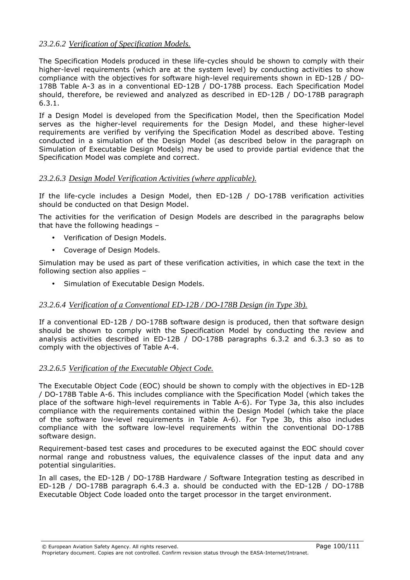### *23.2.6.2 Verification of Specification Models.*

The Specification Models produced in these life-cycles should be shown to comply with their higher-level requirements (which are at the system level) by conducting activities to show compliance with the objectives for software high-level requirements shown in ED-12B / DO-178B Table A-3 as in a conventional ED-12B / DO-178B process. Each Specification Model should, therefore, be reviewed and analyzed as described in ED-12B / DO-178B paragraph 6.3.1.

If a Design Model is developed from the Specification Model, then the Specification Model serves as the higher-level requirements for the Design Model, and these higher-level requirements are verified by verifying the Specification Model as described above. Testing conducted in a simulation of the Design Model (as described below in the paragraph on Simulation of Executable Design Models) may be used to provide partial evidence that the Specification Model was complete and correct.

### *23.2.6.3 Design Model Verification Activities (where applicable).*

If the life-cycle includes a Design Model, then ED-12B / DO-178B verification activities should be conducted on that Design Model.

The activities for the verification of Design Models are described in the paragraphs below that have the following headings –

- Verification of Design Models.
- Coverage of Design Models.

Simulation may be used as part of these verification activities, in which case the text in the following section also applies –

• Simulation of Executable Design Models.

### *23.2.6.4 Verification of a Conventional ED-12B / DO-178B Design (in Type 3b).*

If a conventional ED-12B / DO-178B software design is produced, then that software design should be shown to comply with the Specification Model by conducting the review and analysis activities described in ED-12B / DO-178B paragraphs 6.3.2 and 6.3.3 so as to comply with the objectives of Table A-4.

### *23.2.6.5 Verification of the Executable Object Code.*

The Executable Object Code (EOC) should be shown to comply with the objectives in ED-12B / DO-178B Table A-6. This includes compliance with the Specification Model (which takes the place of the software high-level requirements in Table A-6). For Type 3a, this also includes compliance with the requirements contained within the Design Model (which take the place of the software low-level requirements in Table A-6). For Type 3b, this also includes compliance with the software low-level requirements within the conventional DO-178B software design.

Requirement-based test cases and procedures to be executed against the EOC should cover normal range and robustness values, the equivalence classes of the input data and any potential singularities.

In all cases, the ED-12B / DO-178B Hardware / Software Integration testing as described in ED-12B / DO-178B paragraph 6.4.3 a. should be conducted with the ED-12B / DO-178B Executable Object Code loaded onto the target processor in the target environment.

© European Aviation Safety Agency. All rights reserved. Page 100/111 Proprietary document. Copies are not controlled. Confirm revision status through the EASA-Internet/Intranet.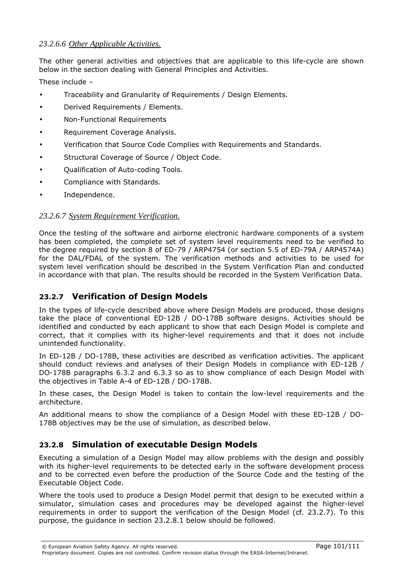### *23.2.6.6 Other Applicable Activities.*

The other general activities and objectives that are applicable to this life-cycle are shown below in the section dealing with General Principles and Activities.

These include –

- Traceability and Granularity of Requirements / Design Elements.
- Derived Requirements / Elements.
- Non-Functional Requirements
- Requirement Coverage Analysis.
- Verification that Source Code Complies with Requirements and Standards.
- Structural Coverage of Source / Object Code.
- Qualification of Auto-coding Tools.
- Compliance with Standards.
- Independence.

### *23.2.6.7 System Requirement Verification.*

Once the testing of the software and airborne electronic hardware components of a system has been completed, the complete set of system level requirements need to be verified to the degree required by section 8 of ED-79 / ARP4754 (or section 5.5 of ED-79A / ARP4574A) for the DAL/FDAL of the system. The verification methods and activities to be used for system level verification should be described in the System Verification Plan and conducted in accordance with that plan. The results should be recorded in the System Verification Data.

# 23.2.7 Verification of Design Models

In the types of life-cycle described above where Design Models are produced, those designs take the place of conventional ED-12B / DO-178B software designs. Activities should be identified and conducted by each applicant to show that each Design Model is complete and correct, that it complies with its higher-level requirements and that it does not include unintended functionality.

In ED-12B / DO-178B, these activities are described as verification activities. The applicant should conduct reviews and analyses of their Design Models in compliance with ED-12B / DO-178B paragraphs 6.3.2 and 6.3.3 so as to show compliance of each Design Model with the objectives in Table A-4 of ED-12B / DO-178B.

In these cases, the Design Model is taken to contain the low-level requirements and the architecture.

An additional means to show the compliance of a Design Model with these ED-12B / DO-178B objectives may be the use of simulation, as described below.

# 23.2.8 Simulation of executable Design Models

Executing a simulation of a Design Model may allow problems with the design and possibly with its higher-level requirements to be detected early in the software development process and to be corrected even before the production of the Source Code and the testing of the Executable Object Code.

Where the tools used to produce a Design Model permit that design to be executed within a simulator, simulation cases and procedures may be developed against the higher-level requirements in order to support the verification of the Design Model (cf. 23.2.7). To this purpose, the guidance in section 23.2.8.1 below should be followed.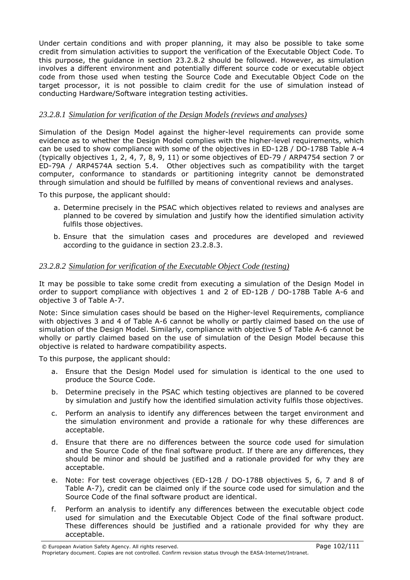Under certain conditions and with proper planning, it may also be possible to take some credit from simulation activities to support the verification of the Executable Object Code. To this purpose, the guidance in section 23.2.8.2 should be followed. However, as simulation involves a different environment and potentially different source code or executable object code from those used when testing the Source Code and Executable Object Code on the target processor, it is not possible to claim credit for the use of simulation instead of conducting Hardware/Software integration testing activities.

### *23.2.8.1 Simulation for verification of the Design Models (reviews and analyses)*

Simulation of the Design Model against the higher-level requirements can provide some evidence as to whether the Design Model complies with the higher-level requirements, which can be used to show compliance with some of the objectives in ED-12B / DO-178B Table A-4 (typically objectives 1, 2, 4, 7, 8, 9, 11) or some objectives of ED-79 / ARP4754 section 7 or ED-79A / ARP4574A section 5.4. Other objectives such as compatibility with the target computer, conformance to standards or partitioning integrity cannot be demonstrated through simulation and should be fulfilled by means of conventional reviews and analyses.

To this purpose, the applicant should:

- a. Determine precisely in the PSAC which objectives related to reviews and analyses are planned to be covered by simulation and justify how the identified simulation activity fulfils those objectives.
- b. Ensure that the simulation cases and procedures are developed and reviewed according to the guidance in section 23.2.8.3.

### *23.2.8.2 Simulation for verification of the Executable Object Code (testing)*

It may be possible to take some credit from executing a simulation of the Design Model in order to support compliance with objectives 1 and 2 of ED-12B / DO-178B Table A-6 and objective 3 of Table A-7.

Note: Since simulation cases should be based on the Higher-level Requirements, compliance with objectives 3 and 4 of Table A-6 cannot be wholly or partly claimed based on the use of simulation of the Design Model. Similarly, compliance with objective 5 of Table A-6 cannot be wholly or partly claimed based on the use of simulation of the Design Model because this objective is related to hardware compatibility aspects.

To this purpose, the applicant should:

- a. Ensure that the Design Model used for simulation is identical to the one used to produce the Source Code.
- b. Determine precisely in the PSAC which testing objectives are planned to be covered by simulation and justify how the identified simulation activity fulfils those objectives.
- c. Perform an analysis to identify any differences between the target environment and the simulation environment and provide a rationale for why these differences are acceptable.
- d. Ensure that there are no differences between the source code used for simulation and the Source Code of the final software product. If there are any differences, they should be minor and should be justified and a rationale provided for why they are acceptable.
- e. Note: For test coverage objectives (ED-12B / DO-178B objectives 5, 6, 7 and 8 of Table A-7), credit can be claimed only if the source code used for simulation and the Source Code of the final software product are identical.
- f. Perform an analysis to identify any differences between the executable object code used for simulation and the Executable Object Code of the final software product. These differences should be justified and a rationale provided for why they are acceptable.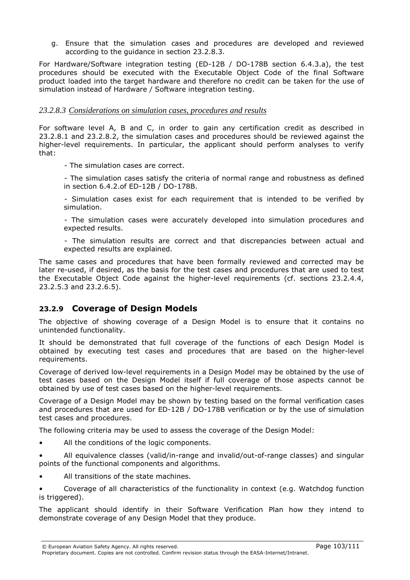g. Ensure that the simulation cases and procedures are developed and reviewed according to the guidance in section 23.2.8.3.

For Hardware/Software integration testing (ED-12B / DO-178B section 6.4.3.a), the test procedures should be executed with the Executable Object Code of the final Software product loaded into the target hardware and therefore no credit can be taken for the use of simulation instead of Hardware / Software integration testing.

### *23.2.8.3 Considerations on simulation cases, procedures and results*

For software level A, B and C, in order to gain any certification credit as described in 23.2.8.1 and 23.2.8.2, the simulation cases and procedures should be reviewed against the higher-level requirements. In particular, the applicant should perform analyses to verify that:

- The simulation cases are correct.

- The simulation cases satisfy the criteria of normal range and robustness as defined in section 6.4.2.of ED-12B / DO-178B.

- Simulation cases exist for each requirement that is intended to be verified by simulation.

- The simulation cases were accurately developed into simulation procedures and expected results.

- The simulation results are correct and that discrepancies between actual and expected results are explained.

The same cases and procedures that have been formally reviewed and corrected may be later re-used, if desired, as the basis for the test cases and procedures that are used to test the Executable Object Code against the higher-level requirements (cf. sections 23.2.4.4, 23.2.5.3 and 23.2.6.5).

# 23.2.9 Coverage of Design Models

The objective of showing coverage of a Design Model is to ensure that it contains no unintended functionality.

It should be demonstrated that full coverage of the functions of each Design Model is obtained by executing test cases and procedures that are based on the higher-level requirements.

Coverage of derived low-level requirements in a Design Model may be obtained by the use of test cases based on the Design Model itself if full coverage of those aspects cannot be obtained by use of test cases based on the higher-level requirements.

Coverage of a Design Model may be shown by testing based on the formal verification cases and procedures that are used for ED-12B / DO-178B verification or by the use of simulation test cases and procedures.

The following criteria may be used to assess the coverage of the Design Model:

- All the conditions of the logic components.
- All equivalence classes (valid/in-range and invalid/out-of-range classes) and singular points of the functional components and algorithms.
- All transitions of the state machines.

• Coverage of all characteristics of the functionality in context (e.g. Watchdog function is triggered).

The applicant should identify in their Software Verification Plan how they intend to demonstrate coverage of any Design Model that they produce.

#### © European Aviation Safety Agency. All rights reserved. Page 103/111

Proprietary document. Copies are not controlled. Confirm revision status through the EASA-Internet/Intranet.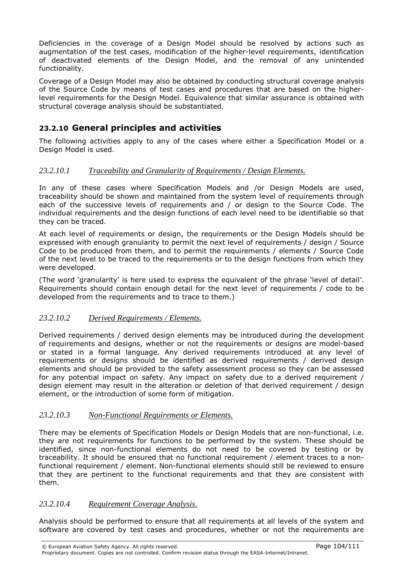Deficiencies in the coverage of a Design Model should be resolved by actions such as augmentation of the test cases, modification of the higher-level requirements, identification of deactivated elements of the Design Model, and the removal of any unintended functionality.

Coverage of a Design Model may also be obtained by conducting structural coverage analysis of the Source Code by means of test cases and procedures that are based on the higherlevel requirements for the Design Model. Equivalence that similar assurance is obtained with structural coverage analysis should be substantiated.

# 23.2.10 General principles and activities

The following activities apply to any of the cases where either a Specification Model or a Design Model is used.

### *23.2.10.1 Traceability and Granularity of Requirements / Design Elements.*

In any of these cases where Specification Models and /or Design Models are used, traceability should be shown and maintained from the system level of requirements through each of the successive levels of requirements and / or design to the Source Code. The individual requirements and the design functions of each level need to be identifiable so that they can be traced.

At each level of requirements or design, the requirements or the Design Models should be expressed with enough granularity to permit the next level of requirements / design / Source Code to be produced from them, and to permit the requirements / elements / Source Code of the next level to be traced to the requirements or to the design functions from which they were developed.

(The word 'granularity' is here used to express the equivalent of the phrase 'level of detail'. Requirements should contain enough detail for the next level of requirements / code to be developed from the requirements and to trace to them.)

### *23.2.10.2 Derived Requirements / Elements.*

Derived requirements / derived design elements may be introduced during the development of requirements and designs, whether or not the requirements or designs are model-based or stated in a formal language. Any derived requirements introduced at any level of requirements or designs should be identified as derived requirements / derived design elements and should be provided to the safety assessment process so they can be assessed for any potential impact on safety. Any impact on safety due to a derived requirement / design element may result in the alteration or deletion of that derived requirement / design element, or the introduction of some form of mitigation.

### *23.2.10.3 Non-Functional Requirements or Elements.*

There may be elements of Specification Models or Design Models that are non-functional, i.e. they are not requirements for functions to be performed by the system. These should be identified, since non-functional elements do not need to be covered by testing or by traceability. It should be ensured that no functional requirement / element traces to a nonfunctional requirement / element. Non-functional elements should still be reviewed to ensure that they are pertinent to the functional requirements and that they are consistent with them.

### *23.2.10.4 Requirement Coverage Analysis.*

Analysis should be performed to ensure that all requirements at all levels of the system and software are covered by test cases and procedures, whether or not the requirements are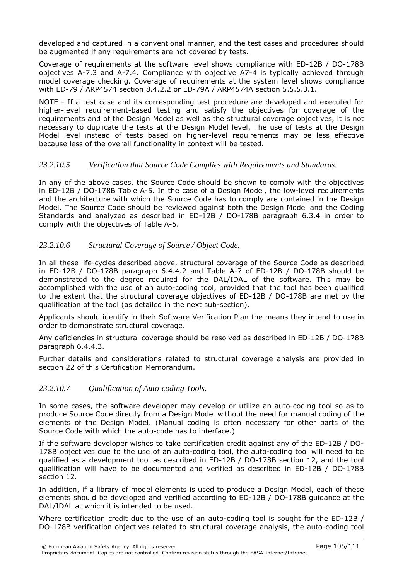developed and captured in a conventional manner, and the test cases and procedures should be augmented if any requirements are not covered by tests.

Coverage of requirements at the software level shows compliance with ED-12B / DO-178B objectives A-7.3 and A-7.4. Compliance with objective A7-4 is typically achieved through model coverage checking. Coverage of requirements at the system level shows compliance with ED-79 / ARP4574 section 8.4.2.2 or ED-79A / ARP4574A section 5.5.5.3.1.

NOTE - If a test case and its corresponding test procedure are developed and executed for higher-level requirement-based testing and satisfy the objectives for coverage of the requirements and of the Design Model as well as the structural coverage objectives, it is not necessary to duplicate the tests at the Design Model level. The use of tests at the Design Model level instead of tests based on higher-level requirements may be less effective because less of the overall functionality in context will be tested.

### *23.2.10.5 Verification that Source Code Complies with Requirements and Standards.*

In any of the above cases, the Source Code should be shown to comply with the objectives in ED-12B / DO-178B Table A-5. In the case of a Design Model, the low-level requirements and the architecture with which the Source Code has to comply are contained in the Design Model. The Source Code should be reviewed against both the Design Model and the Coding Standards and analyzed as described in ED-12B / DO-178B paragraph 6.3.4 in order to comply with the objectives of Table A-5.

### *23.2.10.6 Structural Coverage of Source / Object Code.*

In all these life-cycles described above, structural coverage of the Source Code as described in ED-12B / DO-178B paragraph 6.4.4.2 and Table A-7 of ED-12B / DO-178B should be demonstrated to the degree required for the DAL/IDAL of the software. This may be accomplished with the use of an auto-coding tool, provided that the tool has been qualified to the extent that the structural coverage objectives of ED-12B / DO-178B are met by the qualification of the tool (as detailed in the next sub-section).

Applicants should identify in their Software Verification Plan the means they intend to use in order to demonstrate structural coverage.

Any deficiencies in structural coverage should be resolved as described in ED-12B / DO-178B paragraph 6.4.4.3.

Further details and considerations related to structural coverage analysis are provided in section 22 of this Certification Memorandum.

### *23.2.10.7 Qualification of Auto-coding Tools.*

In some cases, the software developer may develop or utilize an auto-coding tool so as to produce Source Code directly from a Design Model without the need for manual coding of the elements of the Design Model. (Manual coding is often necessary for other parts of the Source Code with which the auto-code has to interface.)

If the software developer wishes to take certification credit against any of the ED-12B / DO-178B objectives due to the use of an auto-coding tool, the auto-coding tool will need to be qualified as a development tool as described in ED-12B / DO-178B section 12, and the tool qualification will have to be documented and verified as described in ED-12B / DO-178B section 12.

In addition, if a library of model elements is used to produce a Design Model, each of these elements should be developed and verified according to ED-12B / DO-178B guidance at the DAL/IDAL at which it is intended to be used.

Where certification credit due to the use of an auto-coding tool is sought for the ED-12B / DO-178B verification objectives related to structural coverage analysis, the auto-coding tool

© European Aviation Safety Agency. All rights reserved. Page 105/111 Proprietary document. Copies are not controlled. Confirm revision status through the EASA-Internet/Intranet.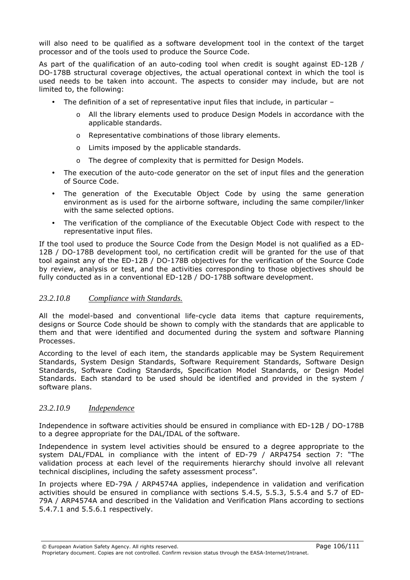will also need to be qualified as a software development tool in the context of the target processor and of the tools used to produce the Source Code.

As part of the qualification of an auto-coding tool when credit is sought against ED-12B / DO-178B structural coverage objectives, the actual operational context in which the tool is used needs to be taken into account. The aspects to consider may include, but are not limited to, the following:

- The definition of a set of representative input files that include, in particular
	- o All the library elements used to produce Design Models in accordance with the applicable standards.
	- o Representative combinations of those library elements.
	- o Limits imposed by the applicable standards.
	- o The degree of complexity that is permitted for Design Models.
- The execution of the auto-code generator on the set of input files and the generation of Source Code.
- The generation of the Executable Object Code by using the same generation environment as is used for the airborne software, including the same compiler/linker with the same selected options.
- The verification of the compliance of the Executable Object Code with respect to the representative input files.

If the tool used to produce the Source Code from the Design Model is not qualified as a ED-12B / DO-178B development tool, no certification credit will be granted for the use of that tool against any of the ED-12B / DO-178B objectives for the verification of the Source Code by review, analysis or test, and the activities corresponding to those objectives should be fully conducted as in a conventional ED-12B / DO-178B software development.

### *23.2.10.8 Compliance with Standards.*

All the model-based and conventional life-cycle data items that capture requirements, designs or Source Code should be shown to comply with the standards that are applicable to them and that were identified and documented during the system and software Planning Processes.

According to the level of each item, the standards applicable may be System Requirement Standards, System Design Standards, Software Requirement Standards, Software Design Standards, Software Coding Standards, Specification Model Standards, or Design Model Standards. Each standard to be used should be identified and provided in the system / software plans.

#### *23.2.10.9 Independence*

Independence in software activities should be ensured in compliance with ED-12B / DO-178B to a degree appropriate for the DAL/IDAL of the software.

Independence in system level activities should be ensured to a degree appropriate to the system DAL/FDAL in compliance with the intent of ED-79 / ARP4754 section 7: "The validation process at each level of the requirements hierarchy should involve all relevant technical disciplines, including the safety assessment process".

In projects where ED-79A / ARP4574A applies, independence in validation and verification activities should be ensured in compliance with sections 5.4.5, 5.5.3, 5.5.4 and 5.7 of ED-79A / ARP4574A and described in the Validation and Verification Plans according to sections 5.4.7.1 and 5.5.6.1 respectively.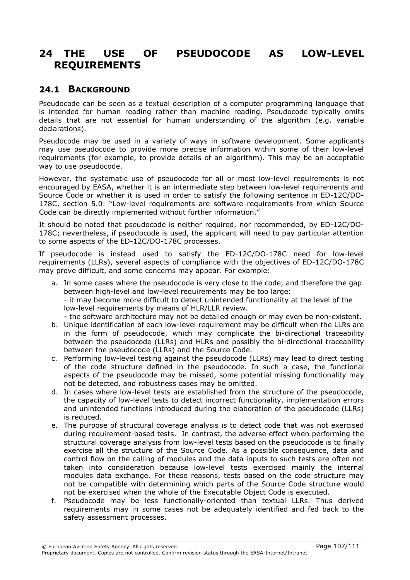# 24 THE USE OF PSEUDOCODE AS LOW-LEVEL REQUIREMENTS

# 24.1 BACKGROUND

Pseudocode can be seen as a textual description of a computer programming language that is intended for human reading rather than machine reading. Pseudocode typically omits details that are not essential for human understanding of the algorithm (e.g. variable declarations).

Pseudocode may be used in a variety of ways in software development. Some applicants may use pseudocode to provide more precise information within some of their low-level requirements (for example, to provide details of an algorithm). This may be an acceptable way to use pseudocode.

However, the systematic use of pseudocode for all or most low-level requirements is not encouraged by EASA, whether it is an intermediate step between low-level requirements and Source Code or whether it is used in order to satisfy the following sentence in ED-12C/DO-178C, section 5.0: "Low-level requirements are software requirements from which Source Code can be directly implemented without further information."

It should be noted that pseudocode is neither required, nor recommended, by ED-12C/DO-178C; nevertheless, if pseudocode is used, the applicant will need to pay particular attention to some aspects of the ED-12C/DO-178C processes.

If pseudocode is instead used to satisfy the ED-12C/DO-178C need for low-level requirements (LLRs), several aspects of compliance with the objectives of ED-12C/DO-178C may prove difficult, and some concerns may appear. For example:

- a. In some cases where the pseudocode is very close to the code, and therefore the gap between high-level and low-level requirements may be too large: - it may become more difficult to detect unintended functionality at the level of the low-level requirements by means of HLR/LLR review. - the software architecture may not be detailed enough or may even be non-existent.
- b. Unique identification of each low-level requirement may be difficult when the LLRs are in the form of pseudocode, which may complicate the bi-directional traceability between the pseudocode (LLRs) and HLRs and possibly the bi-directional traceability between the pseudocode (LLRs) and the Source Code.
- c. Performing low-level testing against the pseudocode (LLRs) may lead to direct testing of the code structure defined in the pseudocode. In such a case, the functional aspects of the pseudocode may be missed, some potential missing functionality may not be detected, and robustness cases may be omitted.
- d. In cases where low-level tests are established from the structure of the pseudocode, the capacity of low-level tests to detect incorrect functionality, implementation errors and unintended functions introduced during the elaboration of the pseudocode (LLRs) is reduced.
- e. The purpose of structural coverage analysis is to detect code that was not exercised during requirement-based tests. In contrast, the adverse effect when performing the structural coverage analysis from low-level tests based on the pseudocode is to finally exercise all the structure of the Source Code. As a possible consequence, data and control flow on the calling of modules and the data inputs to such tests are often not taken into consideration because low-level tests exercised mainly the internal modules data exchange. For these reasons, tests based on the code structure may not be compatible with determining which parts of the Source Code structure would not be exercised when the whole of the Executable Object Code is executed.
- f. Pseudocode may be less functionally-oriented than textual LLRs. Thus derived requirements may in some cases not be adequately identified and fed back to the safety assessment processes.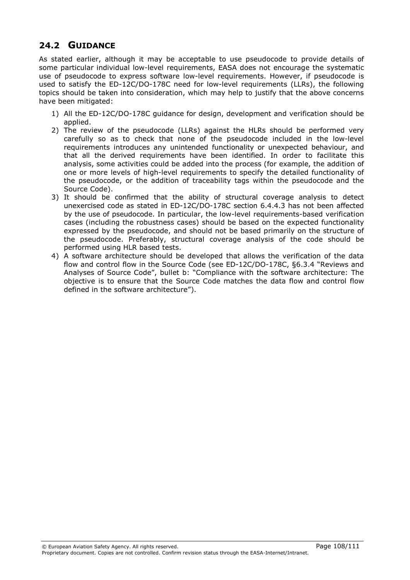# 24.2 GUIDANCE

As stated earlier, although it may be acceptable to use pseudocode to provide details of some particular individual low-level requirements, EASA does not encourage the systematic use of pseudocode to express software low-level requirements. However, if pseudocode is used to satisfy the ED-12C/DO-178C need for low-level requirements (LLRs), the following topics should be taken into consideration, which may help to justify that the above concerns have been mitigated:

- 1) All the ED-12C/DO-178C guidance for design, development and verification should be applied.
- 2) The review of the pseudocode (LLRs) against the HLRs should be performed very carefully so as to check that none of the pseudocode included in the low-level requirements introduces any unintended functionality or unexpected behaviour, and that all the derived requirements have been identified. In order to facilitate this analysis, some activities could be added into the process (for example, the addition of one or more levels of high-level requirements to specify the detailed functionality of the pseudocode, or the addition of traceability tags within the pseudocode and the Source Code).
- 3) It should be confirmed that the ability of structural coverage analysis to detect unexercised code as stated in ED-12C/DO-178C section 6.4.4.3 has not been affected by the use of pseudocode. In particular, the low-level requirements-based verification cases (including the robustness cases) should be based on the expected functionality expressed by the pseudocode, and should not be based primarily on the structure of the pseudocode. Preferably, structural coverage analysis of the code should be performed using HLR based tests.
- 4) A software architecture should be developed that allows the verification of the data flow and control flow in the Source Code (see ED-12C/DO-178C, §6.3.4 "Reviews and Analyses of Source Code", bullet b: "Compliance with the software architecture: The objective is to ensure that the Source Code matches the data flow and control flow defined in the software architecture").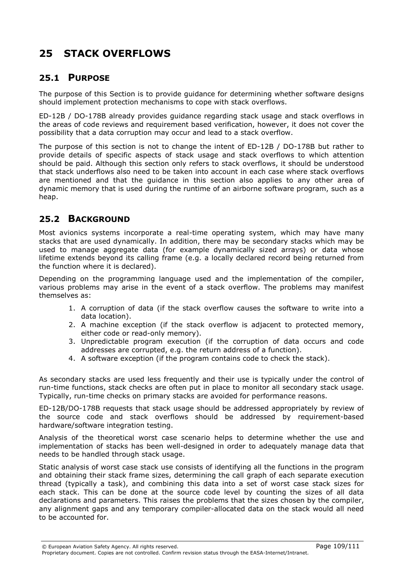# 25 STACK OVERFLOWS

### 25.1 PURPOSE

The purpose of this Section is to provide guidance for determining whether software designs should implement protection mechanisms to cope with stack overflows.

ED-12B / DO-178B already provides guidance regarding stack usage and stack overflows in the areas of code reviews and requirement based verification, however, it does not cover the possibility that a data corruption may occur and lead to a stack overflow.

The purpose of this section is not to change the intent of ED-12B / DO-178B but rather to provide details of specific aspects of stack usage and stack overflows to which attention should be paid. Although this section only refers to stack overflows, it should be understood that stack underflows also need to be taken into account in each case where stack overflows are mentioned and that the guidance in this section also applies to any other area of dynamic memory that is used during the runtime of an airborne software program, such as a heap.

### 25.2 BACKGROUND

Most avionics systems incorporate a real-time operating system, which may have many stacks that are used dynamically. In addition, there may be secondary stacks which may be used to manage aggregate data (for example dynamically sized arrays) or data whose lifetime extends beyond its calling frame (e.g. a locally declared record being returned from the function where it is declared).

Depending on the programming language used and the implementation of the compiler, various problems may arise in the event of a stack overflow. The problems may manifest themselves as:

- 1. A corruption of data (if the stack overflow causes the software to write into a data location).
- 2. A machine exception (if the stack overflow is adjacent to protected memory, either code or read-only memory).
- 3. Unpredictable program execution (if the corruption of data occurs and code addresses are corrupted, e.g. the return address of a function).
- 4. A software exception (if the program contains code to check the stack).

As secondary stacks are used less frequently and their use is typically under the control of run-time functions, stack checks are often put in place to monitor all secondary stack usage. Typically, run-time checks on primary stacks are avoided for performance reasons.

ED-12B/DO-178B requests that stack usage should be addressed appropriately by review of the source code and stack overflows should be addressed by requirement-based hardware/software integration testing.

Analysis of the theoretical worst case scenario helps to determine whether the use and implementation of stacks has been well-designed in order to adequately manage data that needs to be handled through stack usage.

Static analysis of worst case stack use consists of identifying all the functions in the program and obtaining their stack frame sizes, determining the call graph of each separate execution thread (typically a task), and combining this data into a set of worst case stack sizes for each stack. This can be done at the source code level by counting the sizes of all data declarations and parameters. This raises the problems that the sizes chosen by the compiler, any alignment gaps and any temporary compiler-allocated data on the stack would all need to be accounted for.

© European Aviation Safety Agency. All rights reserved. Page 109/111 Proprietary document. Copies are not controlled. Confirm revision status through the EASA-Internet/Intranet.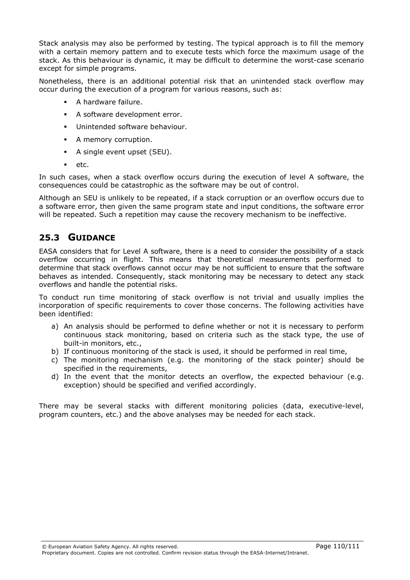Stack analysis may also be performed by testing. The typical approach is to fill the memory with a certain memory pattern and to execute tests which force the maximum usage of the stack. As this behaviour is dynamic, it may be difficult to determine the worst-case scenario except for simple programs.

Nonetheless, there is an additional potential risk that an unintended stack overflow may occur during the execution of a program for various reasons, such as:

- A hardware failure.
- A software development error.
- **Unintended software behaviour.**
- A memory corruption.
- A single event upset (SEU).
- $e^+$

In such cases, when a stack overflow occurs during the execution of level A software, the consequences could be catastrophic as the software may be out of control.

Although an SEU is unlikely to be repeated, if a stack corruption or an overflow occurs due to a software error, then given the same program state and input conditions, the software error will be repeated. Such a repetition may cause the recovery mechanism to be ineffective.

### 25.3 GUIDANCE

EASA considers that for Level A software, there is a need to consider the possibility of a stack overflow occurring in flight. This means that theoretical measurements performed to determine that stack overflows cannot occur may be not sufficient to ensure that the software behaves as intended. Consequently, stack monitoring may be necessary to detect any stack overflows and handle the potential risks.

To conduct run time monitoring of stack overflow is not trivial and usually implies the incorporation of specific requirements to cover those concerns. The following activities have been identified:

- a) An analysis should be performed to define whether or not it is necessary to perform continuous stack monitoring, based on criteria such as the stack type, the use of built-in monitors, etc.,
- b) If continuous monitoring of the stack is used, it should be performed in real time,
- c) The monitoring mechanism (e.g. the monitoring of the stack pointer) should be specified in the requirements,
- d) In the event that the monitor detects an overflow, the expected behaviour (e.g. exception) should be specified and verified accordingly.

There may be several stacks with different monitoring policies (data, executive-level, program counters, etc.) and the above analyses may be needed for each stack.